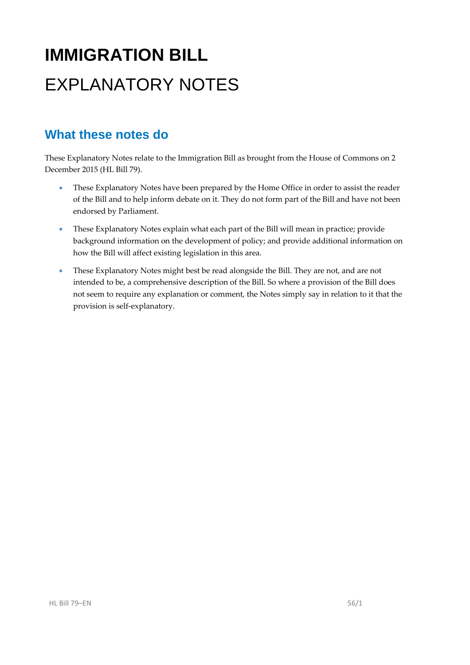# **IMMIGRATION BILL**  EXPLANATORY NOTES

## **What these notes do**

- These Explanatory Notes have been prepared by the Home Office in order to assist the reader of the Bill and to help inform debate on it. They do not form part of the Bill and have not been endorsed by Parliament.
- These Explanatory Notes explain what each part of the Bill will mean in practice; provide background information on the development of policy; and provide additional information on how the Bill will affect existing legislation in this area.
- These Explanatory Notes might best be read alongside the Bill. They are not, and are not intended to be, a comprehensive description of the Bill. So where a provision of the Bill does not seem to require any explanation or comment, the Notes simply say in relation to it that the provision is self‐explanatory.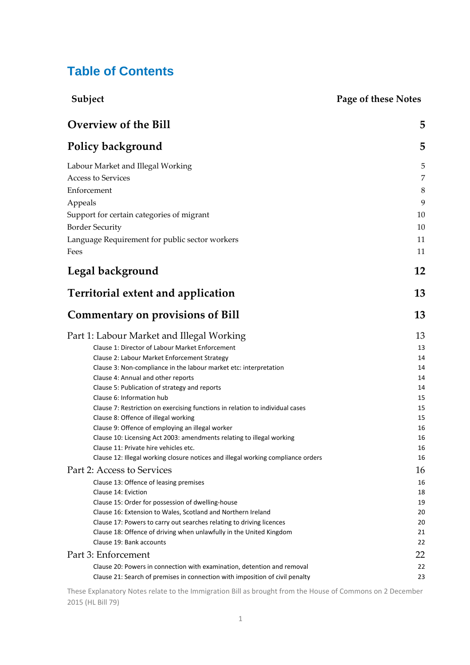## **Table of Contents**

| Subject                                                                                                                                     | Page of these Notes |
|---------------------------------------------------------------------------------------------------------------------------------------------|---------------------|
| <b>Overview of the Bill</b>                                                                                                                 | 5                   |
| Policy background                                                                                                                           | 5                   |
| Labour Market and Illegal Working                                                                                                           | 5                   |
| <b>Access to Services</b>                                                                                                                   | $\overline{7}$      |
| Enforcement                                                                                                                                 | 8                   |
| Appeals                                                                                                                                     | 9                   |
| Support for certain categories of migrant                                                                                                   | 10                  |
| <b>Border Security</b>                                                                                                                      | 10                  |
| Language Requirement for public sector workers                                                                                              | 11                  |
| Fees                                                                                                                                        | 11                  |
| Legal background                                                                                                                            | 12                  |
| <b>Territorial extent and application</b>                                                                                                   | 13                  |
| <b>Commentary on provisions of Bill</b>                                                                                                     | 13                  |
| Part 1: Labour Market and Illegal Working                                                                                                   | 13                  |
| Clause 1: Director of Labour Market Enforcement                                                                                             | 13                  |
| Clause 2: Labour Market Enforcement Strategy                                                                                                | 14                  |
| Clause 3: Non-compliance in the labour market etc: interpretation<br>Clause 4: Annual and other reports                                     | 14<br>14            |
| Clause 5: Publication of strategy and reports                                                                                               | 14                  |
| Clause 6: Information hub                                                                                                                   | 15                  |
| Clause 7: Restriction on exercising functions in relation to individual cases                                                               | 15                  |
| Clause 8: Offence of illegal working                                                                                                        | 15                  |
| Clause 9: Offence of employing an illegal worker<br>Clause 10: Licensing Act 2003: amendments relating to illegal working                   | 16<br>16            |
| Clause 11: Private hire vehicles etc.                                                                                                       | 16                  |
| Clause 12: Illegal working closure notices and illegal working compliance orders                                                            | 16                  |
| Part 2: Access to Services                                                                                                                  | 16                  |
| Clause 13: Offence of leasing premises                                                                                                      | 16                  |
| Clause 14: Eviction                                                                                                                         | 18                  |
| Clause 15: Order for possession of dwelling-house                                                                                           | 19                  |
| Clause 16: Extension to Wales, Scotland and Northern Ireland                                                                                | 20                  |
| Clause 17: Powers to carry out searches relating to driving licences<br>Clause 18: Offence of driving when unlawfully in the United Kingdom | 20<br>21            |
| Clause 19: Bank accounts                                                                                                                    | 22                  |
| Part 3: Enforcement                                                                                                                         | 22                  |
| Clause 20: Powers in connection with examination, detention and removal                                                                     | 22                  |
| Clause 21: Search of premises in connection with imposition of civil penalty                                                                | 23                  |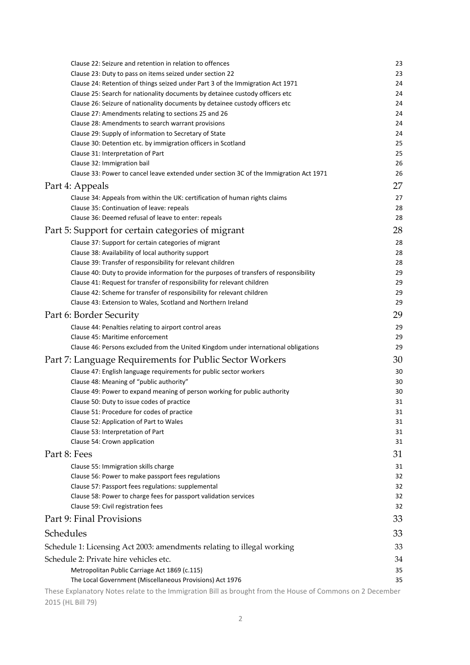| Clause 22: Seizure and retention in relation to offences                                                     | 23       |
|--------------------------------------------------------------------------------------------------------------|----------|
| Clause 23: Duty to pass on items seized under section 22                                                     | 23       |
| Clause 24: Retention of things seized under Part 3 of the Immigration Act 1971                               | 24       |
| Clause 25: Search for nationality documents by detainee custody officers etc                                 | 24       |
| Clause 26: Seizure of nationality documents by detainee custody officers etc                                 | 24       |
| Clause 27: Amendments relating to sections 25 and 26                                                         | 24<br>24 |
| Clause 28: Amendments to search warrant provisions<br>Clause 29: Supply of information to Secretary of State | 24       |
| Clause 30: Detention etc. by immigration officers in Scotland                                                | 25       |
| Clause 31: Interpretation of Part                                                                            | 25       |
| Clause 32: Immigration bail                                                                                  | 26       |
| Clause 33: Power to cancel leave extended under section 3C of the Immigration Act 1971                       | 26       |
| Part 4: Appeals                                                                                              | 27       |
| Clause 34: Appeals from within the UK: certification of human rights claims                                  | 27       |
| Clause 35: Continuation of leave: repeals                                                                    | 28       |
| Clause 36: Deemed refusal of leave to enter: repeals                                                         | 28       |
| Part 5: Support for certain categories of migrant                                                            | 28       |
| Clause 37: Support for certain categories of migrant                                                         | 28       |
| Clause 38: Availability of local authority support                                                           | 28       |
| Clause 39: Transfer of responsibility for relevant children                                                  | 28       |
| Clause 40: Duty to provide information for the purposes of transfers of responsibility                       | 29       |
| Clause 41: Request for transfer of responsibility for relevant children                                      | 29       |
| Clause 42: Scheme for transfer of responsibility for relevant children                                       | 29       |
| Clause 43: Extension to Wales, Scotland and Northern Ireland                                                 | 29       |
| Part 6: Border Security                                                                                      | 29       |
| Clause 44: Penalties relating to airport control areas                                                       | 29       |
| Clause 45: Maritime enforcement                                                                              | 29       |
| Clause 46: Persons excluded from the United Kingdom under international obligations                          | 29       |
| Part 7: Language Requirements for Public Sector Workers                                                      | 30       |
| Clause 47: English language requirements for public sector workers                                           | 30       |
| Clause 48: Meaning of "public authority"                                                                     | 30       |
| Clause 49: Power to expand meaning of person working for public authority                                    | 30       |
| Clause 50: Duty to issue codes of practice                                                                   | 31       |
| Clause 51: Procedure for codes of practice<br>Clause 52: Application of Part to Wales                        | 31<br>31 |
| Clause 53: Interpretation of Part                                                                            | 31       |
| Clause 54: Crown application                                                                                 | 31       |
| Part 8: Fees                                                                                                 | 31       |
| Clause 55: Immigration skills charge                                                                         | 31       |
| Clause 56: Power to make passport fees regulations                                                           | 32       |
| Clause 57: Passport fees regulations: supplemental                                                           | 32       |
| Clause 58: Power to charge fees for passport validation services                                             | 32       |
| Clause 59: Civil registration fees                                                                           | 32       |
| Part 9: Final Provisions                                                                                     | 33       |
| Schedules                                                                                                    | 33       |
| Schedule 1: Licensing Act 2003: amendments relating to illegal working                                       | 33       |
| Schedule 2: Private hire vehicles etc.                                                                       | 34       |
| Metropolitan Public Carriage Act 1869 (c.115)                                                                | 35       |
| The Local Government (Miscellaneous Provisions) Act 1976                                                     | 35       |
| These Explanatory Notes relate to the Immigration Bill as brought from the House of Commons on 2 December    |          |

2015 (HL Bill 79)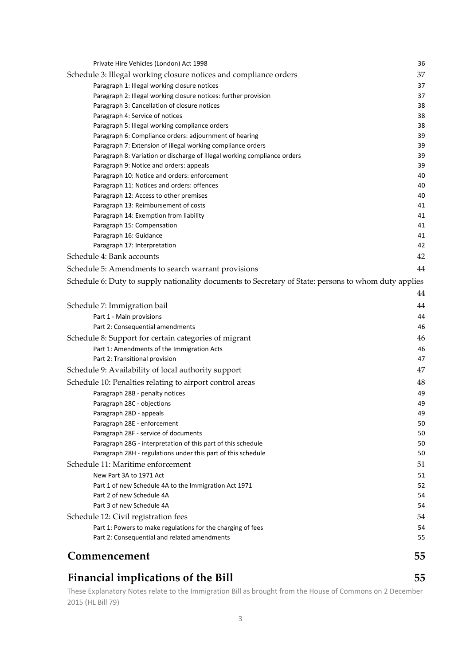| Commencement                                                                                                        | 55       |
|---------------------------------------------------------------------------------------------------------------------|----------|
|                                                                                                                     |          |
| Part 2: Consequential and related amendments                                                                        | 55       |
| Part 1: Powers to make regulations for the charging of fees                                                         | 54       |
| Schedule 12: Civil registration fees                                                                                | 54       |
| Part 3 of new Schedule 4A                                                                                           | 54       |
| Part 2 of new Schedule 4A                                                                                           | 54       |
| New Part 3A to 1971 Act<br>Part 1 of new Schedule 4A to the Immigration Act 1971                                    | 51<br>52 |
| Schedule 11: Maritime enforcement                                                                                   | 51       |
| Paragraph 28H - regulations under this part of this schedule                                                        | 50       |
| Paragraph 28G - interpretation of this part of this schedule                                                        | 50       |
| Paragraph 28F - service of documents                                                                                | 50       |
| Paragraph 28E - enforcement                                                                                         | 50       |
| Paragraph 28D - appeals                                                                                             | 49       |
| Paragraph 28C - objections                                                                                          | 49       |
| Paragraph 28B - penalty notices                                                                                     | 49       |
| Schedule 10: Penalties relating to airport control areas                                                            | 48       |
| Schedule 9: Availability of local authority support                                                                 | 47       |
| Part 2: Transitional provision                                                                                      | 47       |
| Part 1: Amendments of the Immigration Acts                                                                          | 46       |
| Schedule 8: Support for certain categories of migrant                                                               | 46       |
| Part 2: Consequential amendments                                                                                    | 46       |
| Part 1 - Main provisions                                                                                            | 44       |
| Schedule 7: Immigration bail                                                                                        | 44       |
|                                                                                                                     | 44       |
|                                                                                                                     |          |
| Schedule 6: Duty to supply nationality documents to Secretary of State: persons to whom duty applies                |          |
| Schedule 5: Amendments to search warrant provisions                                                                 | 44       |
| Schedule 4: Bank accounts                                                                                           | 42       |
| Paragraph 17: Interpretation                                                                                        | 42       |
| Paragraph 16: Guidance                                                                                              | 41       |
| Paragraph 15: Compensation                                                                                          | 41       |
| Paragraph 14: Exemption from liability                                                                              | 41       |
| Paragraph 13: Reimbursement of costs                                                                                | 41       |
| Paragraph 12: Access to other premises                                                                              | 40       |
| Paragraph 11: Notices and orders: offences                                                                          | 40       |
| Paragraph 10: Notice and orders: enforcement                                                                        | 40       |
| Paragraph 8: Variation or discharge of illegal working compliance orders<br>Paragraph 9: Notice and orders: appeals | 39<br>39 |
| Paragraph 7: Extension of illegal working compliance orders                                                         | 39       |
| Paragraph 6: Compliance orders: adjournment of hearing                                                              | 39       |
| Paragraph 5: Illegal working compliance orders                                                                      | 38       |
| Paragraph 4: Service of notices                                                                                     | 38       |
| Paragraph 3: Cancellation of closure notices                                                                        | 38       |
| Paragraph 2: Illegal working closure notices: further provision                                                     | 37       |
| Paragraph 1: Illegal working closure notices                                                                        | 37       |
| Schedule 3: Illegal working closure notices and compliance orders                                                   | 37       |
| Private Hire Vehicles (London) Act 1998                                                                             | 36       |
|                                                                                                                     |          |

## **Financial implications of the Bill 55**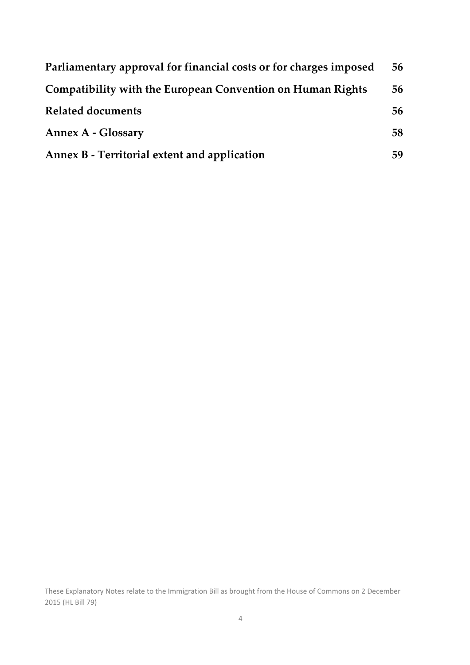| Parliamentary approval for financial costs or for charges imposed | 56 |
|-------------------------------------------------------------------|----|
| <b>Compatibility with the European Convention on Human Rights</b> | 56 |
| <b>Related documents</b>                                          | 56 |
| <b>Annex A - Glossary</b>                                         | 58 |
| Annex B - Territorial extent and application                      | 59 |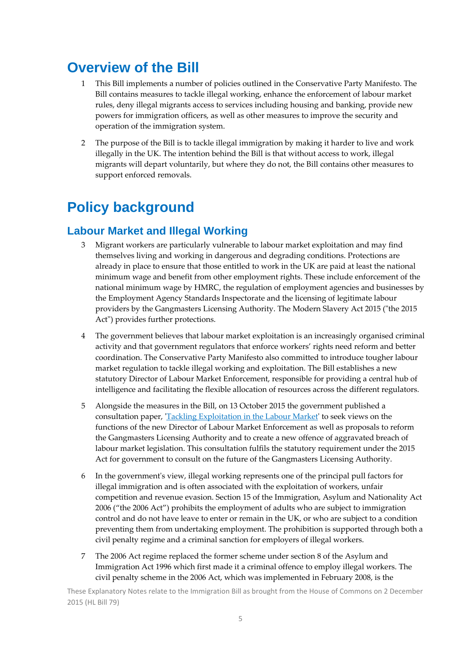## **Overview of the Bill**

- 1 This Bill implements a number of policies outlined in the Conservative Party Manifesto. The Bill contains measures to tackle illegal working, enhance the enforcement of labour market rules, deny illegal migrants access to services including housing and banking, provide new powers for immigration officers, as well as other measures to improve the security and operation of the immigration system.
- 2 The purpose of the Bill is to tackle illegal immigration by making it harder to live and work illegally in the UK. The intention behind the Bill is that without access to work, illegal migrants will depart voluntarily, but where they do not, the Bill contains other measures to support enforced removals.

## **Policy background**

## **Labour Market and Illegal Working**

- 3 Migrant workers are particularly vulnerable to labour market exploitation and may find themselves living and working in dangerous and degrading conditions. Protections are already in place to ensure that those entitled to work in the UK are paid at least the national minimum wage and benefit from other employment rights. These include enforcement of the national minimum wage by HMRC, the regulation of employment agencies and businesses by the Employment Agency Standards Inspectorate and the licensing of legitimate labour providers by the Gangmasters Licensing Authority. The Modern Slavery Act 2015 ("the 2015 Act") provides further protections.
- 4 The government believes that labour market exploitation is an increasingly organised criminal activity and that government regulators that enforce workers' rights need reform and better coordination. The Conservative Party Manifesto also committed to introduce tougher labour market regulation to tackle illegal working and exploitation. The Bill establishes a new statutory Director of Labour Market Enforcement, responsible for providing a central hub of intelligence and facilitating the flexible allocation of resources across the different regulators.
- 5 Alongside the measures in the Bill, on 13 October 2015 the government published a consultation paper, *'Tackling Exploitation in the Labour Market'* to seek views on the functions of the new Director of Labour Market Enforcement as well as proposals to reform the Gangmasters Licensing Authority and to create a new offence of aggravated breach of labour market legislation. This consultation fulfils the statutory requirement under the 2015 Act for government to consult on the future of the Gangmasters Licensing Authority.
- 6 In the governmentʹs view, illegal working represents one of the principal pull factors for illegal immigration and is often associated with the exploitation of workers, unfair competition and revenue evasion. Section 15 of the Immigration, Asylum and Nationality Act 2006 ("the 2006 Act") prohibits the employment of adults who are subject to immigration control and do not have leave to enter or remain in the UK, or who are subject to a condition preventing them from undertaking employment. The prohibition is supported through both a civil penalty regime and a criminal sanction for employers of illegal workers.
- 7 The 2006 Act regime replaced the former scheme under section 8 of the Asylum and Immigration Act 1996 which first made it a criminal offence to employ illegal workers. The civil penalty scheme in the 2006 Act, which was implemented in February 2008, is the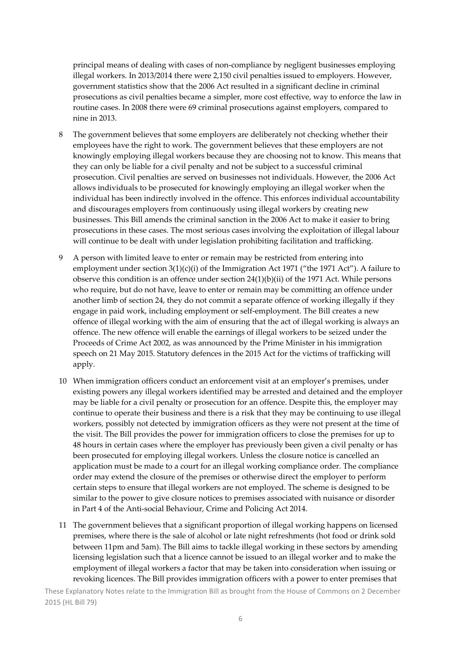principal means of dealing with cases of non‐compliance by negligent businesses employing illegal workers. In 2013/2014 there were 2,150 civil penalties issued to employers. However, government statistics show that the 2006 Act resulted in a significant decline in criminal prosecutions as civil penalties became a simpler, more cost effective, way to enforce the law in routine cases. In 2008 there were 69 criminal prosecutions against employers, compared to nine in 2013.

- 8 The government believes that some employers are deliberately not checking whether their employees have the right to work. The government believes that these employers are not knowingly employing illegal workers because they are choosing not to know. This means that they can only be liable for a civil penalty and not be subject to a successful criminal prosecution. Civil penalties are served on businesses not individuals. However, the 2006 Act allows individuals to be prosecuted for knowingly employing an illegal worker when the individual has been indirectly involved in the offence. This enforces individual accountability and discourages employers from continuously using illegal workers by creating new businesses. This Bill amends the criminal sanction in the 2006 Act to make it easier to bring prosecutions in these cases. The most serious cases involving the exploitation of illegal labour will continue to be dealt with under legislation prohibiting facilitation and trafficking.
- 9 A person with limited leave to enter or remain may be restricted from entering into employment under section  $3(1)(c)(i)$  of the Immigration Act 1971 ("the 1971 Act"). A failure to observe this condition is an offence under section  $24(1)(b)(ii)$  of the 1971 Act. While persons who require, but do not have, leave to enter or remain may be committing an offence under another limb of section 24, they do not commit a separate offence of working illegally if they engage in paid work, including employment or self‐employment. The Bill creates a new offence of illegal working with the aim of ensuring that the act of illegal working is always an offence. The new offence will enable the earnings of illegal workers to be seized under the Proceeds of Crime Act 2002, as was announced by the Prime Minister in his immigration speech on 21 May 2015. Statutory defences in the 2015 Act for the victims of trafficking will apply.
- 10 When immigration officers conduct an enforcement visit at an employer's premises, under existing powers any illegal workers identified may be arrested and detained and the employer may be liable for a civil penalty or prosecution for an offence. Despite this, the employer may continue to operate their business and there is a risk that they may be continuing to use illegal workers, possibly not detected by immigration officers as they were not present at the time of the visit. The Bill provides the power for immigration officers to close the premises for up to 48 hours in certain cases where the employer has previously been given a civil penalty or has been prosecuted for employing illegal workers. Unless the closure notice is cancelled an application must be made to a court for an illegal working compliance order. The compliance order may extend the closure of the premises or otherwise direct the employer to perform certain steps to ensure that illegal workers are not employed. The scheme is designed to be similar to the power to give closure notices to premises associated with nuisance or disorder in Part 4 of the Anti‐social Behaviour, Crime and Policing Act 2014.
- 11 The government believes that a significant proportion of illegal working happens on licensed premises, where there is the sale of alcohol or late night refreshments (hot food or drink sold between 11pm and 5am). The Bill aims to tackle illegal working in these sectors by amending licensing legislation such that a licence cannot be issued to an illegal worker and to make the employment of illegal workers a factor that may be taken into consideration when issuing or revoking licences. The Bill provides immigration officers with a power to enter premises that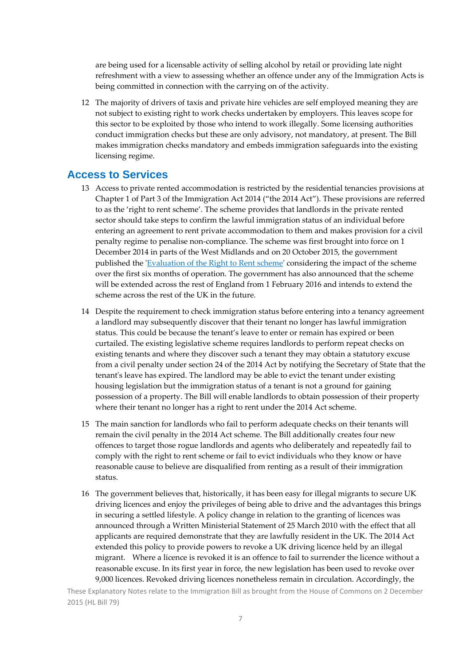are being used for a licensable activity of selling alcohol by retail or providing late night refreshment with a view to assessing whether an offence under any of the Immigration Acts is being committed in connection with the carrying on of the activity.

12 The majority of drivers of taxis and private hire vehicles are self employed meaning they are not subject to existing right to work checks undertaken by employers. This leaves scope for this sector to be exploited by those who intend to work illegally. Some licensing authorities conduct immigration checks but these are only advisory, not mandatory, at present. The Bill makes immigration checks mandatory and embeds immigration safeguards into the existing licensing regime.

### **Access to Services**

- 13 Access to private rented accommodation is restricted by the residential tenancies provisions at Chapter 1 of Part 3 of the Immigration Act 2014 ("the 2014 Act"). These provisions are referred to as the 'right to rent scheme'. The scheme provides that landlords in the private rented sector should take steps to confirm the lawful immigration status of an individual before entering an agreement to rent private accommodation to them and makes provision for a civil penalty regime to penalise non‐compliance. The scheme was first brought into force on 1 December 2014 in parts of the West Midlands and on 20 October 2015, the government published the *'Evaluation of the Right to Rent scheme'* considering the impact of the scheme over the first six months of operation. The government has also announced that the scheme will be extended across the rest of England from 1 February 2016 and intends to extend the scheme across the rest of the UK in the future.
- 14 Despite the requirement to check immigration status before entering into a tenancy agreement a landlord may subsequently discover that their tenant no longer has lawful immigration status. This could be because the tenant's leave to enter or remain has expired or been curtailed. The existing legislative scheme requires landlords to perform repeat checks on existing tenants and where they discover such a tenant they may obtain a statutory excuse from a civil penalty under section 24 of the 2014 Act by notifying the Secretary of State that the tenant's leave has expired. The landlord may be able to evict the tenant under existing housing legislation but the immigration status of a tenant is not a ground for gaining possession of a property. The Bill will enable landlords to obtain possession of their property where their tenant no longer has a right to rent under the 2014 Act scheme.
- 15 The main sanction for landlords who fail to perform adequate checks on their tenants will remain the civil penalty in the 2014 Act scheme. The Bill additionally creates four new offences to target those rogue landlords and agents who deliberately and repeatedly fail to comply with the right to rent scheme or fail to evict individuals who they know or have reasonable cause to believe are disqualified from renting as a result of their immigration status.
- 16 The government believes that, historically, it has been easy for illegal migrants to secure UK driving licences and enjoy the privileges of being able to drive and the advantages this brings in securing a settled lifestyle. A policy change in relation to the granting of licences was announced through a Written Ministerial Statement of 25 March 2010 with the effect that all applicants are required demonstrate that they are lawfully resident in the UK. The 2014 Act extended this policy to provide powers to revoke a UK driving licence held by an illegal migrant. Where a licence is revoked it is an offence to fail to surrender the licence without a reasonable excuse. In its first year in force, the new legislation has been used to revoke over 9,000 licences. Revoked driving licences nonetheless remain in circulation. Accordingly, the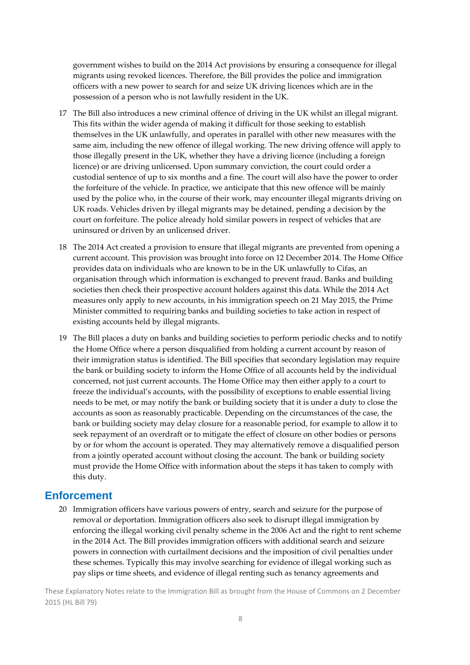government wishes to build on the 2014 Act provisions by ensuring a consequence for illegal migrants using revoked licences. Therefore, the Bill provides the police and immigration officers with a new power to search for and seize UK driving licences which are in the possession of a person who is not lawfully resident in the UK.

- 17 The Bill also introduces a new criminal offence of driving in the UK whilst an illegal migrant. This fits within the wider agenda of making it difficult for those seeking to establish themselves in the UK unlawfully, and operates in parallel with other new measures with the same aim, including the new offence of illegal working. The new driving offence will apply to those illegally present in the UK, whether they have a driving licence (including a foreign licence) or are driving unlicensed. Upon summary conviction, the court could order a custodial sentence of up to six months and a fine. The court will also have the power to order the forfeiture of the vehicle. In practice, we anticipate that this new offence will be mainly used by the police who, in the course of their work, may encounter illegal migrants driving on UK roads. Vehicles driven by illegal migrants may be detained, pending a decision by the court on forfeiture. The police already hold similar powers in respect of vehicles that are uninsured or driven by an unlicensed driver.
- 18 The 2014 Act created a provision to ensure that illegal migrants are prevented from opening a current account. This provision was brought into force on 12 December 2014. The Home Office provides data on individuals who are known to be in the UK unlawfully to Cifas, an organisation through which information is exchanged to prevent fraud. Banks and building societies then check their prospective account holders against this data. While the 2014 Act measures only apply to new accounts, in his immigration speech on 21 May 2015, the Prime Minister committed to requiring banks and building societies to take action in respect of existing accounts held by illegal migrants.
- 19 The Bill places a duty on banks and building societies to perform periodic checks and to notify the Home Office where a person disqualified from holding a current account by reason of their immigration status is identified. The Bill specifies that secondary legislation may require the bank or building society to inform the Home Office of all accounts held by the individual concerned, not just current accounts. The Home Office may then either apply to a court to freeze the individual's accounts, with the possibility of exceptions to enable essential living needs to be met, or may notify the bank or building society that it is under a duty to close the accounts as soon as reasonably practicable. Depending on the circumstances of the case, the bank or building society may delay closure for a reasonable period, for example to allow it to seek repayment of an overdraft or to mitigate the effect of closure on other bodies or persons by or for whom the account is operated. They may alternatively remove a disqualified person from a jointly operated account without closing the account. The bank or building society must provide the Home Office with information about the steps it has taken to comply with this duty.

### **Enforcement**

20 Immigration officers have various powers of entry, search and seizure for the purpose of removal or deportation. Immigration officers also seek to disrupt illegal immigration by enforcing the illegal working civil penalty scheme in the 2006 Act and the right to rent scheme in the 2014 Act. The Bill provides immigration officers with additional search and seizure powers in connection with curtailment decisions and the imposition of civil penalties under these schemes. Typically this may involve searching for evidence of illegal working such as pay slips or time sheets, and evidence of illegal renting such as tenancy agreements and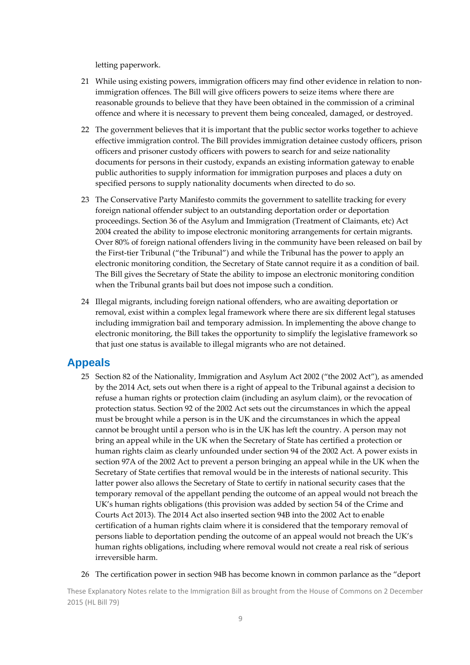letting paperwork.

- 21 While using existing powers, immigration officers may find other evidence in relation to nonimmigration offences. The Bill will give officers powers to seize items where there are reasonable grounds to believe that they have been obtained in the commission of a criminal offence and where it is necessary to prevent them being concealed, damaged, or destroyed.
- 22 The government believes that it is important that the public sector works together to achieve effective immigration control. The Bill provides immigration detainee custody officers, prison officers and prisoner custody officers with powers to search for and seize nationality documents for persons in their custody, expands an existing information gateway to enable public authorities to supply information for immigration purposes and places a duty on specified persons to supply nationality documents when directed to do so.
- 23 The Conservative Party Manifesto commits the government to satellite tracking for every foreign national offender subject to an outstanding deportation order or deportation proceedings. Section 36 of the Asylum and Immigration (Treatment of Claimants, etc) Act 2004 created the ability to impose electronic monitoring arrangements for certain migrants. Over 80% of foreign national offenders living in the community have been released on bail by the First‐tier Tribunal ("the Tribunal") and while the Tribunal has the power to apply an electronic monitoring condition, the Secretary of State cannot require it as a condition of bail. The Bill gives the Secretary of State the ability to impose an electronic monitoring condition when the Tribunal grants bail but does not impose such a condition.
- 24 Illegal migrants, including foreign national offenders, who are awaiting deportation or removal, exist within a complex legal framework where there are six different legal statuses including immigration bail and temporary admission. In implementing the above change to electronic monitoring, the Bill takes the opportunity to simplify the legislative framework so that just one status is available to illegal migrants who are not detained.

### **Appeals**

- 25 Section 82 of the Nationality, Immigration and Asylum Act 2002 ("the 2002 Act"), as amended by the 2014 Act, sets out when there is a right of appeal to the Tribunal against a decision to refuse a human rights or protection claim (including an asylum claim), or the revocation of protection status. Section 92 of the 2002 Act sets out the circumstances in which the appeal must be brought while a person is in the UK and the circumstances in which the appeal cannot be brought until a person who is in the UK has left the country. A person may not bring an appeal while in the UK when the Secretary of State has certified a protection or human rights claim as clearly unfounded under section 94 of the 2002 Act. A power exists in section 97A of the 2002 Act to prevent a person bringing an appeal while in the UK when the Secretary of State certifies that removal would be in the interests of national security. This latter power also allows the Secretary of State to certify in national security cases that the temporary removal of the appellant pending the outcome of an appeal would not breach the UK's human rights obligations (this provision was added by section 54 of the Crime and Courts Act 2013). The 2014 Act also inserted section 94B into the 2002 Act to enable certification of a human rights claim where it is considered that the temporary removal of persons liable to deportation pending the outcome of an appeal would not breach the UK's human rights obligations, including where removal would not create a real risk of serious irreversible harm.
- 26 The certification power in section 94B has become known in common parlance as the "deport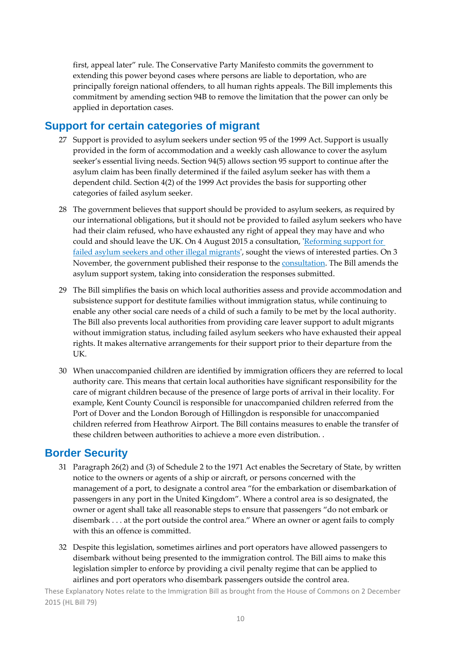first, appeal later" rule. The Conservative Party Manifesto commits the government to extending this power beyond cases where persons are liable to deportation, who are principally foreign national offenders, to all human rights appeals. The Bill implements this commitment by amending section 94B to remove the limitation that the power can only be applied in deportation cases.

### **Support for certain categories of migrant**

- 27 Support is provided to asylum seekers under section 95 of the 1999 Act. Support is usually provided in the form of accommodation and a weekly cash allowance to cover the asylum seeker's essential living needs. Section 94(5) allows section 95 support to continue after the asylum claim has been finally determined if the failed asylum seeker has with them a dependent child. Section 4(2) of the 1999 Act provides the basis for supporting other categories of failed asylum seeker.
- 28 The government believes that support should be provided to asylum seekers, as required by our international obligations, but it should not be provided to failed asylum seekers who have had their claim refused, who have exhausted any right of appeal they may have and who could and should leave the UK. On 4 August 2015 a consultation, ʹReforming support for failed asylum seekers and other illegal migrants', sought the views of interested parties. On 3 November, the government published their response to the consultation. The Bill amends the asylum support system, taking into consideration the responses submitted.
- 29 The Bill simplifies the basis on which local authorities assess and provide accommodation and subsistence support for destitute families without immigration status, while continuing to enable any other social care needs of a child of such a family to be met by the local authority. The Bill also prevents local authorities from providing care leaver support to adult migrants without immigration status, including failed asylum seekers who have exhausted their appeal rights. It makes alternative arrangements for their support prior to their departure from the UK.
- 30 When unaccompanied children are identified by immigration officers they are referred to local authority care. This means that certain local authorities have significant responsibility for the care of migrant children because of the presence of large ports of arrival in their locality. For example, Kent County Council is responsible for unaccompanied children referred from the Port of Dover and the London Borough of Hillingdon is responsible for unaccompanied children referred from Heathrow Airport. The Bill contains measures to enable the transfer of these children between authorities to achieve a more even distribution. .

### **Border Security**

- 31 Paragraph 26(2) and (3) of Schedule 2 to the 1971 Act enables the Secretary of State, by written notice to the owners or agents of a ship or aircraft, or persons concerned with the management of a port, to designate a control area "for the embarkation or disembarkation of passengers in any port in the United Kingdom". Where a control area is so designated, the owner or agent shall take all reasonable steps to ensure that passengers "do not embark or disembark . . . at the port outside the control area." Where an owner or agent fails to comply with this an offence is committed.
- 32 Despite this legislation, sometimes airlines and port operators have allowed passengers to disembark without being presented to the immigration control. The Bill aims to make this legislation simpler to enforce by providing a civil penalty regime that can be applied to airlines and port operators who disembark passengers outside the control area.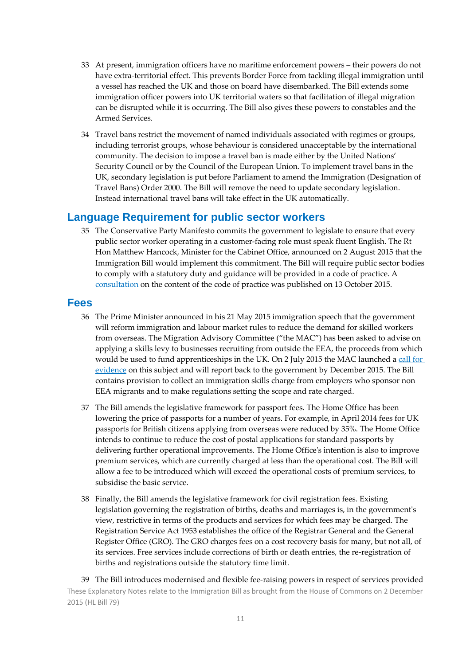- 33 At present, immigration officers have no maritime enforcement powers their powers do not have extra-territorial effect. This prevents Border Force from tackling illegal immigration until a vessel has reached the UK and those on board have disembarked. The Bill extends some immigration officer powers into UK territorial waters so that facilitation of illegal migration can be disrupted while it is occurring. The Bill also gives these powers to constables and the Armed Services.
- 34 Travel bans restrict the movement of named individuals associated with regimes or groups, including terrorist groups, whose behaviour is considered unacceptable by the international community. The decision to impose a travel ban is made either by the United Nations' Security Council or by the Council of the European Union. To implement travel bans in the UK, secondary legislation is put before Parliament to amend the Immigration (Designation of Travel Bans) Order 2000. The Bill will remove the need to update secondary legislation. Instead international travel bans will take effect in the UK automatically.

#### **Language Requirement for public sector workers**

35 The Conservative Party Manifesto commits the government to legislate to ensure that every public sector worker operating in a customer‐facing role must speak fluent English. The Rt Hon Matthew Hancock, Minister for the Cabinet Office, announced on 2 August 2015 that the Immigration Bill would implement this commitment. The Bill will require public sector bodies to comply with a statutory duty and guidance will be provided in a code of practice. A consultation on the content of the code of practice was published on 13 October 2015.

#### **Fees**

- 36 The Prime Minister announced in his 21 May 2015 immigration speech that the government will reform immigration and labour market rules to reduce the demand for skilled workers from overseas. The Migration Advisory Committee ("the MAC") has been asked to advise on applying a skills levy to businesses recruiting from outside the EEA, the proceeds from which would be used to fund apprenticeships in the UK. On 2 July 2015 the MAC launched a call for evidence on this subject and will report back to the government by December 2015. The Bill contains provision to collect an immigration skills charge from employers who sponsor non EEA migrants and to make regulations setting the scope and rate charged.
- 37 The Bill amends the legislative framework for passport fees. The Home Office has been lowering the price of passports for a number of years. For example, in April 2014 fees for UK passports for British citizens applying from overseas were reduced by 35%. The Home Office intends to continue to reduce the cost of postal applications for standard passports by delivering further operational improvements. The Home Office's intention is also to improve premium services, which are currently charged at less than the operational cost. The Bill will allow a fee to be introduced which will exceed the operational costs of premium services, to subsidise the basic service.
- 38 Finally, the Bill amends the legislative framework for civil registration fees. Existing legislation governing the registration of births, deaths and marriages is, in the government's view, restrictive in terms of the products and services for which fees may be charged. The Registration Service Act 1953 establishes the office of the Registrar General and the General Register Office (GRO). The GRO charges fees on a cost recovery basis for many, but not all, of its services. Free services include corrections of birth or death entries, the re-registration of births and registrations outside the statutory time limit.

These Explanatory Notes relate to the Immigration Bill as brought from the House of Commons on 2 December 2015 (HL Bill 79) 39 The Bill introduces modernised and flexible fee-raising powers in respect of services provided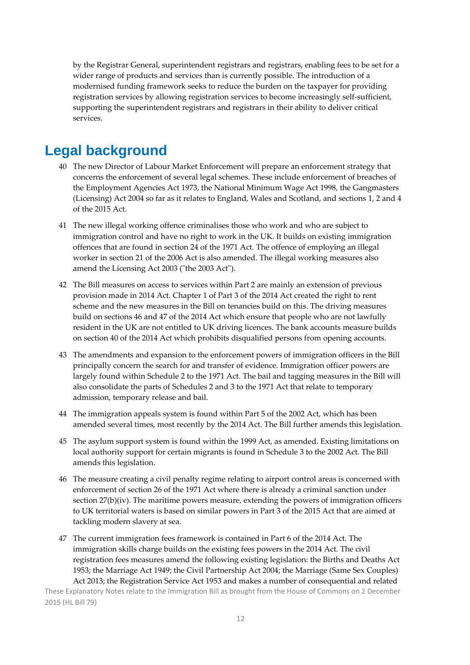by the Registrar General, superintendent registrars and registrars, enabling fees to be set for a wider range of products and services than is currently possible. The introduction of a modernised funding framework seeks to reduce the burden on the taxpayer for providing registration services by allowing registration services to become increasingly self-sufficient, supporting the superintendent registrars and registrars in their ability to deliver critical services.

## **Legal background**

- 40 The new Director of Labour Market Enforcement will prepare an enforcement strategy that concerns the enforcement of several legal schemes. These include enforcement of breaches of the Employment Agencies Act 1973, the National Minimum Wage Act 1998, the Gangmasters (Licensing) Act 2004 so far as it relates to England, Wales and Scotland, and sections 1, 2 and 4 of the 2015 Act.
- 41 The new illegal working offence criminalises those who work and who are subject to immigration control and have no right to work in the UK. It builds on existing immigration offences that are found in section 24 of the 1971 Act. The offence of employing an illegal worker in section 21 of the 2006 Act is also amended. The illegal working measures also amend the Licensing Act 2003 ("the 2003 Act").
- 42 The Bill measures on access to services within Part 2 are mainly an extension of previous provision made in 2014 Act. Chapter 1 of Part 3 of the 2014 Act created the right to rent scheme and the new measures in the Bill on tenancies build on this. The driving measures build on sections 46 and 47 of the 2014 Act which ensure that people who are not lawfully resident in the UK are not entitled to UK driving licences. The bank accounts measure builds on section 40 of the 2014 Act which prohibits disqualified persons from opening accounts.
- 43 The amendments and expansion to the enforcement powers of immigration officers in the Bill principally concern the search for and transfer of evidence. Immigration officer powers are largely found within Schedule 2 to the 1971 Act. The bail and tagging measures in the Bill will also consolidate the parts of Schedules 2 and 3 to the 1971 Act that relate to temporary admission, temporary release and bail.
- 44 The immigration appeals system is found within Part 5 of the 2002 Act, which has been amended several times, most recently by the 2014 Act. The Bill further amends this legislation.
- 45 The asylum support system is found within the 1999 Act, as amended. Existing limitations on local authority support for certain migrants is found in Schedule 3 to the 2002 Act. The Bill amends this legislation.
- 46 The measure creating a civil penalty regime relating to airport control areas is concerned with enforcement of section 26 of the 1971 Act where there is already a criminal sanction under section 27(b)(iv). The maritime powers measure, extending the powers of immigration officers to UK territorial waters is based on similar powers in Part 3 of the 2015 Act that are aimed at tackling modern slavery at sea.
- 47 The current immigration fees framework is contained in Part 6 of the 2014 Act. The immigration skills charge builds on the existing fees powers in the 2014 Act. The civil registration fees measures amend the following existing legislation: the Births and Deaths Act 1953; the Marriage Act 1949; the Civil Partnership Act 2004; the Marriage (Same Sex Couples) Act 2013; the Registration Service Act 1953 and makes a number of consequential and related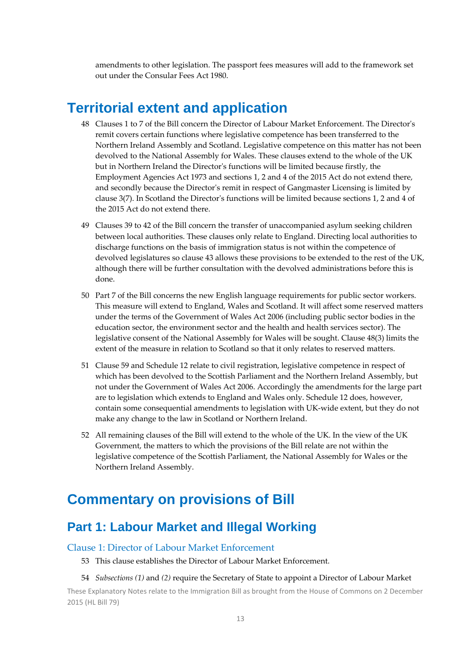amendments to other legislation. The passport fees measures will add to the framework set out under the Consular Fees Act 1980.

## **Territorial extent and application**

- 48 Clauses 1 to 7 of the Bill concern the Director of Labour Market Enforcement. The Directorʹs remit covers certain functions where legislative competence has been transferred to the Northern Ireland Assembly and Scotland. Legislative competence on this matter has not been devolved to the National Assembly for Wales. These clauses extend to the whole of the UK but in Northern Ireland the Directorʹs functions will be limited because firstly, the Employment Agencies Act 1973 and sections 1, 2 and 4 of the 2015 Act do not extend there, and secondly because the Directorʹs remit in respect of Gangmaster Licensing is limited by clause 3(7). In Scotland the Directorʹs functions will be limited because sections 1, 2 and 4 of the 2015 Act do not extend there.
- 49 Clauses 39 to 42 of the Bill concern the transfer of unaccompanied asylum seeking children between local authorities. These clauses only relate to England. Directing local authorities to discharge functions on the basis of immigration status is not within the competence of devolved legislatures so clause 43 allows these provisions to be extended to the rest of the UK, although there will be further consultation with the devolved administrations before this is done.
- 50 Part 7 of the Bill concerns the new English language requirements for public sector workers. This measure will extend to England, Wales and Scotland. It will affect some reserved matters under the terms of the Government of Wales Act 2006 (including public sector bodies in the education sector, the environment sector and the health and health services sector). The legislative consent of the National Assembly for Wales will be sought. Clause 48(3) limits the extent of the measure in relation to Scotland so that it only relates to reserved matters.
- 51 Clause 59 and Schedule 12 relate to civil registration, legislative competence in respect of which has been devolved to the Scottish Parliament and the Northern Ireland Assembly, but not under the Government of Wales Act 2006. Accordingly the amendments for the large part are to legislation which extends to England and Wales only. Schedule 12 does, however, contain some consequential amendments to legislation with UK‐wide extent, but they do not make any change to the law in Scotland or Northern Ireland.
- 52 All remaining clauses of the Bill will extend to the whole of the UK. In the view of the UK Government, the matters to which the provisions of the Bill relate are not within the legislative competence of the Scottish Parliament, the National Assembly for Wales or the Northern Ireland Assembly.

## **Commentary on provisions of Bill**

## **Part 1: Labour Market and Illegal Working**

#### Clause 1: Director of Labour Market Enforcement

53 This clause establishes the Director of Labour Market Enforcement.

#### 54 *Subsections (1)* and *(2)* require the Secretary of State to appoint a Director of Labour Market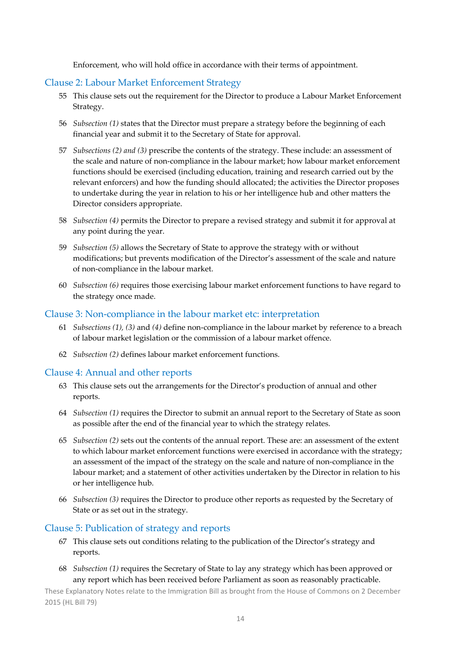Enforcement, who will hold office in accordance with their terms of appointment.

#### Clause 2: Labour Market Enforcement Strategy

- 55 This clause sets out the requirement for the Director to produce a Labour Market Enforcement Strategy.
- 56 *Subsection (1)* states that the Director must prepare a strategy before the beginning of each financial year and submit it to the Secretary of State for approval.
- 57 *Subsections (2) and (3)* prescribe the contents of the strategy. These include: an assessment of the scale and nature of non‐compliance in the labour market; how labour market enforcement functions should be exercised (including education, training and research carried out by the relevant enforcers) and how the funding should allocated; the activities the Director proposes to undertake during the year in relation to his or her intelligence hub and other matters the Director considers appropriate.
- 58 *Subsection (4)* permits the Director to prepare a revised strategy and submit it for approval at any point during the year.
- 59 *Subsection (5)* allows the Secretary of State to approve the strategy with or without modifications; but prevents modification of the Director's assessment of the scale and nature of non‐compliance in the labour market.
- 60 *Subsection (6)* requires those exercising labour market enforcement functions to have regard to the strategy once made.

#### Clause 3: Non‐compliance in the labour market etc: interpretation

- 61 *Subsections (1), (3)* and *(4)* define non‐compliance in the labour market by reference to a breach of labour market legislation or the commission of a labour market offence.
- 62 *Subsection (2)* defines labour market enforcement functions.

#### Clause 4: Annual and other reports

- 63 This clause sets out the arrangements for the Director's production of annual and other reports.
- 64 *Subsection (1)* requires the Director to submit an annual report to the Secretary of State as soon as possible after the end of the financial year to which the strategy relates.
- 65 *Subsection (2)* sets out the contents of the annual report. These are: an assessment of the extent to which labour market enforcement functions were exercised in accordance with the strategy; an assessment of the impact of the strategy on the scale and nature of non‐compliance in the labour market; and a statement of other activities undertaken by the Director in relation to his or her intelligence hub.
- 66 *Subsection (3)* requires the Director to produce other reports as requested by the Secretary of State or as set out in the strategy.

#### Clause 5: Publication of strategy and reports

- 67 This clause sets out conditions relating to the publication of the Director's strategy and reports.
- 68 *Subsection (1)* requires the Secretary of State to lay any strategy which has been approved or any report which has been received before Parliament as soon as reasonably practicable.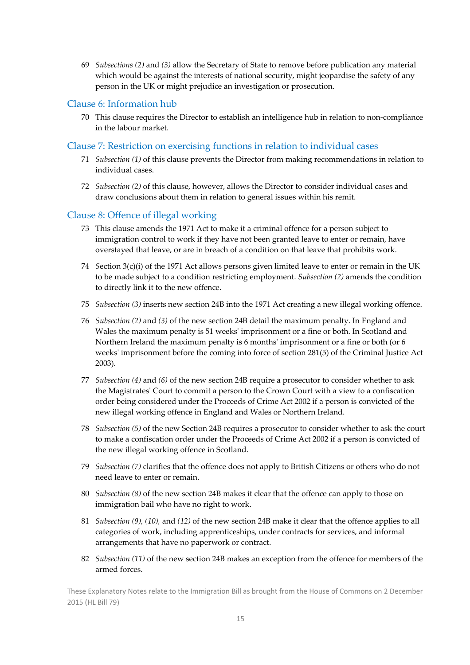69 *Subsections (2)* and *(3)* allow the Secretary of State to remove before publication any material which would be against the interests of national security, might jeopardise the safety of any person in the UK or might prejudice an investigation or prosecution.

#### Clause 6: Information hub

70 This clause requires the Director to establish an intelligence hub in relation to non‐compliance in the labour market.

#### Clause 7: Restriction on exercising functions in relation to individual cases

- 71 *Subsection (1)* of this clause prevents the Director from making recommendations in relation to individual cases.
- 72 *Subsection (2)* of this clause, however, allows the Director to consider individual cases and draw conclusions about them in relation to general issues within his remit.

#### Clause 8: Offence of illegal working

- 73 This clause amends the 1971 Act to make it a criminal offence for a person subject to immigration control to work if they have not been granted leave to enter or remain, have overstayed that leave, or are in breach of a condition on that leave that prohibits work.
- 74 *S*ection 3(c)(i) of the 1971 Act allows persons given limited leave to enter or remain in the UK to be made subject to a condition restricting employment. *Subsection (2)* amends the condition to directly link it to the new offence.
- 75 *Subsection (3)* inserts new section 24B into the 1971 Act creating a new illegal working offence.
- 76 *Subsection (2)* and *(3)* of the new section 24B detail the maximum penalty. In England and Wales the maximum penalty is 51 weeksʹ imprisonment or a fine or both. In Scotland and Northern Ireland the maximum penalty is 6 months' imprisonment or a fine or both (or 6 weeks' imprisonment before the coming into force of section 281(5) of the Criminal Justice Act 2003).
- 77 *Subsection (4)* and *(6)* of the new section 24B require a prosecutor to consider whether to ask the Magistratesʹ Court to commit a person to the Crown Court with a view to a confiscation order being considered under the Proceeds of Crime Act 2002 if a person is convicted of the new illegal working offence in England and Wales or Northern Ireland.
- 78 *Subsection (5)* of the new Section 24B requires a prosecutor to consider whether to ask the court to make a confiscation order under the Proceeds of Crime Act 2002 if a person is convicted of the new illegal working offence in Scotland.
- 79 *Subsection (7)* clarifies that the offence does not apply to British Citizens or others who do not need leave to enter or remain.
- 80 *Subsection (8)* of the new section 24B makes it clear that the offence can apply to those on immigration bail who have no right to work.
- 81 *Subsection (9), (10),* and *(12)* of the new section 24B make it clear that the offence applies to all categories of work, including apprenticeships, under contracts for services, and informal arrangements that have no paperwork or contract.
- 82 *Subsection (11)* of the new section 24B makes an exception from the offence for members of the armed forces.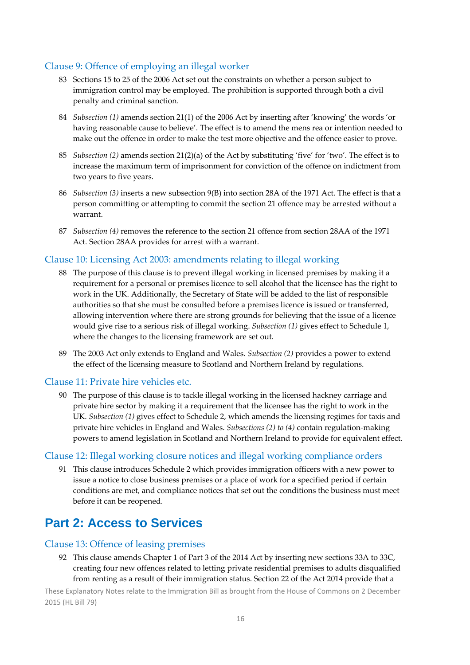#### Clause 9: Offence of employing an illegal worker

- 83 Sections 15 to 25 of the 2006 Act set out the constraints on whether a person subject to immigration control may be employed. The prohibition is supported through both a civil penalty and criminal sanction.
- 84 *Subsection (1)* amends section 21(1) of the 2006 Act by inserting after 'knowing' the words 'or having reasonable cause to believe'. The effect is to amend the mens rea or intention needed to make out the offence in order to make the test more objective and the offence easier to prove.
- 85 *Subsection (2)* amends section 21(2)(a) of the Act by substituting 'five' for 'two'. The effect is to increase the maximum term of imprisonment for conviction of the offence on indictment from two years to five years.
- 86 *Subsection (3)* inserts a new subsection 9(B) into section 28A of the 1971 Act. The effect is that a person committing or attempting to commit the section 21 offence may be arrested without a warrant.
- 87 *Subsection (4)* removes the reference to the section 21 offence from section 28AA of the 1971 Act. Section 28AA provides for arrest with a warrant.

#### Clause 10: Licensing Act 2003: amendments relating to illegal working

- 88 The purpose of this clause is to prevent illegal working in licensed premises by making it a requirement for a personal or premises licence to sell alcohol that the licensee has the right to work in the UK. Additionally, the Secretary of State will be added to the list of responsible authorities so that she must be consulted before a premises licence is issued or transferred, allowing intervention where there are strong grounds for believing that the issue of a licence would give rise to a serious risk of illegal working. *Subsection (1)* gives effect to Schedule 1, where the changes to the licensing framework are set out.
- 89 The 2003 Act only extends to England and Wales. *Subsection (2)* provides a power to extend the effect of the licensing measure to Scotland and Northern Ireland by regulations.

#### Clause 11: Private hire vehicles etc.

90 The purpose of this clause is to tackle illegal working in the licensed hackney carriage and private hire sector by making it a requirement that the licensee has the right to work in the UK. *Subsection (1)* gives effect to Schedule 2, which amends the licensing regimes for taxis and private hire vehicles in England and Wales. *Subsections (2) to (4)* contain regulation‐making powers to amend legislation in Scotland and Northern Ireland to provide for equivalent effect.

#### Clause 12: Illegal working closure notices and illegal working compliance orders

91 This clause introduces Schedule 2 which provides immigration officers with a new power to issue a notice to close business premises or a place of work for a specified period if certain conditions are met, and compliance notices that set out the conditions the business must meet before it can be reopened.

## **Part 2: Access to Services**

#### Clause 13: Offence of leasing premises

92 This clause amends Chapter 1 of Part 3 of the 2014 Act by inserting new sections 33A to 33C, creating four new offences related to letting private residential premises to adults disqualified from renting as a result of their immigration status. Section 22 of the Act 2014 provide that a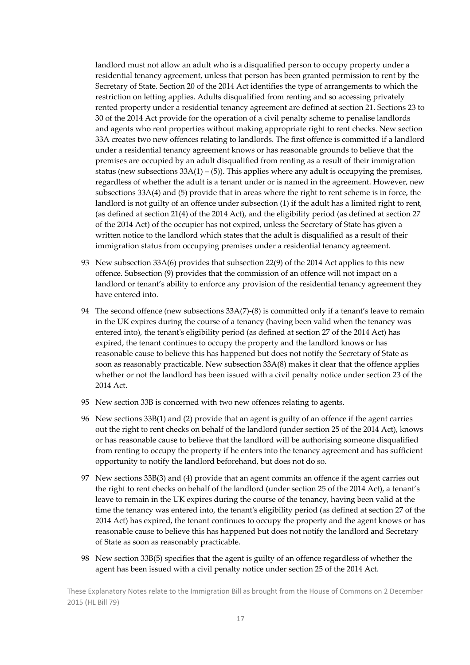landlord must not allow an adult who is a disqualified person to occupy property under a residential tenancy agreement, unless that person has been granted permission to rent by the Secretary of State. Section 20 of the 2014 Act identifies the type of arrangements to which the restriction on letting applies. Adults disqualified from renting and so accessing privately rented property under a residential tenancy agreement are defined at section 21. Sections 23 to 30 of the 2014 Act provide for the operation of a civil penalty scheme to penalise landlords and agents who rent properties without making appropriate right to rent checks. New section 33A creates two new offences relating to landlords. The first offence is committed if a landlord under a residential tenancy agreement knows or has reasonable grounds to believe that the premises are occupied by an adult disqualified from renting as a result of their immigration status (new subsections  $33A(1) - (5)$ ). This applies where any adult is occupying the premises, regardless of whether the adult is a tenant under or is named in the agreement. However, new subsections 33A(4) and (5) provide that in areas where the right to rent scheme is in force, the landlord is not guilty of an offence under subsection (1) if the adult has a limited right to rent, (as defined at section 21(4) of the 2014 Act), and the eligibility period (as defined at section 27 of the 2014 Act) of the occupier has not expired, unless the Secretary of State has given a written notice to the landlord which states that the adult is disqualified as a result of their immigration status from occupying premises under a residential tenancy agreement.

- 93 New subsection 33A(6) provides that subsection 22(9) of the 2014 Act applies to this new offence. Subsection (9) provides that the commission of an offence will not impact on a landlord or tenant's ability to enforce any provision of the residential tenancy agreement they have entered into.
- 94 The second offence (new subsections 33A(7)-(8) is committed only if a tenant's leave to remain in the UK expires during the course of a tenancy (having been valid when the tenancy was entered into), the tenant's eligibility period (as defined at section 27 of the 2014 Act) has expired, the tenant continues to occupy the property and the landlord knows or has reasonable cause to believe this has happened but does not notify the Secretary of State as soon as reasonably practicable. New subsection 33A(8) makes it clear that the offence applies whether or not the landlord has been issued with a civil penalty notice under section 23 of the 2014 Act.
- 95 New section 33B is concerned with two new offences relating to agents.
- 96 New sections 33B(1) and (2) provide that an agent is guilty of an offence if the agent carries out the right to rent checks on behalf of the landlord (under section 25 of the 2014 Act), knows or has reasonable cause to believe that the landlord will be authorising someone disqualified from renting to occupy the property if he enters into the tenancy agreement and has sufficient opportunity to notify the landlord beforehand, but does not do so.
- 97 New sections 33B(3) and (4) provide that an agent commits an offence if the agent carries out the right to rent checks on behalf of the landlord (under section 25 of the 2014 Act), a tenant's leave to remain in the UK expires during the course of the tenancy, having been valid at the time the tenancy was entered into, the tenant's eligibility period (as defined at section 27 of the 2014 Act) has expired, the tenant continues to occupy the property and the agent knows or has reasonable cause to believe this has happened but does not notify the landlord and Secretary of State as soon as reasonably practicable.
- 98 New section 33B(5) specifies that the agent is guilty of an offence regardless of whether the agent has been issued with a civil penalty notice under section 25 of the 2014 Act.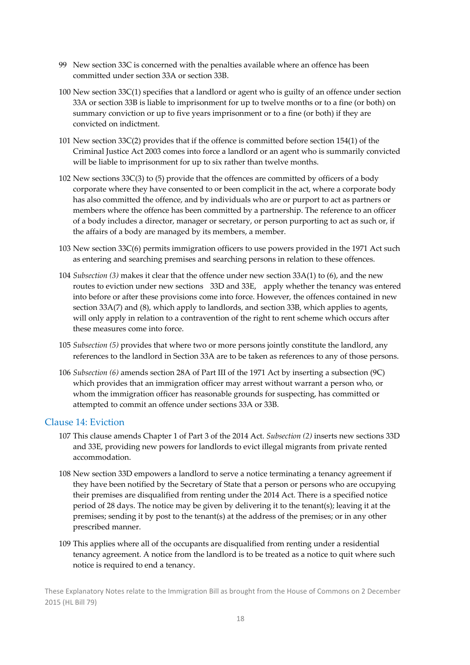- 99 New section 33C is concerned with the penalties available where an offence has been committed under section 33A or section 33B.
- 100 New section 33C(1) specifies that a landlord or agent who is guilty of an offence under section 33A or section 33B is liable to imprisonment for up to twelve months or to a fine (or both) on summary conviction or up to five years imprisonment or to a fine (or both) if they are convicted on indictment.
- 101 New section 33C(2) provides that if the offence is committed before section 154(1) of the Criminal Justice Act 2003 comes into force a landlord or an agent who is summarily convicted will be liable to imprisonment for up to six rather than twelve months.
- 102 New sections 33C(3) to (5) provide that the offences are committed by officers of a body corporate where they have consented to or been complicit in the act, where a corporate body has also committed the offence, and by individuals who are or purport to act as partners or members where the offence has been committed by a partnership. The reference to an officer of a body includes a director, manager or secretary, or person purporting to act as such or, if the affairs of a body are managed by its members, a member.
- 103 New section 33C(6) permits immigration officers to use powers provided in the 1971 Act such as entering and searching premises and searching persons in relation to these offences.
- 104 *Subsection (3)* makes it clear that the offence under new section 33A(1) to (6), and the new routes to eviction under new sections 33D and 33E, apply whether the tenancy was entered into before or after these provisions come into force. However, the offences contained in new section 33A(7) and (8), which apply to landlords, and section 33B, which applies to agents, will only apply in relation to a contravention of the right to rent scheme which occurs after these measures come into force.
- 105 *Subsection (5)* provides that where two or more persons jointly constitute the landlord, any references to the landlord in Section 33A are to be taken as references to any of those persons.
- 106 *Subsection (6)* amends section 28A of Part III of the 1971 Act by inserting a subsection (9C) which provides that an immigration officer may arrest without warrant a person who, or whom the immigration officer has reasonable grounds for suspecting, has committed or attempted to commit an offence under sections 33A or 33B.

#### Clause 14: Eviction

- 107 This clause amends Chapter 1 of Part 3 of the 2014 Act. *Subsection (2)* inserts new sections 33D and 33E, providing new powers for landlords to evict illegal migrants from private rented accommodation.
- 108 New section 33D empowers a landlord to serve a notice terminating a tenancy agreement if they have been notified by the Secretary of State that a person or persons who are occupying their premises are disqualified from renting under the 2014 Act. There is a specified notice period of 28 days. The notice may be given by delivering it to the tenant(s); leaving it at the premises; sending it by post to the tenant(s) at the address of the premises; or in any other prescribed manner.
- 109 This applies where all of the occupants are disqualified from renting under a residential tenancy agreement. A notice from the landlord is to be treated as a notice to quit where such notice is required to end a tenancy.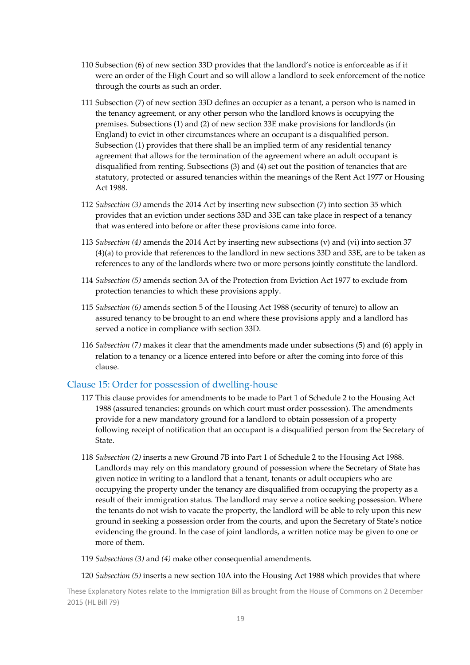- 110 Subsection (6) of new section 33D provides that the landlord's notice is enforceable as if it were an order of the High Court and so will allow a landlord to seek enforcement of the notice through the courts as such an order.
- 111 Subsection (7) of new section 33D defines an occupier as a tenant, a person who is named in the tenancy agreement, or any other person who the landlord knows is occupying the premises. Subsections (1) and (2) of new section 33E make provisions for landlords (in England) to evict in other circumstances where an occupant is a disqualified person. Subsection (1) provides that there shall be an implied term of any residential tenancy agreement that allows for the termination of the agreement where an adult occupant is disqualified from renting. Subsections (3) and (4) set out the position of tenancies that are statutory, protected or assured tenancies within the meanings of the Rent Act 1977 or Housing Act 1988.
- 112 *Subsection (3)* amends the 2014 Act by inserting new subsection (7) into section 35 which provides that an eviction under sections 33D and 33E can take place in respect of a tenancy that was entered into before or after these provisions came into force.
- 113 *Subsection (4)* amends the 2014 Act by inserting new subsections (v) and (vi) into section 37 (4)(a) to provide that references to the landlord in new sections 33D and 33E, are to be taken as references to any of the landlords where two or more persons jointly constitute the landlord.
- 114 *Subsection (5)* amends section 3A of the Protection from Eviction Act 1977 to exclude from protection tenancies to which these provisions apply.
- 115 *Subsection (6)* amends section 5 of the Housing Act 1988 (security of tenure) to allow an assured tenancy to be brought to an end where these provisions apply and a landlord has served a notice in compliance with section 33D.
- 116 *Subsection (7)* makes it clear that the amendments made under subsections (5) and (6) apply in relation to a tenancy or a licence entered into before or after the coming into force of this clause.

#### Clause 15: Order for possession of dwelling‐house

- 117 This clause provides for amendments to be made to Part 1 of Schedule 2 to the Housing Act 1988 (assured tenancies: grounds on which court must order possession). The amendments provide for a new mandatory ground for a landlord to obtain possession of a property following receipt of notification that an occupant is a disqualified person from the Secretary of State.
- 118 *Subsection (2)* inserts a new Ground 7B into Part 1 of Schedule 2 to the Housing Act 1988. Landlords may rely on this mandatory ground of possession where the Secretary of State has given notice in writing to a landlord that a tenant, tenants or adult occupiers who are occupying the property under the tenancy are disqualified from occupying the property as a result of their immigration status. The landlord may serve a notice seeking possession. Where the tenants do not wish to vacate the property, the landlord will be able to rely upon this new ground in seeking a possession order from the courts, and upon the Secretary of State's notice evidencing the ground. In the case of joint landlords, a written notice may be given to one or more of them.
- 119 *Subsections (3)* and *(4)* make other consequential amendments.

120 *Subsection (5)* inserts a new section 10A into the Housing Act 1988 which provides that where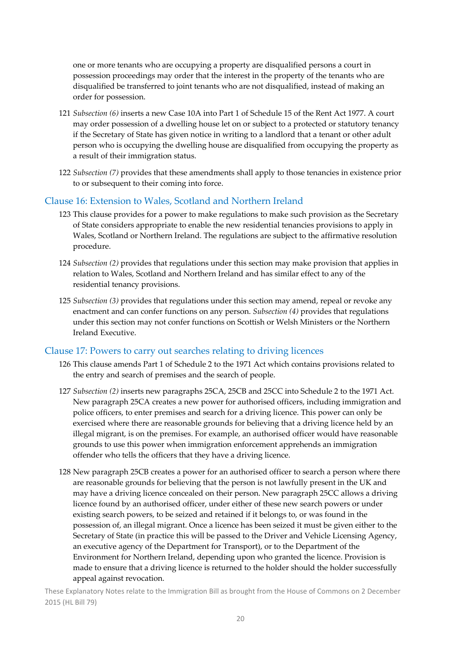one or more tenants who are occupying a property are disqualified persons a court in possession proceedings may order that the interest in the property of the tenants who are disqualified be transferred to joint tenants who are not disqualified, instead of making an order for possession.

- 121 *Subsection (6)* inserts a new Case 10A into Part 1 of Schedule 15 of the Rent Act 1977. A court may order possession of a dwelling house let on or subject to a protected or statutory tenancy if the Secretary of State has given notice in writing to a landlord that a tenant or other adult person who is occupying the dwelling house are disqualified from occupying the property as a result of their immigration status.
- 122 *Subsection (7)* provides that these amendments shall apply to those tenancies in existence prior to or subsequent to their coming into force.

#### Clause 16: Extension to Wales, Scotland and Northern Ireland

- 123 This clause provides for a power to make regulations to make such provision as the Secretary of State considers appropriate to enable the new residential tenancies provisions to apply in Wales, Scotland or Northern Ireland. The regulations are subject to the affirmative resolution procedure.
- 124 *Subsection (2)* provides that regulations under this section may make provision that applies in relation to Wales, Scotland and Northern Ireland and has similar effect to any of the residential tenancy provisions.
- 125 *Subsection (3)* provides that regulations under this section may amend, repeal or revoke any enactment and can confer functions on any person. *Subsection (4)* provides that regulations under this section may not confer functions on Scottish or Welsh Ministers or the Northern Ireland Executive.

#### Clause 17: Powers to carry out searches relating to driving licences

- 126 This clause amends Part 1 of Schedule 2 to the 1971 Act which contains provisions related to the entry and search of premises and the search of people.
- 127 *Subsection (2)* inserts new paragraphs 25CA, 25CB and 25CC into Schedule 2 to the 1971 Act. New paragraph 25CA creates a new power for authorised officers, including immigration and police officers, to enter premises and search for a driving licence. This power can only be exercised where there are reasonable grounds for believing that a driving licence held by an illegal migrant, is on the premises. For example, an authorised officer would have reasonable grounds to use this power when immigration enforcement apprehends an immigration offender who tells the officers that they have a driving licence.
- 128 New paragraph 25CB creates a power for an authorised officer to search a person where there are reasonable grounds for believing that the person is not lawfully present in the UK and may have a driving licence concealed on their person. New paragraph 25CC allows a driving licence found by an authorised officer, under either of these new search powers or under existing search powers, to be seized and retained if it belongs to, or was found in the possession of, an illegal migrant. Once a licence has been seized it must be given either to the Secretary of State (in practice this will be passed to the Driver and Vehicle Licensing Agency, an executive agency of the Department for Transport), or to the Department of the Environment for Northern Ireland, depending upon who granted the licence. Provision is made to ensure that a driving licence is returned to the holder should the holder successfully appeal against revocation.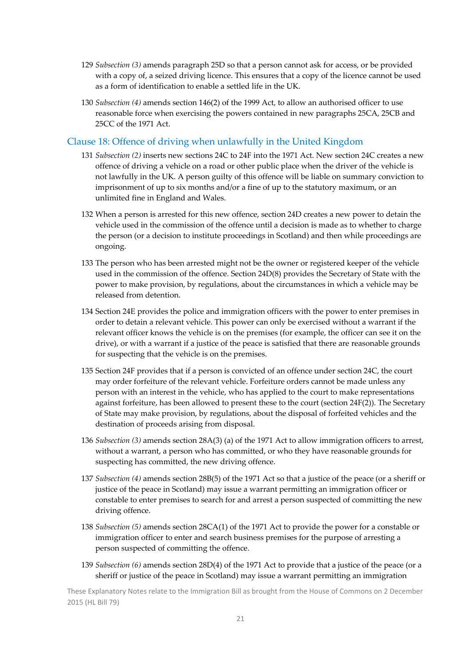- 129 *Subsection (3)* amends paragraph 25D so that a person cannot ask for access, or be provided with a copy of, a seized driving licence. This ensures that a copy of the licence cannot be used as a form of identification to enable a settled life in the UK.
- 130 *Subsection (4)* amends section 146(2) of the 1999 Act, to allow an authorised officer to use reasonable force when exercising the powers contained in new paragraphs 25CA, 25CB and 25CC of the 1971 Act.

#### Clause 18: Offence of driving when unlawfully in the United Kingdom

- 131 *Subsection (2)* inserts new sections 24C to 24F into the 1971 Act. New section 24C creates a new offence of driving a vehicle on a road or other public place when the driver of the vehicle is not lawfully in the UK. A person guilty of this offence will be liable on summary conviction to imprisonment of up to six months and/or a fine of up to the statutory maximum, or an unlimited fine in England and Wales.
- 132 When a person is arrested for this new offence, section 24D creates a new power to detain the vehicle used in the commission of the offence until a decision is made as to whether to charge the person (or a decision to institute proceedings in Scotland) and then while proceedings are ongoing.
- 133 The person who has been arrested might not be the owner or registered keeper of the vehicle used in the commission of the offence. Section 24D(8) provides the Secretary of State with the power to make provision, by regulations, about the circumstances in which a vehicle may be released from detention.
- 134 Section 24E provides the police and immigration officers with the power to enter premises in order to detain a relevant vehicle. This power can only be exercised without a warrant if the relevant officer knows the vehicle is on the premises (for example, the officer can see it on the drive), or with a warrant if a justice of the peace is satisfied that there are reasonable grounds for suspecting that the vehicle is on the premises.
- 135 Section 24F provides that if a person is convicted of an offence under section 24C, the court may order forfeiture of the relevant vehicle. Forfeiture orders cannot be made unless any person with an interest in the vehicle, who has applied to the court to make representations against forfeiture, has been allowed to present these to the court (section 24F(2)). The Secretary of State may make provision, by regulations, about the disposal of forfeited vehicles and the destination of proceeds arising from disposal.
- 136 *Subsection (3)* amends section 28A(3) (a) of the 1971 Act to allow immigration officers to arrest, without a warrant, a person who has committed, or who they have reasonable grounds for suspecting has committed, the new driving offence.
- 137 *Subsection (4)* amends section 28B(5) of the 1971 Act so that a justice of the peace (or a sheriff or justice of the peace in Scotland) may issue a warrant permitting an immigration officer or constable to enter premises to search for and arrest a person suspected of committing the new driving offence.
- 138 *Subsection (5)* amends section 28CA(1) of the 1971 Act to provide the power for a constable or immigration officer to enter and search business premises for the purpose of arresting a person suspected of committing the offence.
- 139 *Subsection (6)* amends section 28D(4) of the 1971 Act to provide that a justice of the peace (or a sheriff or justice of the peace in Scotland) may issue a warrant permitting an immigration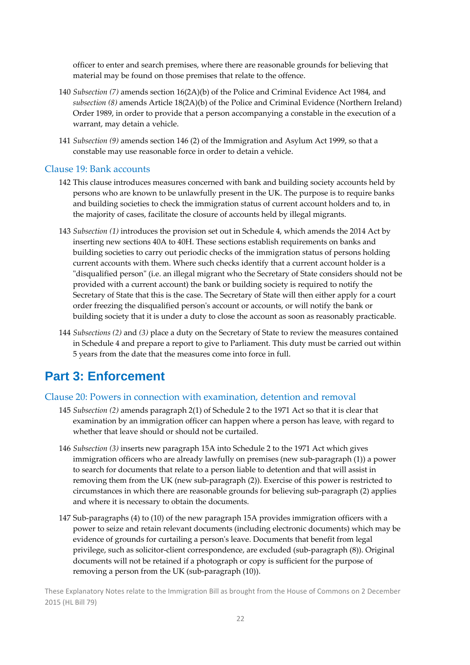officer to enter and search premises, where there are reasonable grounds for believing that material may be found on those premises that relate to the offence.

- 140 *Subsection (7)* amends section 16(2A)(b) of the Police and Criminal Evidence Act 1984, and *subsection (8)* amends Article 18(2A)(b) of the Police and Criminal Evidence (Northern Ireland) Order 1989, in order to provide that a person accompanying a constable in the execution of a warrant, may detain a vehicle.
- 141 *Subsection (9)* amends section 146 (2) of the Immigration and Asylum Act 1999, so that a constable may use reasonable force in order to detain a vehicle.

#### Clause 19: Bank accounts

- 142 This clause introduces measures concerned with bank and building society accounts held by persons who are known to be unlawfully present in the UK. The purpose is to require banks and building societies to check the immigration status of current account holders and to, in the majority of cases, facilitate the closure of accounts held by illegal migrants.
- 143 *Subsection (1)* introduces the provision set out in Schedule 4, which amends the 2014 Act by inserting new sections 40A to 40H. These sections establish requirements on banks and building societies to carry out periodic checks of the immigration status of persons holding current accounts with them. Where such checks identify that a current account holder is a "disqualified person" (i.e. an illegal migrant who the Secretary of State considers should not be provided with a current account) the bank or building society is required to notify the Secretary of State that this is the case. The Secretary of State will then either apply for a court order freezing the disqualified personʹs account or accounts, or will notify the bank or building society that it is under a duty to close the account as soon as reasonably practicable.
- 144 *Subsections (2)* and *(3)* place a duty on the Secretary of State to review the measures contained in Schedule 4 and prepare a report to give to Parliament. This duty must be carried out within 5 years from the date that the measures come into force in full.

## **Part 3: Enforcement**

#### Clause 20: Powers in connection with examination, detention and removal

- 145 *Subsection (2)* amends paragraph 2(1) of Schedule 2 to the 1971 Act so that it is clear that examination by an immigration officer can happen where a person has leave, with regard to whether that leave should or should not be curtailed.
- 146 *Subsection (3)* inserts new paragraph 15A into Schedule 2 to the 1971 Act which gives immigration officers who are already lawfully on premises (new sub-paragraph (1)) a power to search for documents that relate to a person liable to detention and that will assist in removing them from the UK (new sub‐paragraph (2)). Exercise of this power is restricted to circumstances in which there are reasonable grounds for believing sub‐paragraph (2) applies and where it is necessary to obtain the documents.
- 147 Sub‐paragraphs (4) to (10) of the new paragraph 15A provides immigration officers with a power to seize and retain relevant documents (including electronic documents) which may be evidence of grounds for curtailing a personʹs leave. Documents that benefit from legal privilege, such as solicitor‐client correspondence, are excluded (sub‐paragraph (8)). Original documents will not be retained if a photograph or copy is sufficient for the purpose of removing a person from the UK (sub‐paragraph (10)).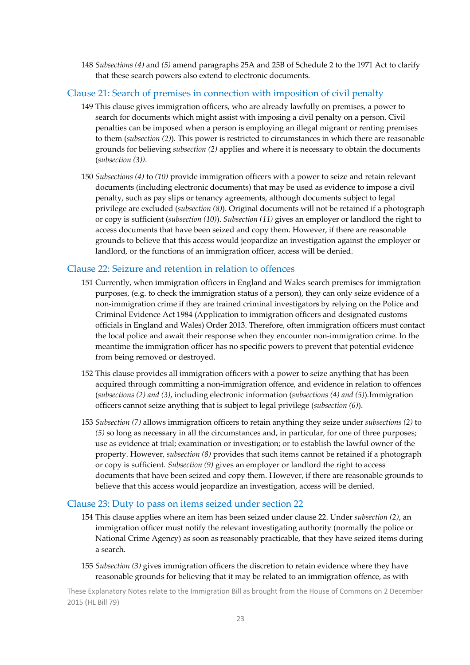148 *Subsections (4)* and *(5)* amend paragraphs 25A and 25B of Schedule 2 to the 1971 Act to clarify that these search powers also extend to electronic documents.

#### Clause 21: Search of premises in connection with imposition of civil penalty

- 149 This clause gives immigration officers, who are already lawfully on premises, a power to search for documents which might assist with imposing a civil penalty on a person. Civil penalties can be imposed when a person is employing an illegal migrant or renting premises to them (*subsection (2)*)*.* This power is restricted to circumstances in which there are reasonable grounds for believing *subsection (2)* applies and where it is necessary to obtain the documents (*subsection (3))*.
- 150 *Subsections (4)* to *(10)* provide immigration officers with a power to seize and retain relevant documents (including electronic documents) that may be used as evidence to impose a civil penalty, such as pay slips or tenancy agreements, although documents subject to legal privilege are excluded (*subsection (8)*). Original documents will not be retained if a photograph or copy is sufficient (*subsection (10)*). *Subsection (11)* gives an employer or landlord the right to access documents that have been seized and copy them. However, if there are reasonable grounds to believe that this access would jeopardize an investigation against the employer or landlord, or the functions of an immigration officer, access will be denied.

#### Clause 22: Seizure and retention in relation to offences

- 151 Currently, when immigration officers in England and Wales search premises for immigration purposes, (e.g. to check the immigration status of a person), they can only seize evidence of a non‐immigration crime if they are trained criminal investigators by relying on the Police and Criminal Evidence Act 1984 (Application to immigration officers and designated customs officials in England and Wales) Order 2013. Therefore, often immigration officers must contact the local police and await their response when they encounter non‐immigration crime. In the meantime the immigration officer has no specific powers to prevent that potential evidence from being removed or destroyed.
- 152 This clause provides all immigration officers with a power to seize anything that has been acquired through committing a non‐immigration offence, and evidence in relation to offences (*subsections (2) and (3)*, including electronic information (*subsections (4) and (5)*)*.*Immigration officers cannot seize anything that is subject to legal privilege (*subsection (6)*).
- 153 *Subsection (7)* allows immigration officers to retain anything they seize under *subsections (2)* to *(5)* so long as necessary in all the circumstances and, in particular, for one of three purposes; use as evidence at trial; examination or investigation; or to establish the lawful owner of the property. However, *subsection (8)* provides that such items cannot be retained if a photograph or copy is sufficient*. Subsection (9)* gives an employer or landlord the right to access documents that have been seized and copy them. However, if there are reasonable grounds to believe that this access would jeopardize an investigation, access will be denied.

#### Clause 23: Duty to pass on items seized under section 22

- 154 This clause applies where an item has been seized under clause 22. Under *subsection (2)*, an immigration officer must notify the relevant investigating authority (normally the police or National Crime Agency) as soon as reasonably practicable, that they have seized items during a search.
- 155 *Subsection (3)* gives immigration officers the discretion to retain evidence where they have reasonable grounds for believing that it may be related to an immigration offence, as with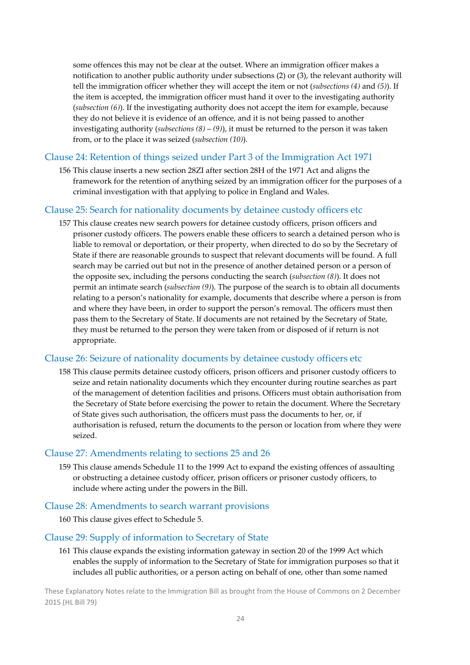some offences this may not be clear at the outset. Where an immigration officer makes a notification to another public authority under subsections (2) or (3), the relevant authority will tell the immigration officer whether they will accept the item or not (*subsections (4)* and *(5)*). If the item is accepted, the immigration officer must hand it over to the investigating authority (*subsection (6)*). If the investigating authority does not accept the item for example, because they do not believe it is evidence of an offence, and it is not being passed to another investigating authority (*subsections (8)* – *(9)*), it must be returned to the person it was taken from, or to the place it was seized (*subsection (10)*)*.*

#### Clause 24: Retention of things seized under Part 3 of the Immigration Act 1971

156 This clause inserts a new section 28ZI after section 28H of the 1971 Act and aligns the framework for the retention of anything seized by an immigration officer for the purposes of a criminal investigation with that applying to police in England and Wales.

#### Clause 25: Search for nationality documents by detainee custody officers etc

157 This clause creates new search powers for detainee custody officers, prison officers and prisoner custody officers. The powers enable these officers to search a detained person who is liable to removal or deportation, or their property, when directed to do so by the Secretary of State if there are reasonable grounds to suspect that relevant documents will be found. A full search may be carried out but not in the presence of another detained person or a person of the opposite sex, including the persons conducting the search (*subsection (8)*). It does not permit an intimate search (*subsection (9)*). The purpose of the search is to obtain all documents relating to a person's nationality for example, documents that describe where a person is from and where they have been, in order to support the person's removal. The officers must then pass them to the Secretary of State. If documents are not retained by the Secretary of State, they must be returned to the person they were taken from or disposed of if return is not appropriate.

#### Clause 26: Seizure of nationality documents by detainee custody officers etc

158 This clause permits detainee custody officers, prison officers and prisoner custody officers to seize and retain nationality documents which they encounter during routine searches as part of the management of detention facilities and prisons. Officers must obtain authorisation from the Secretary of State before exercising the power to retain the document. Where the Secretary of State gives such authorisation, the officers must pass the documents to her, or, if authorisation is refused, return the documents to the person or location from where they were seized.

#### Clause 27: Amendments relating to sections 25 and 26

159 This clause amends Schedule 11 to the 1999 Act to expand the existing offences of assaulting or obstructing a detainee custody officer, prison officers or prisoner custody officers, to include where acting under the powers in the Bill.

#### Clause 28: Amendments to search warrant provisions

160 This clause gives effect to Schedule 5.

#### Clause 29: Supply of information to Secretary of State

161 This clause expands the existing information gateway in section 20 of the 1999 Act which enables the supply of information to the Secretary of State for immigration purposes so that it includes all public authorities, or a person acting on behalf of one, other than some named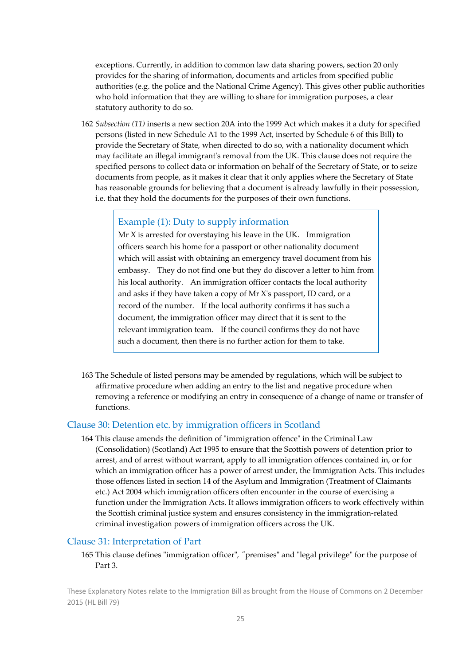exceptions. Currently, in addition to common law data sharing powers, section 20 only provides for the sharing of information, documents and articles from specified public authorities (e.g. the police and the National Crime Agency). This gives other public authorities who hold information that they are willing to share for immigration purposes, a clear statutory authority to do so.

162 *Subsection (11)* inserts a new section 20A into the 1999 Act which makes it a duty for specified persons (listed in new Schedule A1 to the 1999 Act, inserted by Schedule 6 of this Bill) to provide the Secretary of State, when directed to do so, with a nationality document which may facilitate an illegal immigrantʹs removal from the UK. This clause does not require the specified persons to collect data or information on behalf of the Secretary of State, or to seize documents from people, as it makes it clear that it only applies where the Secretary of State has reasonable grounds for believing that a document is already lawfully in their possession, i.e. that they hold the documents for the purposes of their own functions.

#### Example (1): Duty to supply information

 $Mr X$  is arrested for overstaying his leave in the UK. Immigration officers search his home for a passport or other nationality document which will assist with obtaining an emergency travel document from his embassy. They do not find one but they do discover a letter to him from his local authority. An immigration officer contacts the local authority and asks if they have taken a copy of Mr Xʹs passport, ID card, or a record of the number. If the local authority confirms it has such a document, the immigration officer may direct that it is sent to the relevant immigration team. If the council confirms they do not have such a document, then there is no further action for them to take.

163 The Schedule of listed persons may be amended by regulations, which will be subject to affirmative procedure when adding an entry to the list and negative procedure when removing a reference or modifying an entry in consequence of a change of name or transfer of functions.

#### Clause 30: Detention etc. by immigration officers in Scotland

164 This clause amends the definition of "immigration offence" in the Criminal Law (Consolidation) (Scotland) Act 1995 to ensure that the Scottish powers of detention prior to arrest, and of arrest without warrant, apply to all immigration offences contained in, or for which an immigration officer has a power of arrest under, the Immigration Acts. This includes those offences listed in section 14 of the Asylum and Immigration (Treatment of Claimants etc.) Act 2004 which immigration officers often encounter in the course of exercising a function under the Immigration Acts. It allows immigration officers to work effectively within the Scottish criminal justice system and ensures consistency in the immigration‐related criminal investigation powers of immigration officers across the UK.

#### Clause 31: Interpretation of Part

165 This clause defines "immigration officer", "premises" and "legal privilege" for the purpose of Part 3.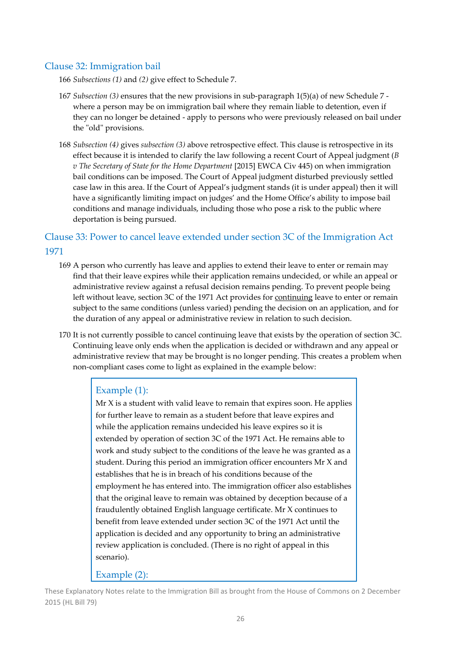#### Clause 32: Immigration bail

166 *Subsections (1)* and *(2)* give effect to Schedule 7.

- 167 *Subsection (3)* ensures that the new provisions in sub‐paragraph 1(5)(a) of new Schedule 7 ‐ where a person may be on immigration bail where they remain liable to detention, even if they can no longer be detained ‐ apply to persons who were previously released on bail under the "old" provisions.
- 168 *Subsection (4)* gives *subsection (3)* above retrospective effect. This clause is retrospective in its effect because it is intended to clarify the law following a recent Court of Appeal judgment (*B v The Secretary of State for the Home Department* [2015] EWCA Civ 445) on when immigration bail conditions can be imposed. The Court of Appeal judgment disturbed previously settled case law in this area. If the Court of Appeal's judgment stands (it is under appeal) then it will have a significantly limiting impact on judges' and the Home Office's ability to impose bail conditions and manage individuals, including those who pose a risk to the public where deportation is being pursued.

### Clause 33: Power to cancel leave extended under section 3C of the Immigration Act 1971

- 169 A person who currently has leave and applies to extend their leave to enter or remain may find that their leave expires while their application remains undecided, or while an appeal or administrative review against a refusal decision remains pending. To prevent people being left without leave, section 3C of the 1971 Act provides for continuing leave to enter or remain subject to the same conditions (unless varied) pending the decision on an application, and for the duration of any appeal or administrative review in relation to such decision.
- 170 It is not currently possible to cancel continuing leave that exists by the operation of section 3C. Continuing leave only ends when the application is decided or withdrawn and any appeal or administrative review that may be brought is no longer pending. This creates a problem when non‐compliant cases come to light as explained in the example below:

#### Example (1):

Mr X is a student with valid leave to remain that expires soon. He applies for further leave to remain as a student before that leave expires and while the application remains undecided his leave expires so it is extended by operation of section 3C of the 1971 Act. He remains able to work and study subject to the conditions of the leave he was granted as a student. During this period an immigration officer encounters Mr X and establishes that he is in breach of his conditions because of the employment he has entered into. The immigration officer also establishes that the original leave to remain was obtained by deception because of a fraudulently obtained English language certificate. Mr X continues to benefit from leave extended under section 3C of the 1971 Act until the application is decided and any opportunity to bring an administrative review application is concluded. (There is no right of appeal in this scenario).

Example (2):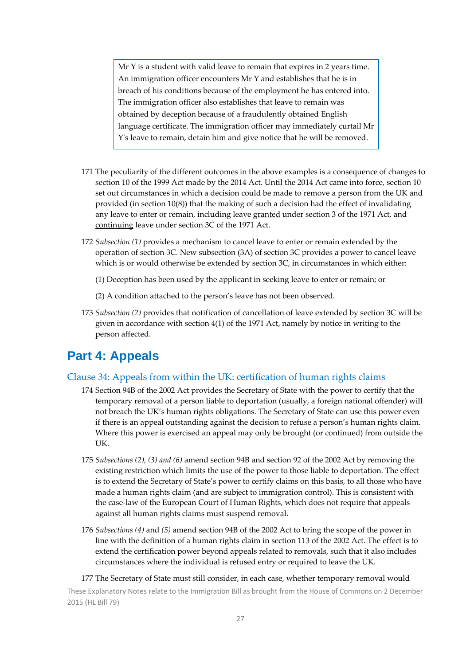Mr Y is a student with valid leave to remain that expires in 2 years time. An immigration officer encounters Mr Y and establishes that he is in breach of his conditions because of the employment he has entered into. The immigration officer also establishes that leave to remain was obtained by deception because of a fraudulently obtained English language certificate. The immigration officer may immediately curtail Mr Yʹs leave to remain, detain him and give notice that he will be removed.

- 171 The peculiarity of the different outcomes in the above examples is a consequence of changes to section 10 of the 1999 Act made by the 2014 Act. Until the 2014 Act came into force, section 10 set out circumstances in which a decision could be made to remove a person from the UK and provided (in section 10(8)) that the making of such a decision had the effect of invalidating any leave to enter or remain, including leave granted under section 3 of the 1971 Act, and continuing leave under section 3C of the 1971 Act.
- 172 *Subsection (1)* provides a mechanism to cancel leave to enter or remain extended by the operation of section 3C. New subsection (3A) of section 3C provides a power to cancel leave which is or would otherwise be extended by section 3C, in circumstances in which either:
	- (1) Deception has been used by the applicant in seeking leave to enter or remain; or
	- (2) A condition attached to the person's leave has not been observed.
- 173 *Subsection (2)* provides that notification of cancellation of leave extended by section 3C will be given in accordance with section 4(1) of the 1971 Act, namely by notice in writing to the person affected.

## **Part 4: Appeals**

#### Clause 34: Appeals from within the UK: certification of human rights claims

- 174 Section 94B of the 2002 Act provides the Secretary of State with the power to certify that the temporary removal of a person liable to deportation (usually, a foreign national offender) will not breach the UK's human rights obligations. The Secretary of State can use this power even if there is an appeal outstanding against the decision to refuse a person's human rights claim. Where this power is exercised an appeal may only be brought (or continued) from outside the UK.
- 175 *Subsections (2), (3) and (6)* amend section 94B and section 92 of the 2002 Act by removing the existing restriction which limits the use of the power to those liable to deportation. The effect is to extend the Secretary of State's power to certify claims on this basis, to all those who have made a human rights claim (and are subject to immigration control). This is consistent with the case‐law of the European Court of Human Rights, which does not require that appeals against all human rights claims must suspend removal.
- 176 *Subsections (4)* and *(5)* amend section 94B of the 2002 Act to bring the scope of the power in line with the definition of a human rights claim in section 113 of the 2002 Act. The effect is to extend the certification power beyond appeals related to removals, such that it also includes circumstances where the individual is refused entry or required to leave the UK.
- 177 The Secretary of State must still consider, in each case, whether temporary removal would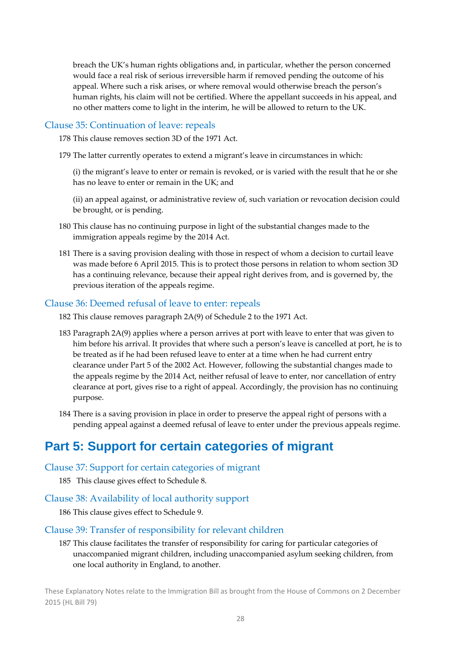breach the UK's human rights obligations and, in particular, whether the person concerned would face a real risk of serious irreversible harm if removed pending the outcome of his appeal. Where such a risk arises, or where removal would otherwise breach the person's human rights, his claim will not be certified. Where the appellant succeeds in his appeal, and no other matters come to light in the interim, he will be allowed to return to the UK.

#### Clause 35: Continuation of leave: repeals

178 This clause removes section 3D of the 1971 Act.

179 The latter currently operates to extend a migrant's leave in circumstances in which:

(i) the migrant's leave to enter or remain is revoked, or is varied with the result that he or she has no leave to enter or remain in the UK; and

(ii) an appeal against, or administrative review of, such variation or revocation decision could be brought, or is pending.

- 180 This clause has no continuing purpose in light of the substantial changes made to the immigration appeals regime by the 2014 Act.
- 181 There is a saving provision dealing with those in respect of whom a decision to curtail leave was made before 6 April 2015. This is to protect those persons in relation to whom section 3D has a continuing relevance, because their appeal right derives from, and is governed by, the previous iteration of the appeals regime.

#### Clause 36: Deemed refusal of leave to enter: repeals

- 182 This clause removes paragraph 2A(9) of Schedule 2 to the 1971 Act.
- 183 Paragraph 2A(9) applies where a person arrives at port with leave to enter that was given to him before his arrival. It provides that where such a person's leave is cancelled at port, he is to be treated as if he had been refused leave to enter at a time when he had current entry clearance under Part 5 of the 2002 Act. However, following the substantial changes made to the appeals regime by the 2014 Act, neither refusal of leave to enter, nor cancellation of entry clearance at port, gives rise to a right of appeal. Accordingly, the provision has no continuing purpose.
- 184 There is a saving provision in place in order to preserve the appeal right of persons with a pending appeal against a deemed refusal of leave to enter under the previous appeals regime.

## **Part 5: Support for certain categories of migrant**

Clause 37: Support for certain categories of migrant

185 This clause gives effect to Schedule 8.

#### Clause 38: Availability of local authority support

186 This clause gives effect to Schedule 9.

#### Clause 39: Transfer of responsibility for relevant children

187 This clause facilitates the transfer of responsibility for caring for particular categories of unaccompanied migrant children, including unaccompanied asylum seeking children, from one local authority in England, to another.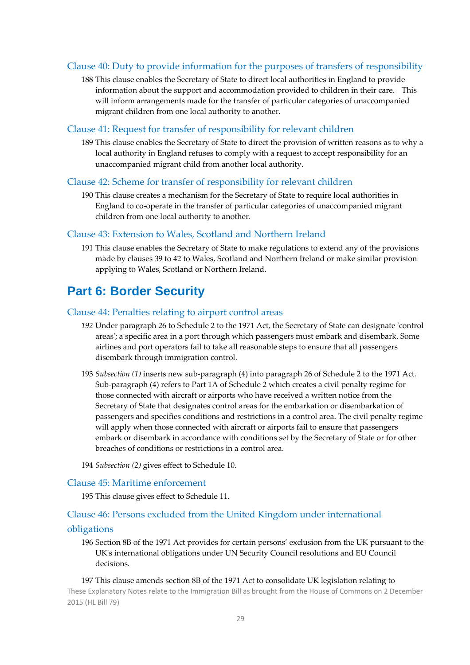#### Clause 40: Duty to provide information for the purposes of transfers of responsibility

188 This clause enables the Secretary of State to direct local authorities in England to provide information about the support and accommodation provided to children in their care. This will inform arrangements made for the transfer of particular categories of unaccompanied migrant children from one local authority to another.

#### Clause 41: Request for transfer of responsibility for relevant children

189 This clause enables the Secretary of State to direct the provision of written reasons as to why a local authority in England refuses to comply with a request to accept responsibility for an unaccompanied migrant child from another local authority.

#### Clause 42: Scheme for transfer of responsibility for relevant children

190 This clause creates a mechanism for the Secretary of State to require local authorities in England to co‐operate in the transfer of particular categories of unaccompanied migrant children from one local authority to another.

#### Clause 43: Extension to Wales, Scotland and Northern Ireland

191 This clause enables the Secretary of State to make regulations to extend any of the provisions made by clauses 39 to 42 to Wales, Scotland and Northern Ireland or make similar provision applying to Wales, Scotland or Northern Ireland.

## **Part 6: Border Security**

#### Clause 44: Penalties relating to airport control areas

- *192* Under paragraph 26 to Schedule 2 to the 1971 Act, the Secretary of State can designate ʹcontrol areas'; a specific area in a port through which passengers must embark and disembark. Some airlines and port operators fail to take all reasonable steps to ensure that all passengers disembark through immigration control.
- 193 *Subsection (1)* inserts new sub‐paragraph (4) into paragraph 26 of Schedule 2 to the 1971 Act. Sub‐paragraph (4) refers to Part 1A of Schedule 2 which creates a civil penalty regime for those connected with aircraft or airports who have received a written notice from the Secretary of State that designates control areas for the embarkation or disembarkation of passengers and specifies conditions and restrictions in a control area. The civil penalty regime will apply when those connected with aircraft or airports fail to ensure that passengers embark or disembark in accordance with conditions set by the Secretary of State or for other breaches of conditions or restrictions in a control area.
- 194 *Subsection (2)* gives effect to Schedule 10.

#### Clause 45: Maritime enforcement

195 This clause gives effect to Schedule 11.

#### Clause 46: Persons excluded from the United Kingdom under international

#### obligations

196 Section 8B of the 1971 Act provides for certain persons' exclusion from the UK pursuant to the UKʹs international obligations under UN Security Council resolutions and EU Council decisions.

These Explanatory Notes relate to the Immigration Bill as brought from the House of Commons on 2 December 2015 (HL Bill 79) 197 This clause amends section 8B of the 1971 Act to consolidate UK legislation relating to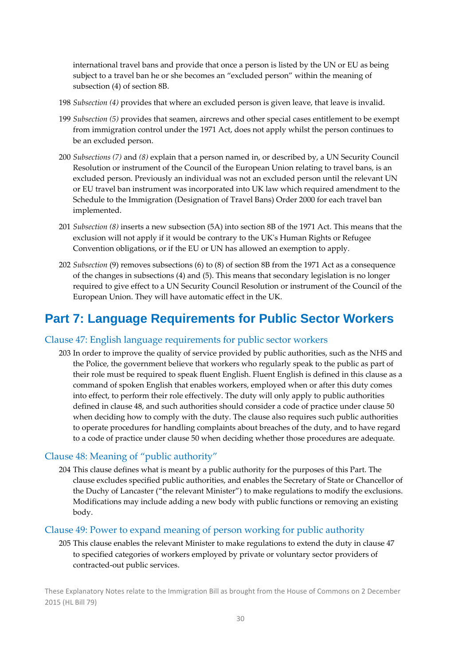international travel bans and provide that once a person is listed by the UN or EU as being subject to a travel ban he or she becomes an "excluded person" within the meaning of subsection (4) of section 8B.

- 198 *Subsection (4)* provides that where an excluded person is given leave, that leave is invalid.
- 199 *Subsection (5)* provides that seamen, aircrews and other special cases entitlement to be exempt from immigration control under the 1971 Act, does not apply whilst the person continues to be an excluded person.
- 200 *Subsections (7)* and *(8)* explain that a person named in, or described by, a UN Security Council Resolution or instrument of the Council of the European Union relating to travel bans, is an excluded person. Previously an individual was not an excluded person until the relevant UN or EU travel ban instrument was incorporated into UK law which required amendment to the Schedule to the Immigration (Designation of Travel Bans) Order 2000 for each travel ban implemented.
- 201 *Subsection (8)* inserts a new subsection (5A) into section 8B of the 1971 Act. This means that the exclusion will not apply if it would be contrary to the UKʹs Human Rights or Refugee Convention obligations, or if the EU or UN has allowed an exemption to apply.
- 202 *Subsection* (9) removes subsections (6) to (8) of section 8B from the 1971 Act as a consequence of the changes in subsections (4) and (5). This means that secondary legislation is no longer required to give effect to a UN Security Council Resolution or instrument of the Council of the European Union. They will have automatic effect in the UK.

## **Part 7: Language Requirements for Public Sector Workers**

#### Clause 47: English language requirements for public sector workers

203 In order to improve the quality of service provided by public authorities, such as the NHS and the Police, the government believe that workers who regularly speak to the public as part of their role must be required to speak fluent English. Fluent English is defined in this clause as a command of spoken English that enables workers, employed when or after this duty comes into effect, to perform their role effectively. The duty will only apply to public authorities defined in clause 48, and such authorities should consider a code of practice under clause 50 when deciding how to comply with the duty. The clause also requires such public authorities to operate procedures for handling complaints about breaches of the duty, and to have regard to a code of practice under clause 50 when deciding whether those procedures are adequate.

#### Clause 48: Meaning of "public authority"

204 This clause defines what is meant by a public authority for the purposes of this Part. The clause excludes specified public authorities, and enables the Secretary of State or Chancellor of the Duchy of Lancaster ("the relevant Minister") to make regulations to modify the exclusions. Modifications may include adding a new body with public functions or removing an existing body.

#### Clause 49: Power to expand meaning of person working for public authority

205 This clause enables the relevant Minister to make regulations to extend the duty in clause 47 to specified categories of workers employed by private or voluntary sector providers of contracted‐out public services.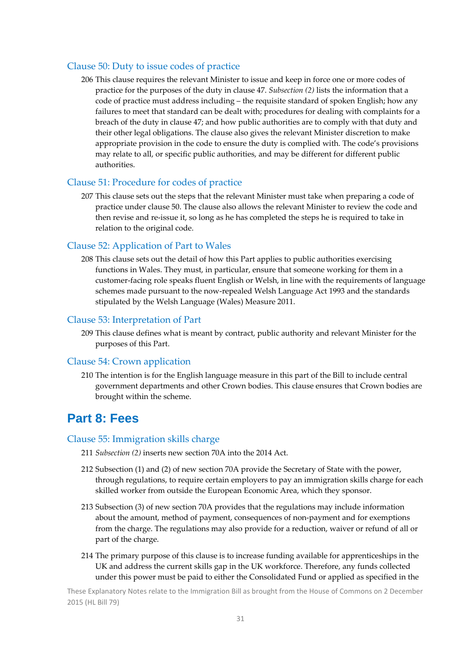#### Clause 50: Duty to issue codes of practice

206 This clause requires the relevant Minister to issue and keep in force one or more codes of practice for the purposes of the duty in clause 47. *Subsection (2)* lists the information that a code of practice must address including – the requisite standard of spoken English; how any failures to meet that standard can be dealt with; procedures for dealing with complaints for a breach of the duty in clause 47; and how public authorities are to comply with that duty and their other legal obligations. The clause also gives the relevant Minister discretion to make appropriate provision in the code to ensure the duty is complied with. The code's provisions may relate to all, or specific public authorities, and may be different for different public authorities.

#### Clause 51: Procedure for codes of practice

207 This clause sets out the steps that the relevant Minister must take when preparing a code of practice under clause 50. The clause also allows the relevant Minister to review the code and then revise and re‐issue it, so long as he has completed the steps he is required to take in relation to the original code.

#### Clause 52: Application of Part to Wales

208 This clause sets out the detail of how this Part applies to public authorities exercising functions in Wales. They must, in particular, ensure that someone working for them in a customer-facing role speaks fluent English or Welsh, in line with the requirements of language schemes made pursuant to the now-repealed Welsh Language Act 1993 and the standards stipulated by the Welsh Language (Wales) Measure 2011.

#### Clause 53: Interpretation of Part

209 This clause defines what is meant by contract, public authority and relevant Minister for the purposes of this Part.

#### Clause 54: Crown application

210 The intention is for the English language measure in this part of the Bill to include central government departments and other Crown bodies. This clause ensures that Crown bodies are brought within the scheme.

### **Part 8: Fees**

#### Clause 55: Immigration skills charge

- 211 *Subsection (2)* inserts new section 70A into the 2014 Act.
- 212 Subsection (1) and (2) of new section 70A provide the Secretary of State with the power, through regulations, to require certain employers to pay an immigration skills charge for each skilled worker from outside the European Economic Area, which they sponsor.
- 213 Subsection (3) of new section 70A provides that the regulations may include information about the amount, method of payment, consequences of non-payment and for exemptions from the charge. The regulations may also provide for a reduction, waiver or refund of all or part of the charge.
- 214 The primary purpose of this clause is to increase funding available for apprenticeships in the UK and address the current skills gap in the UK workforce. Therefore, any funds collected under this power must be paid to either the Consolidated Fund or applied as specified in the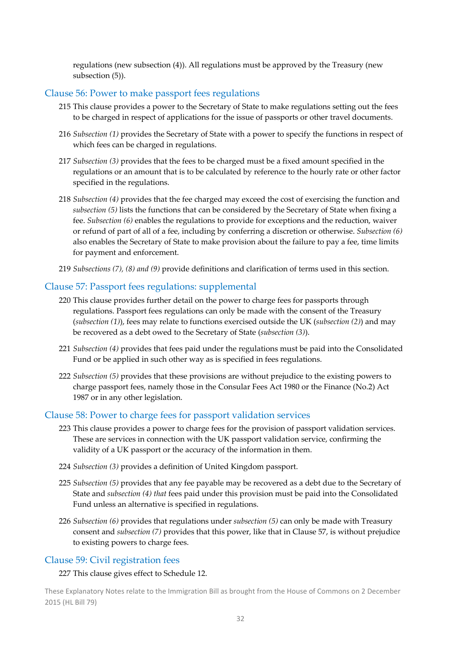regulations (new subsection (4)). All regulations must be approved by the Treasury (new subsection (5)).

#### Clause 56: Power to make passport fees regulations

- 215 This clause provides a power to the Secretary of State to make regulations setting out the fees to be charged in respect of applications for the issue of passports or other travel documents.
- 216 *Subsection (1)* provides the Secretary of State with a power to specify the functions in respect of which fees can be charged in regulations.
- 217 *Subsection (3)* provides that the fees to be charged must be a fixed amount specified in the regulations or an amount that is to be calculated by reference to the hourly rate or other factor specified in the regulations.
- 218 *Subsection (4)* provides that the fee charged may exceed the cost of exercising the function and *subsection (5)* lists the functions that can be considered by the Secretary of State when fixing a fee. *Subsection (6)* enables the regulations to provide for exceptions and the reduction, waiver or refund of part of all of a fee, including by conferring a discretion or otherwise. *Subsection (6)* also enables the Secretary of State to make provision about the failure to pay a fee, time limits for payment and enforcement.
- 219 *Subsections (7), (8) and (9)* provide definitions and clarification of terms used in this section.

#### Clause 57: Passport fees regulations: supplemental

- 220 This clause provides further detail on the power to charge fees for passports through regulations. Passport fees regulations can only be made with the consent of the Treasury (*subsection (1)*), fees may relate to functions exercised outside the UK (*subsection (2)*) and may be recovered as a debt owed to the Secretary of State (*subsection (3)*).
- 221 *Subsection (4)* provides that fees paid under the regulations must be paid into the Consolidated Fund or be applied in such other way as is specified in fees regulations.
- 222 *Subsection (5)* provides that these provisions are without prejudice to the existing powers to charge passport fees, namely those in the Consular Fees Act 1980 or the Finance (No.2) Act 1987 or in any other legislation.

#### Clause 58: Power to charge fees for passport validation services

- 223 This clause provides a power to charge fees for the provision of passport validation services. These are services in connection with the UK passport validation service, confirming the validity of a UK passport or the accuracy of the information in them.
- 224 *Subsection (3)* provides a definition of United Kingdom passport.
- 225 *Subsection (5)* provides that any fee payable may be recovered as a debt due to the Secretary of State and *subsection (4) that* fees paid under this provision must be paid into the Consolidated Fund unless an alternative is specified in regulations.
- 226 *Subsection (6)* provides that regulations under *subsection (5)* can only be made with Treasury consent and *subsection (7)* provides that this power, like that in Clause 57, is without prejudice to existing powers to charge fees.

#### Clause 59: Civil registration fees

227 This clause gives effect to Schedule 12.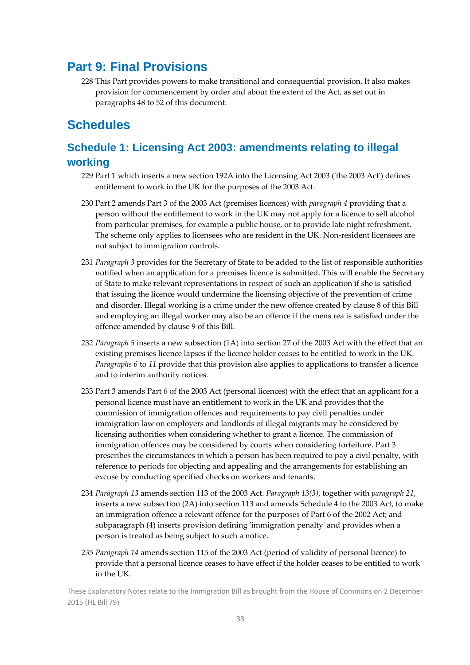## **Part 9: Final Provisions**

228 This Part provides powers to make transitional and consequential provision. It also makes provision for commencement by order and about the extent of the Act, as set out in paragraphs 48 to 52 of this document.

## **Schedules**

## **Schedule 1: Licensing Act 2003: amendments relating to illegal working**

- 229 Part 1 which inserts a new section 192A into the Licensing Act 2003 ('the 2003 Act') defines entitlement to work in the UK for the purposes of the 2003 Act.
- 230 Part 2 amends Part 3 of the 2003 Act (premises licences) with *paragraph 4* providing that a person without the entitlement to work in the UK may not apply for a licence to sell alcohol from particular premises, for example a public house, or to provide late night refreshment. The scheme only applies to licensees who are resident in the UK. Non-resident licensees are not subject to immigration controls.
- 231 *Paragraph 3* provides for the Secretary of State to be added to the list of responsible authorities notified when an application for a premises licence is submitted. This will enable the Secretary of State to make relevant representations in respect of such an application if she is satisfied that issuing the licence would undermine the licensing objective of the prevention of crime and disorder. Illegal working is a crime under the new offence created by clause 8 of this Bill and employing an illegal worker may also be an offence if the mens rea is satisfied under the offence amended by clause 9 of this Bill.
- 232 *Paragraph 5* inserts a new subsection (1A) into section 27 of the 2003 Act with the effect that an existing premises licence lapses if the licence holder ceases to be entitled to work in the UK. *Paragraphs 6* to *11* provide that this provision also applies to applications to transfer a licence and to interim authority notices.
- 233 Part 3 amends Part 6 of the 2003 Act (personal licences) with the effect that an applicant for a personal licence must have an entitlement to work in the UK and provides that the commission of immigration offences and requirements to pay civil penalties under immigration law on employers and landlords of illegal migrants may be considered by licensing authorities when considering whether to grant a licence. The commission of immigration offences may be considered by courts when considering forfeiture. Part 3 prescribes the circumstances in which a person has been required to pay a civil penalty, with reference to periods for objecting and appealing and the arrangements for establishing an excuse by conducting specified checks on workers and tenants.
- 234 *Paragraph 13* amends section 113 of the 2003 Act. *Paragraph 13(3)*, together with *paragraph 21*, inserts a new subsection (2A) into section 113 and amends Schedule 4 to the 2003 Act, to make an immigration offence a relevant offence for the purposes of Part 6 of the 2002 Act; and subparagraph (4) inserts provision defining 'immigration penalty' and provides when a person is treated as being subject to such a notice.
- 235 *Paragraph 14* amends section 115 of the 2003 Act (period of validity of personal licence) to provide that a personal licence ceases to have effect if the holder ceases to be entitled to work in the UK.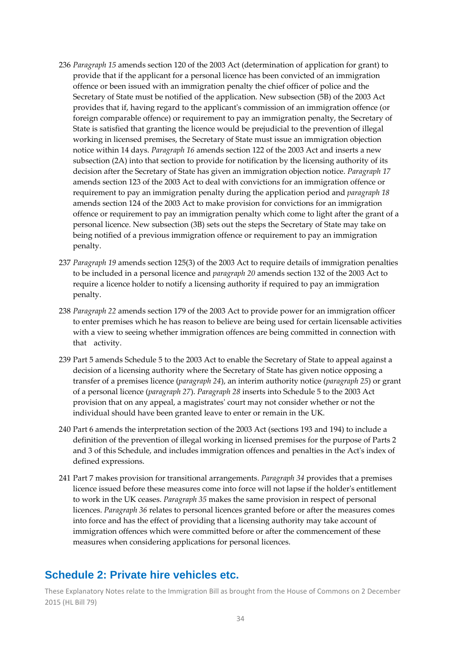- 236 *Paragraph 15* amends section 120 of the 2003 Act (determination of application for grant) to provide that if the applicant for a personal licence has been convicted of an immigration offence or been issued with an immigration penalty the chief officer of police and the Secretary of State must be notified of the application. New subsection (5B) of the 2003 Act provides that if, having regard to the applicantʹs commission of an immigration offence (or foreign comparable offence) or requirement to pay an immigration penalty, the Secretary of State is satisfied that granting the licence would be prejudicial to the prevention of illegal working in licensed premises, the Secretary of State must issue an immigration objection notice within 14 days. *Paragraph 16* amends section 122 of the 2003 Act and inserts a new subsection (2A) into that section to provide for notification by the licensing authority of its decision after the Secretary of State has given an immigration objection notice. *Paragraph 17* amends section 123 of the 2003 Act to deal with convictions for an immigration offence or requirement to pay an immigration penalty during the application period and *paragraph 18* amends section 124 of the 2003 Act to make provision for convictions for an immigration offence or requirement to pay an immigration penalty which come to light after the grant of a personal licence. New subsection (3B) sets out the steps the Secretary of State may take on being notified of a previous immigration offence or requirement to pay an immigration penalty.
- 237 *Paragraph 19* amends section 125(3) of the 2003 Act to require details of immigration penalties to be included in a personal licence and *paragraph 20* amends section 132 of the 2003 Act to require a licence holder to notify a licensing authority if required to pay an immigration penalty.
- 238 *Paragraph 22* amends section 179 of the 2003 Act to provide power for an immigration officer to enter premises which he has reason to believe are being used for certain licensable activities with a view to seeing whether immigration offences are being committed in connection with that activity.
- 239 Part 5 amends Schedule 5 to the 2003 Act to enable the Secretary of State to appeal against a decision of a licensing authority where the Secretary of State has given notice opposing a transfer of a premises licence (*paragraph 24*), an interim authority notice (*paragraph 25*) or grant of a personal licence (*paragraph 27*). *Paragraph 28* inserts into Schedule 5 to the 2003 Act provision that on any appeal, a magistratesʹ court may not consider whether or not the individual should have been granted leave to enter or remain in the UK.
- 240 Part 6 amends the interpretation section of the 2003 Act (sections 193 and 194) to include a definition of the prevention of illegal working in licensed premises for the purpose of Parts 2 and 3 of this Schedule, and includes immigration offences and penalties in the Act's index of defined expressions.
- 241 Part 7 makes provision for transitional arrangements. *Paragraph 34* provides that a premises licence issued before these measures come into force will not lapse if the holder's entitlement to work in the UK ceases. *Paragraph 35* makes the same provision in respect of personal licences. *Paragraph 36* relates to personal licences granted before or after the measures comes into force and has the effect of providing that a licensing authority may take account of immigration offences which were committed before or after the commencement of these measures when considering applications for personal licences.

### **Schedule 2: Private hire vehicles etc.**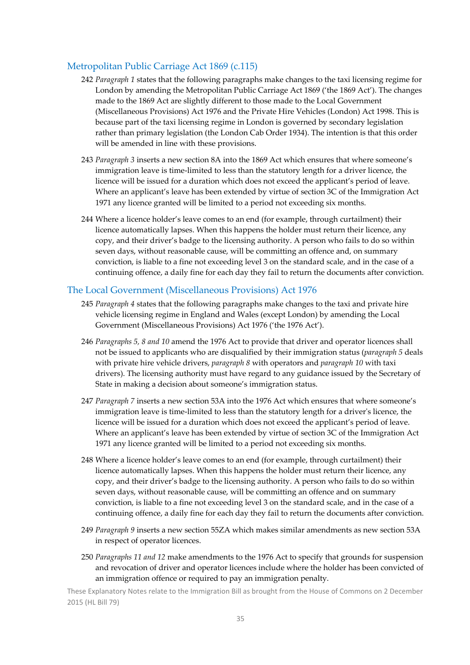#### Metropolitan Public Carriage Act 1869 (c.115)

- 242 *Paragraph 1* states that the following paragraphs make changes to the taxi licensing regime for London by amending the Metropolitan Public Carriage Act 1869 ('the 1869 Act'). The changes made to the 1869 Act are slightly different to those made to the Local Government (Miscellaneous Provisions) Act 1976 and the Private Hire Vehicles (London) Act 1998. This is because part of the taxi licensing regime in London is governed by secondary legislation rather than primary legislation (the London Cab Order 1934). The intention is that this order will be amended in line with these provisions.
- 243 *Paragraph 3* inserts a new section 8A into the 1869 Act which ensures that where someone's immigration leave is time‐limited to less than the statutory length for a driver licence, the licence will be issued for a duration which does not exceed the applicant's period of leave. Where an applicant's leave has been extended by virtue of section 3C of the Immigration Act 1971 any licence granted will be limited to a period not exceeding six months.
- 244 Where a licence holder's leave comes to an end (for example, through curtailment) their licence automatically lapses. When this happens the holder must return their licence, any copy, and their driver's badge to the licensing authority. A person who fails to do so within seven days, without reasonable cause, will be committing an offence and, on summary conviction, is liable to a fine not exceeding level 3 on the standard scale, and in the case of a continuing offence, a daily fine for each day they fail to return the documents after conviction.

#### The Local Government (Miscellaneous Provisions) Act 1976

- 245 *Paragraph 4* states that the following paragraphs make changes to the taxi and private hire vehicle licensing regime in England and Wales (except London) by amending the Local Government (Miscellaneous Provisions) Act 1976 ('the 1976 Act').
- 246 *Paragraphs 5, 8 and 10* amend the 1976 Act to provide that driver and operator licences shall not be issued to applicants who are disqualified by their immigration status (*paragraph 5* deals with private hire vehicle drivers, *paragraph 8* with operators and *paragraph 10* with taxi drivers). The licensing authority must have regard to any guidance issued by the Secretary of State in making a decision about someone's immigration status.
- 247 *Paragraph 7* inserts a new section 53A into the 1976 Act which ensures that where someone's immigration leave is time-limited to less than the statutory length for a driver's licence, the licence will be issued for a duration which does not exceed the applicant's period of leave. Where an applicant's leave has been extended by virtue of section 3C of the Immigration Act 1971 any licence granted will be limited to a period not exceeding six months.
- 248 Where a licence holder's leave comes to an end (for example, through curtailment) their licence automatically lapses. When this happens the holder must return their licence, any copy, and their driver's badge to the licensing authority. A person who fails to do so within seven days, without reasonable cause, will be committing an offence and on summary conviction, is liable to a fine not exceeding level 3 on the standard scale, and in the case of a continuing offence, a daily fine for each day they fail to return the documents after conviction.
- 249 *Paragraph 9* inserts a new section 55ZA which makes similar amendments as new section 53A in respect of operator licences.
- 250 *Paragraphs 11 and 12* make amendments to the 1976 Act to specify that grounds for suspension and revocation of driver and operator licences include where the holder has been convicted of an immigration offence or required to pay an immigration penalty.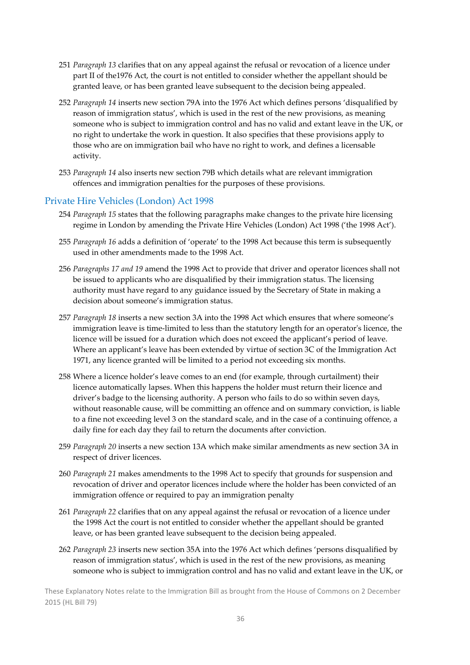- 251 *Paragraph 13* clarifies that on any appeal against the refusal or revocation of a licence under part II of the1976 Act, the court is not entitled to consider whether the appellant should be granted leave, or has been granted leave subsequent to the decision being appealed.
- 252 *Paragraph 14* inserts new section 79A into the 1976 Act which defines persons 'disqualified by reason of immigration status', which is used in the rest of the new provisions, as meaning someone who is subject to immigration control and has no valid and extant leave in the UK, or no right to undertake the work in question. It also specifies that these provisions apply to those who are on immigration bail who have no right to work, and defines a licensable activity.
- 253 *Paragraph 14* also inserts new section 79B which details what are relevant immigration offences and immigration penalties for the purposes of these provisions.

#### Private Hire Vehicles (London) Act 1998

- 254 *Paragraph 15* states that the following paragraphs make changes to the private hire licensing regime in London by amending the Private Hire Vehicles (London) Act 1998 ('the 1998 Act').
- 255 *Paragraph 16* adds a definition of 'operate' to the 1998 Act because this term is subsequently used in other amendments made to the 1998 Act.
- 256 *Paragraphs 17 and 19* amend the 1998 Act to provide that driver and operator licences shall not be issued to applicants who are disqualified by their immigration status. The licensing authority must have regard to any guidance issued by the Secretary of State in making a decision about someone's immigration status.
- 257 *Paragraph 18* inserts a new section 3A into the 1998 Act which ensures that where someone's immigration leave is time-limited to less than the statutory length for an operator's licence, the licence will be issued for a duration which does not exceed the applicant's period of leave. Where an applicant's leave has been extended by virtue of section 3C of the Immigration Act 1971, any licence granted will be limited to a period not exceeding six months.
- 258 Where a licence holder's leave comes to an end (for example, through curtailment) their licence automatically lapses. When this happens the holder must return their licence and driver's badge to the licensing authority. A person who fails to do so within seven days, without reasonable cause, will be committing an offence and on summary conviction, is liable to a fine not exceeding level 3 on the standard scale, and in the case of a continuing offence, a daily fine for each day they fail to return the documents after conviction.
- 259 *Paragraph 20* inserts a new section 13A which make similar amendments as new section 3A in respect of driver licences.
- 260 *Paragraph 21* makes amendments to the 1998 Act to specify that grounds for suspension and revocation of driver and operator licences include where the holder has been convicted of an immigration offence or required to pay an immigration penalty
- 261 *Paragraph 22* clarifies that on any appeal against the refusal or revocation of a licence under the 1998 Act the court is not entitled to consider whether the appellant should be granted leave, or has been granted leave subsequent to the decision being appealed.
- 262 *Paragraph 23* inserts new section 35A into the 1976 Act which defines 'persons disqualified by reason of immigration status', which is used in the rest of the new provisions, as meaning someone who is subject to immigration control and has no valid and extant leave in the UK, or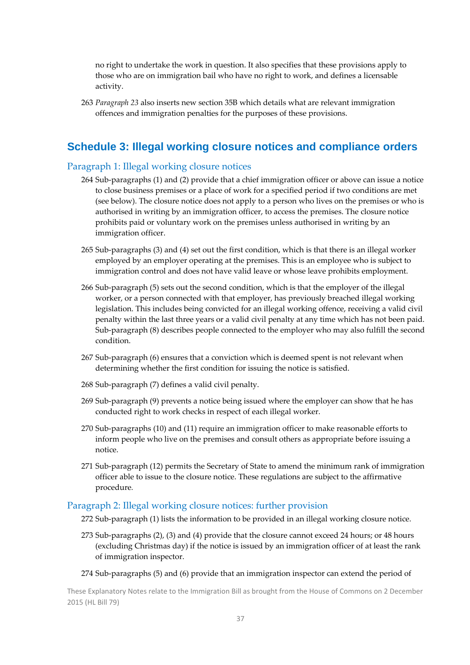no right to undertake the work in question. It also specifies that these provisions apply to those who are on immigration bail who have no right to work, and defines a licensable activity.

263 *Paragraph 23* also inserts new section 35B which details what are relevant immigration offences and immigration penalties for the purposes of these provisions.

## **Schedule 3: Illegal working closure notices and compliance orders**

#### Paragraph 1: Illegal working closure notices

- 264 Sub‐paragraphs (1) and (2) provide that a chief immigration officer or above can issue a notice to close business premises or a place of work for a specified period if two conditions are met (see below). The closure notice does not apply to a person who lives on the premises or who is authorised in writing by an immigration officer, to access the premises. The closure notice prohibits paid or voluntary work on the premises unless authorised in writing by an immigration officer.
- 265 Sub‐paragraphs (3) and (4) set out the first condition, which is that there is an illegal worker employed by an employer operating at the premises. This is an employee who is subject to immigration control and does not have valid leave or whose leave prohibits employment.
- 266 Sub‐paragraph (5) sets out the second condition, which is that the employer of the illegal worker, or a person connected with that employer, has previously breached illegal working legislation. This includes being convicted for an illegal working offence, receiving a valid civil penalty within the last three years or a valid civil penalty at any time which has not been paid. Sub‐paragraph (8) describes people connected to the employer who may also fulfill the second condition.
- 267 Sub-paragraph (6) ensures that a conviction which is deemed spent is not relevant when determining whether the first condition for issuing the notice is satisfied.
- 268 Sub‐paragraph (7) defines a valid civil penalty.
- 269 Sub-paragraph (9) prevents a notice being issued where the employer can show that he has conducted right to work checks in respect of each illegal worker.
- 270 Sub-paragraphs (10) and (11) require an immigration officer to make reasonable efforts to inform people who live on the premises and consult others as appropriate before issuing a notice.
- 271 Sub‐paragraph (12) permits the Secretary of State to amend the minimum rank of immigration officer able to issue to the closure notice. These regulations are subject to the affirmative procedure*.*

#### Paragraph 2: Illegal working closure notices: further provision

- 272 Sub-paragraph (1) lists the information to be provided in an illegal working closure notice.
- 273 Sub‐paragraphs (2), (3) and (4) provide that the closure cannot exceed 24 hours; or 48 hours (excluding Christmas day) if the notice is issued by an immigration officer of at least the rank of immigration inspector.
- 274 Sub-paragraphs (5) and (6) provide that an immigration inspector can extend the period of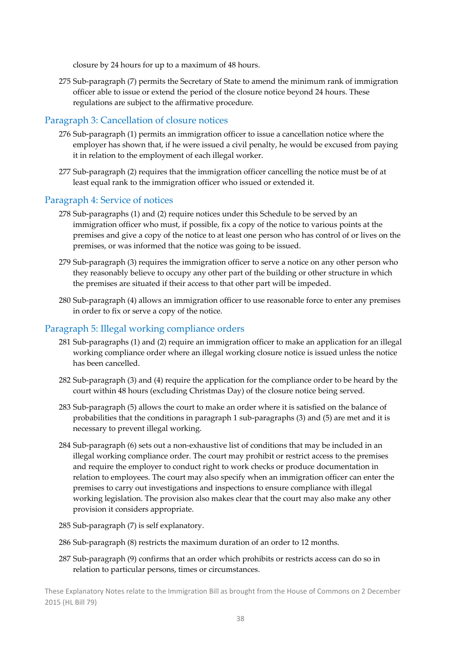closure by 24 hours for up to a maximum of 48 hours.

275 Sub‐paragraph (7) permits the Secretary of State to amend the minimum rank of immigration officer able to issue or extend the period of the closure notice beyond 24 hours. These regulations are subject to the affirmative procedure*.*

### Paragraph 3: Cancellation of closure notices

- 276 Sub-paragraph (1) permits an immigration officer to issue a cancellation notice where the employer has shown that, if he were issued a civil penalty, he would be excused from paying it in relation to the employment of each illegal worker.
- 277 Sub‐paragraph (2) requires that the immigration officer cancelling the notice must be of at least equal rank to the immigration officer who issued or extended it.

#### Paragraph 4: Service of notices

- 278 Sub-paragraphs (1) and (2) require notices under this Schedule to be served by an immigration officer who must, if possible, fix a copy of the notice to various points at the premises and give a copy of the notice to at least one person who has control of or lives on the premises, or was informed that the notice was going to be issued.
- 279 Sub-paragraph (3) requires the immigration officer to serve a notice on any other person who they reasonably believe to occupy any other part of the building or other structure in which the premises are situated if their access to that other part will be impeded.
- 280 Sub‐paragraph (4) allows an immigration officer to use reasonable force to enter any premises in order to fix or serve a copy of the notice.

#### Paragraph 5: Illegal working compliance orders

- 281 Sub‐paragraphs (1) and (2) require an immigration officer to make an application for an illegal working compliance order where an illegal working closure notice is issued unless the notice has been cancelled.
- 282 Sub‐paragraph (3) and (4) require the application for the compliance order to be heard by the court within 48 hours (excluding Christmas Day) of the closure notice being served.
- 283 Sub‐paragraph (5) allows the court to make an order where it is satisfied on the balance of probabilities that the conditions in paragraph 1 sub‐paragraphs (3) and (5) are met and it is necessary to prevent illegal working.
- 284 Sub‐paragraph (6) sets out a non‐exhaustive list of conditions that may be included in an illegal working compliance order. The court may prohibit or restrict access to the premises and require the employer to conduct right to work checks or produce documentation in relation to employees. The court may also specify when an immigration officer can enter the premises to carry out investigations and inspections to ensure compliance with illegal working legislation. The provision also makes clear that the court may also make any other provision it considers appropriate.
- 285 Sub‐paragraph (7) is self explanatory.
- 286 Sub-paragraph (8) restricts the maximum duration of an order to 12 months.
- 287 Sub‐paragraph (9) confirms that an order which prohibits or restricts access can do so in relation to particular persons, times or circumstances.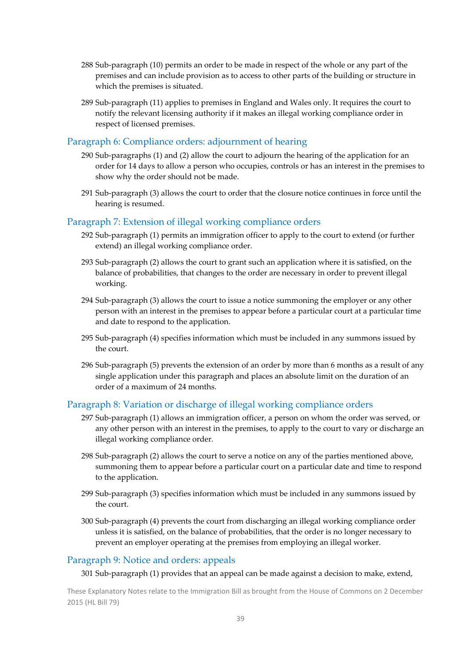- 288 Sub‐paragraph (10) permits an order to be made in respect of the whole or any part of the premises and can include provision as to access to other parts of the building or structure in which the premises is situated.
- 289 Sub‐paragraph (11) applies to premises in England and Wales only. It requires the court to notify the relevant licensing authority if it makes an illegal working compliance order in respect of licensed premises.

#### Paragraph 6: Compliance orders: adjournment of hearing

- 290 Sub‐paragraphs (1) and (2) allow the court to adjourn the hearing of the application for an order for 14 days to allow a person who occupies, controls or has an interest in the premises to show why the order should not be made.
- 291 Sub-paragraph (3) allows the court to order that the closure notice continues in force until the hearing is resumed.

#### Paragraph 7: Extension of illegal working compliance orders

- 292 Sub‐paragraph (1) permits an immigration officer to apply to the court to extend (or further extend) an illegal working compliance order.
- 293 Sub‐paragraph (2) allows the court to grant such an application where it is satisfied, on the balance of probabilities, that changes to the order are necessary in order to prevent illegal working.
- 294 Sub‐paragraph (3) allows the court to issue a notice summoning the employer or any other person with an interest in the premises to appear before a particular court at a particular time and date to respond to the application.
- 295 Sub‐paragraph (4) specifies information which must be included in any summons issued by the court.
- 296 Sub‐paragraph (5) prevents the extension of an order by more than 6 months as a result of any single application under this paragraph and places an absolute limit on the duration of an order of a maximum of 24 months.

#### Paragraph 8: Variation or discharge of illegal working compliance orders

- 297 Sub‐paragraph (1) allows an immigration officer, a person on whom the order was served, or any other person with an interest in the premises, to apply to the court to vary or discharge an illegal working compliance order.
- 298 Sub‐paragraph (2) allows the court to serve a notice on any of the parties mentioned above, summoning them to appear before a particular court on a particular date and time to respond to the application.
- 299 Sub‐paragraph (3) specifies information which must be included in any summons issued by the court.
- 300 Sub‐paragraph (4) prevents the court from discharging an illegal working compliance order unless it is satisfied, on the balance of probabilities, that the order is no longer necessary to prevent an employer operating at the premises from employing an illegal worker.

#### Paragraph 9: Notice and orders: appeals

301 Sub-paragraph (1) provides that an appeal can be made against a decision to make, extend,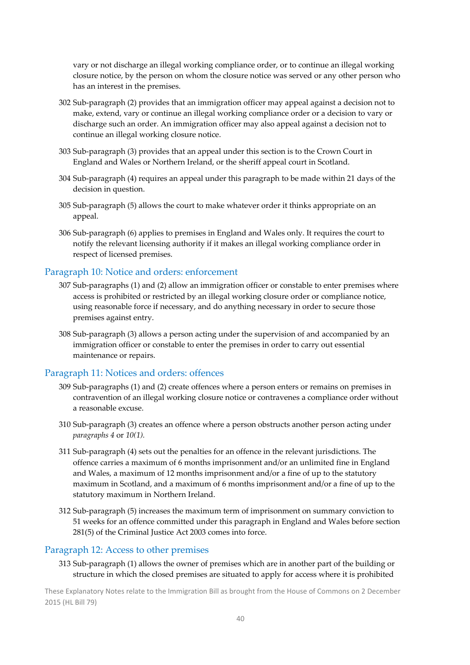vary or not discharge an illegal working compliance order, or to continue an illegal working closure notice, by the person on whom the closure notice was served or any other person who has an interest in the premises.

- 302 Sub‐paragraph (2) provides that an immigration officer may appeal against a decision not to make, extend, vary or continue an illegal working compliance order or a decision to vary or discharge such an order. An immigration officer may also appeal against a decision not to continue an illegal working closure notice.
- 303 Sub‐paragraph (3) provides that an appeal under this section is to the Crown Court in England and Wales or Northern Ireland, or the sheriff appeal court in Scotland.
- 304 Sub‐paragraph (4) requires an appeal under this paragraph to be made within 21 days of the decision in question.
- 305 Sub‐paragraph (5) allows the court to make whatever order it thinks appropriate on an appeal.
- 306 Sub‐paragraph (6) applies to premises in England and Wales only. It requires the court to notify the relevant licensing authority if it makes an illegal working compliance order in respect of licensed premises.

#### Paragraph 10: Notice and orders: enforcement

- 307 Sub‐paragraphs (1) and (2) allow an immigration officer or constable to enter premises where access is prohibited or restricted by an illegal working closure order or compliance notice, using reasonable force if necessary, and do anything necessary in order to secure those premises against entry.
- 308 Sub‐paragraph (3) allows a person acting under the supervision of and accompanied by an immigration officer or constable to enter the premises in order to carry out essential maintenance or repairs.

#### Paragraph 11: Notices and orders: offences

- 309 Sub‐paragraphs (1) and (2) create offences where a person enters or remains on premises in contravention of an illegal working closure notice or contravenes a compliance order without a reasonable excuse.
- 310 Sub‐paragraph (3) creates an offence where a person obstructs another person acting under *paragraphs 4* or *10(1).*
- 311 Sub‐paragraph (4) sets out the penalties for an offence in the relevant jurisdictions. The offence carries a maximum of 6 months imprisonment and/or an unlimited fine in England and Wales, a maximum of 12 months imprisonment and/or a fine of up to the statutory maximum in Scotland, and a maximum of 6 months imprisonment and/or a fine of up to the statutory maximum in Northern Ireland.
- 312 Sub‐paragraph (5) increases the maximum term of imprisonment on summary conviction to 51 weeks for an offence committed under this paragraph in England and Wales before section 281(5) of the Criminal Justice Act 2003 comes into force.

#### Paragraph 12: Access to other premises

313 Sub‐paragraph (1) allows the owner of premises which are in another part of the building or structure in which the closed premises are situated to apply for access where it is prohibited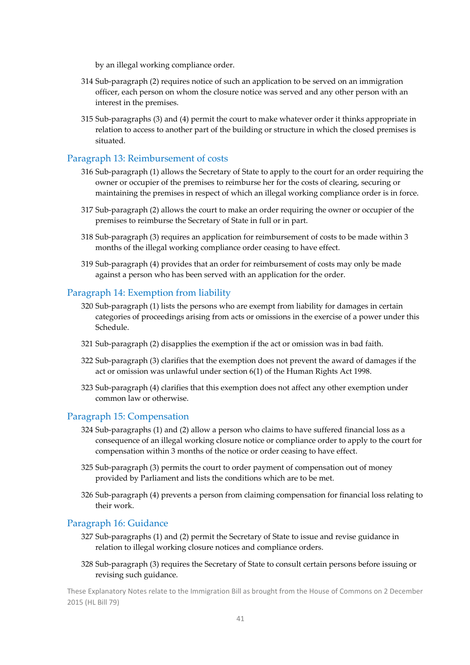by an illegal working compliance order.

- 314 Sub‐paragraph (2) requires notice of such an application to be served on an immigration officer, each person on whom the closure notice was served and any other person with an interest in the premises.
- 315 Sub‐paragraphs (3) and (4) permit the court to make whatever order it thinks appropriate in relation to access to another part of the building or structure in which the closed premises is situated.

#### Paragraph 13: Reimbursement of costs

- 316 Sub‐paragraph (1) allows the Secretary of State to apply to the court for an order requiring the owner or occupier of the premises to reimburse her for the costs of clearing, securing or maintaining the premises in respect of which an illegal working compliance order is in force.
- 317 Sub‐paragraph (2) allows the court to make an order requiring the owner or occupier of the premises to reimburse the Secretary of State in full or in part.
- 318 Sub-paragraph (3) requires an application for reimbursement of costs to be made within 3 months of the illegal working compliance order ceasing to have effect.
- 319 Sub‐paragraph (4) provides that an order for reimbursement of costs may only be made against a person who has been served with an application for the order.

#### Paragraph 14: Exemption from liability

- 320 Sub‐paragraph (1) lists the persons who are exempt from liability for damages in certain categories of proceedings arising from acts or omissions in the exercise of a power under this Schedule.
- 321 Sub‐paragraph (2) disapplies the exemption if the act or omission was in bad faith.
- 322 Sub‐paragraph (3) clarifies that the exemption does not prevent the award of damages if the act or omission was unlawful under section 6(1) of the Human Rights Act 1998.
- 323 Sub‐paragraph (4) clarifies that this exemption does not affect any other exemption under common law or otherwise.

#### Paragraph 15: Compensation

- 324 Sub‐paragraphs (1) and (2) allow a person who claims to have suffered financial loss as a consequence of an illegal working closure notice or compliance order to apply to the court for compensation within 3 months of the notice or order ceasing to have effect.
- 325 Sub‐paragraph (3) permits the court to order payment of compensation out of money provided by Parliament and lists the conditions which are to be met.
- 326 Sub‐paragraph (4) prevents a person from claiming compensation for financial loss relating to their work.

#### Paragraph 16: Guidance

- 327 Sub‐paragraphs (1) and (2) permit the Secretary of State to issue and revise guidance in relation to illegal working closure notices and compliance orders.
- 328 Sub‐paragraph (3) requires the Secretary of State to consult certain persons before issuing or revising such guidance.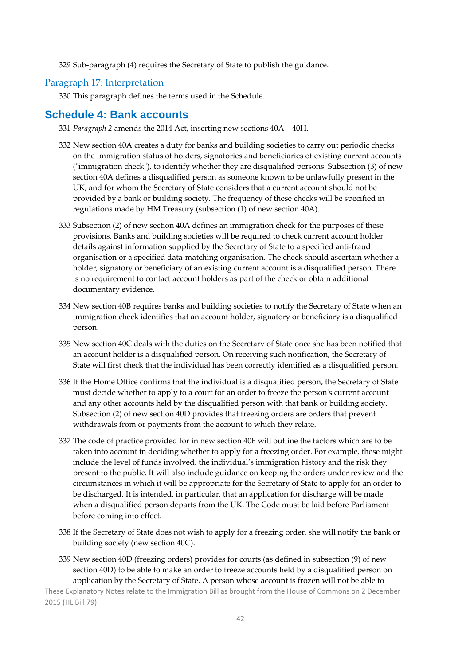329 Sub‐paragraph (4) requires the Secretary of State to publish the guidance.

#### Paragraph 17: Interpretation

330 This paragraph defines the terms used in the Schedule.

### **Schedule 4: Bank accounts**

- 331 *Paragraph 2* amends the 2014 Act, inserting new sections 40A 40H.
- 332 New section 40A creates a duty for banks and building societies to carry out periodic checks on the immigration status of holders, signatories and beneficiaries of existing current accounts  $('immigration check'')$ , to identify whether they are disqualified persons. Subsection  $(3)$  of new section 40A defines a disqualified person as someone known to be unlawfully present in the UK, and for whom the Secretary of State considers that a current account should not be provided by a bank or building society. The frequency of these checks will be specified in regulations made by HM Treasury (subsection (1) of new section 40A).
- 333 Subsection (2) of new section 40A defines an immigration check for the purposes of these provisions. Banks and building societies will be required to check current account holder details against information supplied by the Secretary of State to a specified anti‐fraud organisation or a specified data‐matching organisation. The check should ascertain whether a holder, signatory or beneficiary of an existing current account is a disqualified person. There is no requirement to contact account holders as part of the check or obtain additional documentary evidence.
- 334 New section 40B requires banks and building societies to notify the Secretary of State when an immigration check identifies that an account holder, signatory or beneficiary is a disqualified person.
- 335 New section 40C deals with the duties on the Secretary of State once she has been notified that an account holder is a disqualified person. On receiving such notification, the Secretary of State will first check that the individual has been correctly identified as a disqualified person.
- 336 If the Home Office confirms that the individual is a disqualified person, the Secretary of State must decide whether to apply to a court for an order to freeze the person's current account and any other accounts held by the disqualified person with that bank or building society. Subsection (2) of new section 40D provides that freezing orders are orders that prevent withdrawals from or payments from the account to which they relate.
- 337 The code of practice provided for in new section 40F will outline the factors which are to be taken into account in deciding whether to apply for a freezing order. For example, these might include the level of funds involved, the individual's immigration history and the risk they present to the public. It will also include guidance on keeping the orders under review and the circumstances in which it will be appropriate for the Secretary of State to apply for an order to be discharged. It is intended, in particular, that an application for discharge will be made when a disqualified person departs from the UK. The Code must be laid before Parliament before coming into effect.
- 338 If the Secretary of State does not wish to apply for a freezing order, she will notify the bank or building society (new section 40C).
- 339 New section 40D (freezing orders) provides for courts (as defined in subsection (9) of new section 40D) to be able to make an order to freeze accounts held by a disqualified person on application by the Secretary of State. A person whose account is frozen will not be able to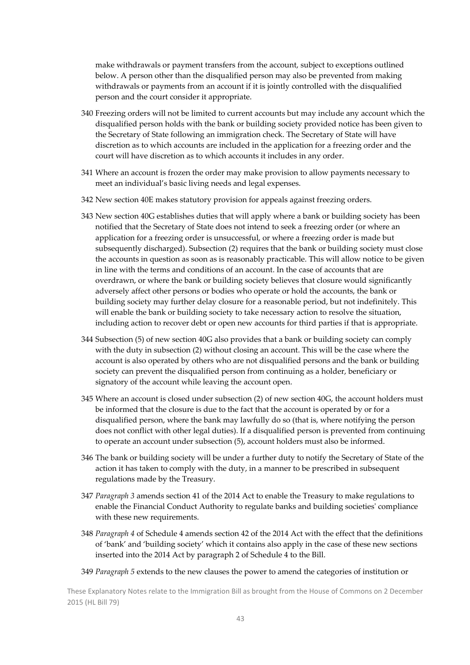make withdrawals or payment transfers from the account, subject to exceptions outlined below. A person other than the disqualified person may also be prevented from making withdrawals or payments from an account if it is jointly controlled with the disqualified person and the court consider it appropriate.

- 340 Freezing orders will not be limited to current accounts but may include any account which the disqualified person holds with the bank or building society provided notice has been given to the Secretary of State following an immigration check. The Secretary of State will have discretion as to which accounts are included in the application for a freezing order and the court will have discretion as to which accounts it includes in any order.
- 341 Where an account is frozen the order may make provision to allow payments necessary to meet an individual's basic living needs and legal expenses.
- 342 New section 40E makes statutory provision for appeals against freezing orders.
- 343 New section 40G establishes duties that will apply where a bank or building society has been notified that the Secretary of State does not intend to seek a freezing order (or where an application for a freezing order is unsuccessful, or where a freezing order is made but subsequently discharged). Subsection (2) requires that the bank or building society must close the accounts in question as soon as is reasonably practicable. This will allow notice to be given in line with the terms and conditions of an account. In the case of accounts that are overdrawn, or where the bank or building society believes that closure would significantly adversely affect other persons or bodies who operate or hold the accounts, the bank or building society may further delay closure for a reasonable period, but not indefinitely. This will enable the bank or building society to take necessary action to resolve the situation, including action to recover debt or open new accounts for third parties if that is appropriate.
- 344 Subsection (5) of new section 40G also provides that a bank or building society can comply with the duty in subsection (2) without closing an account. This will be the case where the account is also operated by others who are not disqualified persons and the bank or building society can prevent the disqualified person from continuing as a holder, beneficiary or signatory of the account while leaving the account open.
- 345 Where an account is closed under subsection (2) of new section 40G, the account holders must be informed that the closure is due to the fact that the account is operated by or for a disqualified person, where the bank may lawfully do so (that is, where notifying the person does not conflict with other legal duties). If a disqualified person is prevented from continuing to operate an account under subsection (5), account holders must also be informed.
- 346 The bank or building society will be under a further duty to notify the Secretary of State of the action it has taken to comply with the duty, in a manner to be prescribed in subsequent regulations made by the Treasury.
- 347 *Paragraph 3* amends section 41 of the 2014 Act to enable the Treasury to make regulations to enable the Financial Conduct Authority to regulate banks and building societiesʹ compliance with these new requirements.
- 348 *Paragraph 4* of Schedule 4 amends section 42 of the 2014 Act with the effect that the definitions of 'bank' and 'building society' which it contains also apply in the case of these new sections inserted into the 2014 Act by paragraph 2 of Schedule 4 to the Bill.
- 349 *Paragraph 5* extends to the new clauses the power to amend the categories of institution or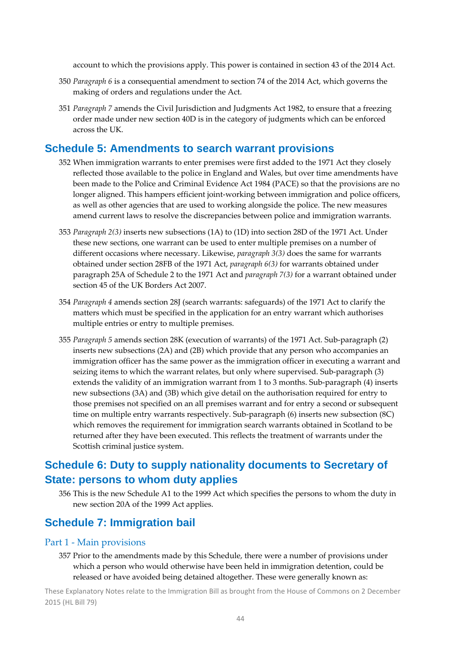account to which the provisions apply. This power is contained in section 43 of the 2014 Act.

- 350 *Paragraph 6* is a consequential amendment to section 74 of the 2014 Act, which governs the making of orders and regulations under the Act.
- 351 *Paragraph 7* amends the Civil Jurisdiction and Judgments Act 1982, to ensure that a freezing order made under new section 40D is in the category of judgments which can be enforced across the UK.

### **Schedule 5: Amendments to search warrant provisions**

- 352 When immigration warrants to enter premises were first added to the 1971 Act they closely reflected those available to the police in England and Wales, but over time amendments have been made to the Police and Criminal Evidence Act 1984 (PACE) so that the provisions are no longer aligned. This hampers efficient joint‐working between immigration and police officers, as well as other agencies that are used to working alongside the police. The new measures amend current laws to resolve the discrepancies between police and immigration warrants.
- 353 *Paragraph 2(3)* inserts new subsections (1A) to (1D) into section 28D of the 1971 Act. Under these new sections, one warrant can be used to enter multiple premises on a number of different occasions where necessary. Likewise, *paragraph 3(3)* does the same for warrants obtained under section 28FB of the 1971 Act, *paragraph 6(3)* for warrants obtained under paragraph 25A of Schedule 2 to the 1971 Act and *paragraph 7(3)* for a warrant obtained under section 45 of the UK Borders Act 2007.
- 354 *Paragraph 4* amends section 28J (search warrants: safeguards) of the 1971 Act to clarify the matters which must be specified in the application for an entry warrant which authorises multiple entries or entry to multiple premises.
- 355 *Paragraph 5* amends section 28K (execution of warrants) of the 1971 Act. Sub‐paragraph (2) inserts new subsections (2A) and (2B) which provide that any person who accompanies an immigration officer has the same power as the immigration officer in executing a warrant and seizing items to which the warrant relates, but only where supervised. Sub-paragraph (3) extends the validity of an immigration warrant from 1 to 3 months. Sub-paragraph (4) inserts new subsections (3A) and (3B) which give detail on the authorisation required for entry to those premises not specified on an all premises warrant and for entry a second or subsequent time on multiple entry warrants respectively. Sub-paragraph (6) inserts new subsection (8C) which removes the requirement for immigration search warrants obtained in Scotland to be returned after they have been executed. This reflects the treatment of warrants under the Scottish criminal justice system.

## **Schedule 6: Duty to supply nationality documents to Secretary of State: persons to whom duty applies**

356 This is the new Schedule A1 to the 1999 Act which specifies the persons to whom the duty in new section 20A of the 1999 Act applies.

### **Schedule 7: Immigration bail**

#### Part 1 ‐ Main provisions

357 Prior to the amendments made by this Schedule, there were a number of provisions under which a person who would otherwise have been held in immigration detention, could be released or have avoided being detained altogether. These were generally known as: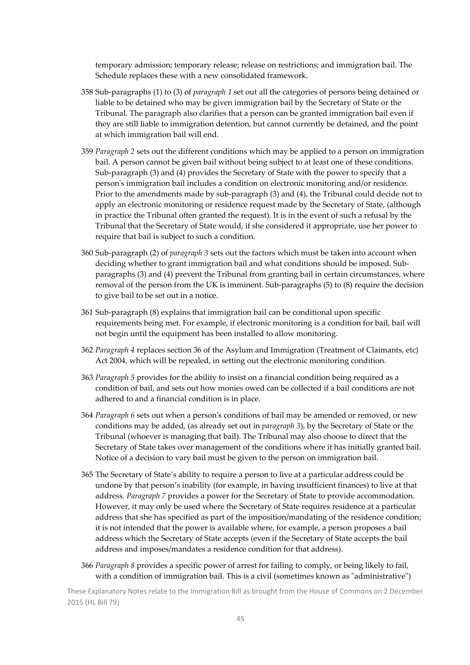temporary admission; temporary release; release on restrictions; and immigration bail. The Schedule replaces these with a new consolidated framework.

- 358 Sub‐paragraphs (1) to (3) of *paragraph 1* set out all the categories of persons being detained or liable to be detained who may be given immigration bail by the Secretary of State or the Tribunal. The paragraph also clarifies that a person can be granted immigration bail even if they are still liable to immigration detention, but cannot currently be detained, and the point at which immigration bail will end.
- 359 *Paragraph 2* sets out the different conditions which may be applied to a person on immigration bail. A person cannot be given bail without being subject to at least one of these conditions. Sub‐paragraph (3) and (4) provides the Secretary of State with the power to specify that a personʹs immigration bail includes a condition on electronic monitoring and/or residence. Prior to the amendments made by sub-paragraph (3) and (4), the Tribunal could decide not to apply an electronic monitoring or residence request made by the Secretary of State, (although in practice the Tribunal often granted the request). It is in the event of such a refusal by the Tribunal that the Secretary of State would, if she considered it appropriate, use her power to require that bail is subject to such a condition.
- 360 Sub‐paragraph (2) of *paragraph 3* sets out the factors which must be taken into account when deciding whether to grant immigration bail and what conditions should be imposed. Subparagraphs (3) and (4) prevent the Tribunal from granting bail in certain circumstances, where removal of the person from the UK is imminent. Sub-paragraphs (5) to (8) require the decision to give bail to be set out in a notice.
- 361 Sub‐paragraph (8) explains that immigration bail can be conditional upon specific requirements being met. For example, if electronic monitoring is a condition for bail, bail will not begin until the equipment has been installed to allow monitoring.
- 362 *Paragraph 4* replaces section 36 of the Asylum and Immigration (Treatment of Claimants, etc) Act 2004, which will be repealed, in setting out the electronic monitoring condition.
- 363 *Paragraph 5* provides for the ability to insist on a financial condition being required as a condition of bail, and sets out how monies owed can be collected if a bail conditions are not adhered to and a financial condition is in place.
- 364 *Paragraph 6* sets out when a personʹs conditions of bail may be amended or removed, or new conditions may be added, (as already set out in *paragraph 3*), by the Secretary of State or the Tribunal (whoever is managing that bail). The Tribunal may also choose to direct that the Secretary of State takes over management of the conditions where it has initially granted bail. Notice of a decision to vary bail must be given to the person on immigration bail.
- 365 The Secretary of State's ability to require a person to live at a particular address could be undone by that person's inability (for example, in having insufficient finances) to live at that address. *Paragraph 7* provides a power for the Secretary of State to provide accommodation. However, it may only be used where the Secretary of State requires residence at a particular address that she has specified as part of the imposition/mandating of the residence condition; it is not intended that the power is available where, for example, a person proposes a bail address which the Secretary of State accepts (even if the Secretary of State accepts the bail address and imposes/mandates a residence condition for that address).
- 366 *Paragraph 8* provides a specific power of arrest for failing to comply, or being likely to fail, with a condition of immigration bail. This is a civil (sometimes known as "administrative")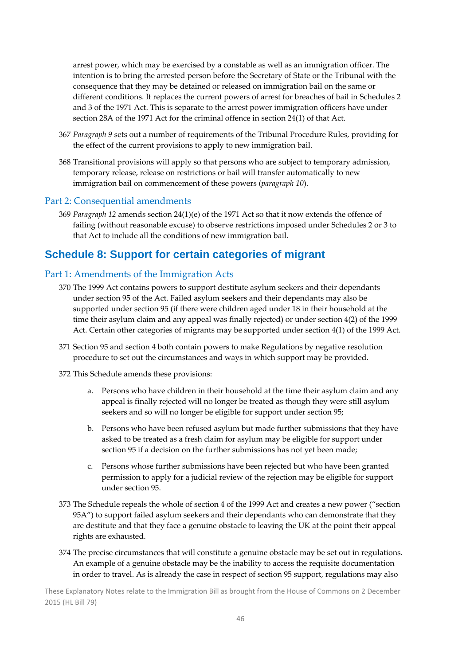arrest power, which may be exercised by a constable as well as an immigration officer. The intention is to bring the arrested person before the Secretary of State or the Tribunal with the consequence that they may be detained or released on immigration bail on the same or different conditions. It replaces the current powers of arrest for breaches of bail in Schedules 2 and 3 of the 1971 Act. This is separate to the arrest power immigration officers have under section 28A of the 1971 Act for the criminal offence in section 24(1) of that Act.

- 367 *Paragraph 9* sets out a number of requirements of the Tribunal Procedure Rules, providing for the effect of the current provisions to apply to new immigration bail.
- 368 Transitional provisions will apply so that persons who are subject to temporary admission, temporary release, release on restrictions or bail will transfer automatically to new immigration bail on commencement of these powers (*paragraph 10*).

#### Part 2: Consequential amendments

369 *Paragraph 12* amends section 24(1)(e) of the 1971 Act so that it now extends the offence of failing (without reasonable excuse) to observe restrictions imposed under Schedules 2 or 3 to that Act to include all the conditions of new immigration bail.

### **Schedule 8: Support for certain categories of migrant**

#### Part 1: Amendments of the Immigration Acts

- 370 The 1999 Act contains powers to support destitute asylum seekers and their dependants under section 95 of the Act. Failed asylum seekers and their dependants may also be supported under section 95 (if there were children aged under 18 in their household at the time their asylum claim and any appeal was finally rejected) or under section 4(2) of the 1999 Act. Certain other categories of migrants may be supported under section 4(1) of the 1999 Act.
- 371 Section 95 and section 4 both contain powers to make Regulations by negative resolution procedure to set out the circumstances and ways in which support may be provided.
- 372 This Schedule amends these provisions:
	- a. Persons who have children in their household at the time their asylum claim and any appeal is finally rejected will no longer be treated as though they were still asylum seekers and so will no longer be eligible for support under section 95;
	- b. Persons who have been refused asylum but made further submissions that they have asked to be treated as a fresh claim for asylum may be eligible for support under section 95 if a decision on the further submissions has not yet been made;
	- c. Persons whose further submissions have been rejected but who have been granted permission to apply for a judicial review of the rejection may be eligible for support under section 95.
- 373 The Schedule repeals the whole of section 4 of the 1999 Act and creates a new power ("section 95A") to support failed asylum seekers and their dependants who can demonstrate that they are destitute and that they face a genuine obstacle to leaving the UK at the point their appeal rights are exhausted.
- 374 The precise circumstances that will constitute a genuine obstacle may be set out in regulations. An example of a genuine obstacle may be the inability to access the requisite documentation in order to travel. As is already the case in respect of section 95 support, regulations may also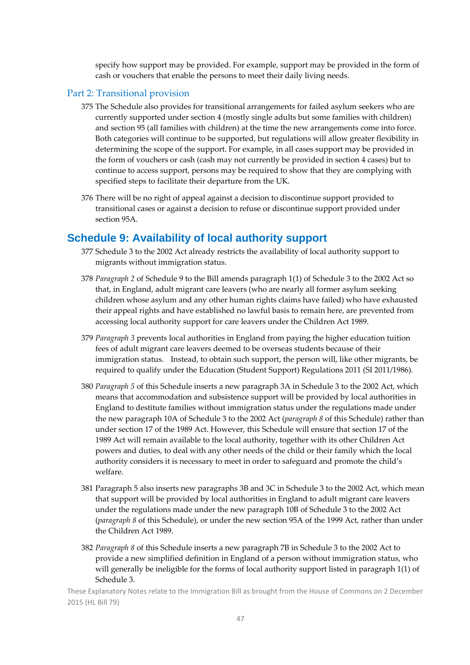specify how support may be provided. For example, support may be provided in the form of cash or vouchers that enable the persons to meet their daily living needs.

#### Part 2: Transitional provision

- 375 The Schedule also provides for transitional arrangements for failed asylum seekers who are currently supported under section 4 (mostly single adults but some families with children) and section 95 (all families with children) at the time the new arrangements come into force. Both categories will continue to be supported, but regulations will allow greater flexibility in determining the scope of the support. For example, in all cases support may be provided in the form of vouchers or cash (cash may not currently be provided in section 4 cases) but to continue to access support, persons may be required to show that they are complying with specified steps to facilitate their departure from the UK.
- 376 There will be no right of appeal against a decision to discontinue support provided to transitional cases or against a decision to refuse or discontinue support provided under section 95A.

### **Schedule 9: Availability of local authority support**

- 377 Schedule 3 to the 2002 Act already restricts the availability of local authority support to migrants without immigration status.
- 378 *Paragraph 2* of Schedule 9 to the Bill amends paragraph 1(1) of Schedule 3 to the 2002 Act so that, in England, adult migrant care leavers (who are nearly all former asylum seeking children whose asylum and any other human rights claims have failed) who have exhausted their appeal rights and have established no lawful basis to remain here, are prevented from accessing local authority support for care leavers under the Children Act 1989.
- 379 *Paragraph 3* prevents local authorities in England from paying the higher education tuition fees of adult migrant care leavers deemed to be overseas students because of their immigration status. Instead, to obtain such support, the person will, like other migrants, be required to qualify under the Education (Student Support) Regulations 2011 (SI 2011/1986).
- 380 *Paragraph 5* of this Schedule inserts a new paragraph 3A in Schedule 3 to the 2002 Act, which means that accommodation and subsistence support will be provided by local authorities in England to destitute families without immigration status under the regulations made under the new paragraph 10A of Schedule 3 to the 2002 Act (*paragraph 8* of this Schedule) rather than under section 17 of the 1989 Act. However, this Schedule will ensure that section 17 of the 1989 Act will remain available to the local authority, together with its other Children Act powers and duties, to deal with any other needs of the child or their family which the local authority considers it is necessary to meet in order to safeguard and promote the child's welfare.
- 381 Paragraph 5 also inserts new paragraphs 3B and 3C in Schedule 3 to the 2002 Act, which mean that support will be provided by local authorities in England to adult migrant care leavers under the regulations made under the new paragraph 10B of Schedule 3 to the 2002 Act (*paragraph 8* of this Schedule), or under the new section 95A of the 1999 Act, rather than under the Children Act 1989.
- 382 *Paragraph 8* of this Schedule inserts a new paragraph 7B in Schedule 3 to the 2002 Act to provide a new simplified definition in England of a person without immigration status, who will generally be ineligible for the forms of local authority support listed in paragraph 1(1) of Schedule 3.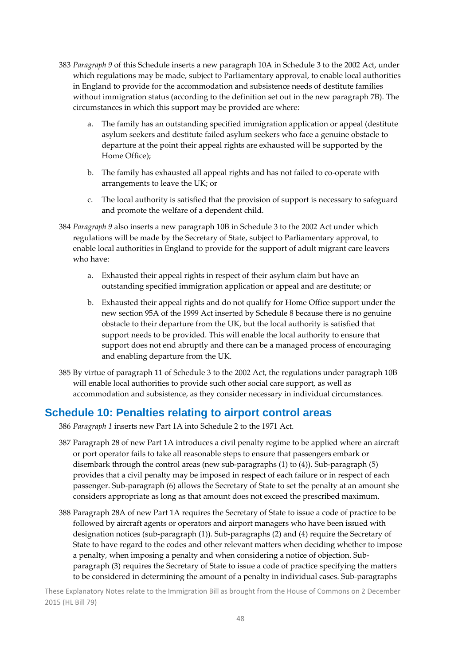- 383 *Paragraph 9* of this Schedule inserts a new paragraph 10A in Schedule 3 to the 2002 Act, under which regulations may be made, subject to Parliamentary approval, to enable local authorities in England to provide for the accommodation and subsistence needs of destitute families without immigration status (according to the definition set out in the new paragraph 7B). The circumstances in which this support may be provided are where:
	- a. The family has an outstanding specified immigration application or appeal (destitute asylum seekers and destitute failed asylum seekers who face a genuine obstacle to departure at the point their appeal rights are exhausted will be supported by the Home Office);
	- b. The family has exhausted all appeal rights and has not failed to co-operate with arrangements to leave the UK; or
	- c. The local authority is satisfied that the provision of support is necessary to safeguard and promote the welfare of a dependent child.
- 384 *Paragraph 9* also inserts a new paragraph 10B in Schedule 3 to the 2002 Act under which regulations will be made by the Secretary of State, subject to Parliamentary approval, to enable local authorities in England to provide for the support of adult migrant care leavers who have:
	- a. Exhausted their appeal rights in respect of their asylum claim but have an outstanding specified immigration application or appeal and are destitute; or
	- b. Exhausted their appeal rights and do not qualify for Home Office support under the new section 95A of the 1999 Act inserted by Schedule 8 because there is no genuine obstacle to their departure from the UK, but the local authority is satisfied that support needs to be provided. This will enable the local authority to ensure that support does not end abruptly and there can be a managed process of encouraging and enabling departure from the UK.
- 385 By virtue of paragraph 11 of Schedule 3 to the 2002 Act, the regulations under paragraph 10B will enable local authorities to provide such other social care support, as well as accommodation and subsistence, as they consider necessary in individual circumstances.

### **Schedule 10: Penalties relating to airport control areas**

386 *Paragraph 1* inserts new Part 1A into Schedule 2 to the 1971 Act.

- 387 Paragraph 28 of new Part 1A introduces a civil penalty regime to be applied where an aircraft or port operator fails to take all reasonable steps to ensure that passengers embark or disembark through the control areas (new sub-paragraphs  $(1)$  to  $(4)$ ). Sub-paragraph  $(5)$ provides that a civil penalty may be imposed in respect of each failure or in respect of each passenger. Sub‐paragraph (6) allows the Secretary of State to set the penalty at an amount she considers appropriate as long as that amount does not exceed the prescribed maximum.
- 388 Paragraph 28A of new Part 1A requires the Secretary of State to issue a code of practice to be followed by aircraft agents or operators and airport managers who have been issued with designation notices (sub‐paragraph (1)). Sub‐paragraphs (2) and (4) require the Secretary of State to have regard to the codes and other relevant matters when deciding whether to impose a penalty, when imposing a penalty and when considering a notice of objection. Sub‐ paragraph (3) requires the Secretary of State to issue a code of practice specifying the matters to be considered in determining the amount of a penalty in individual cases. Sub‐paragraphs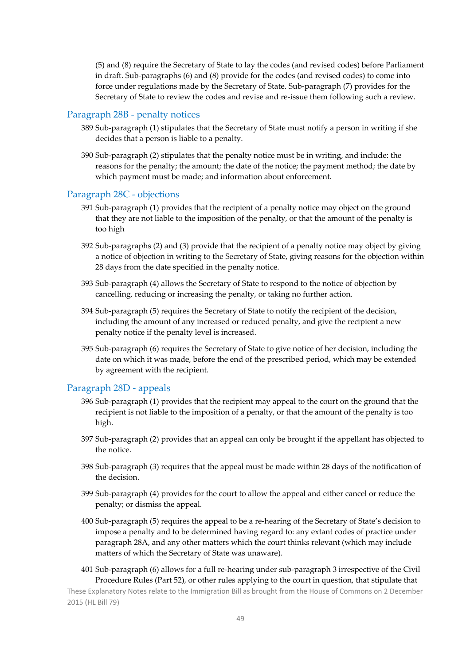(5) and (8) require the Secretary of State to lay the codes (and revised codes) before Parliament in draft. Sub‐paragraphs (6) and (8) provide for the codes (and revised codes) to come into force under regulations made by the Secretary of State. Sub‐paragraph (7) provides for the Secretary of State to review the codes and revise and re-issue them following such a review.

#### Paragraph 28B ‐ penalty notices

- 389 Sub‐paragraph (1) stipulates that the Secretary of State must notify a person in writing if she decides that a person is liable to a penalty.
- 390 Sub‐paragraph (2) stipulates that the penalty notice must be in writing, and include: the reasons for the penalty; the amount; the date of the notice; the payment method; the date by which payment must be made; and information about enforcement.

#### Paragraph 28C ‐ objections

- 391 Sub‐paragraph (1) provides that the recipient of a penalty notice may object on the ground that they are not liable to the imposition of the penalty, or that the amount of the penalty is too high
- 392 Sub‐paragraphs (2) and (3) provide that the recipient of a penalty notice may object by giving a notice of objection in writing to the Secretary of State, giving reasons for the objection within 28 days from the date specified in the penalty notice.
- 393 Sub‐paragraph (4) allows the Secretary of State to respond to the notice of objection by cancelling, reducing or increasing the penalty, or taking no further action.
- 394 Sub‐paragraph (5) requires the Secretary of State to notify the recipient of the decision, including the amount of any increased or reduced penalty, and give the recipient a new penalty notice if the penalty level is increased.
- 395 Sub‐paragraph (6) requires the Secretary of State to give notice of her decision, including the date on which it was made, before the end of the prescribed period, which may be extended by agreement with the recipient.

#### Paragraph 28D ‐ appeals

- 396 Sub‐paragraph (1) provides that the recipient may appeal to the court on the ground that the recipient is not liable to the imposition of a penalty, or that the amount of the penalty is too high.
- 397 Sub‐paragraph (2) provides that an appeal can only be brought if the appellant has objected to the notice.
- 398 Sub‐paragraph (3) requires that the appeal must be made within 28 days of the notification of the decision.
- 399 Sub‐paragraph (4) provides for the court to allow the appeal and either cancel or reduce the penalty; or dismiss the appeal.
- 400 Sub‐paragraph (5) requires the appeal to be a re‐hearing of the Secretary of State's decision to impose a penalty and to be determined having regard to: any extant codes of practice under paragraph 28A, and any other matters which the court thinks relevant (which may include matters of which the Secretary of State was unaware).
- 401 Sub‐paragraph (6) allows for a full re‐hearing under sub‐paragraph 3 irrespective of the Civil Procedure Rules (Part 52), or other rules applying to the court in question, that stipulate that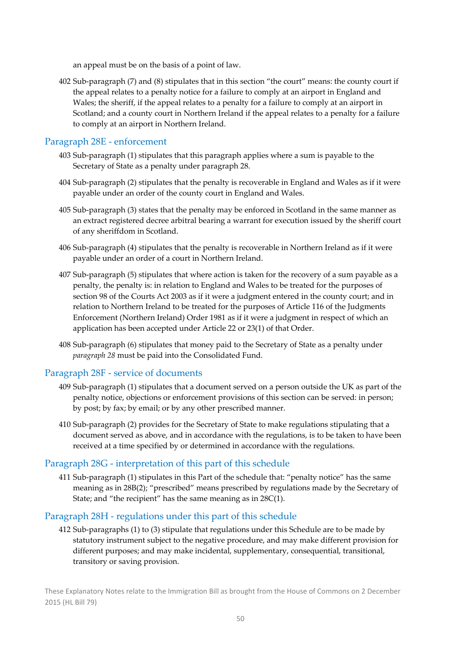an appeal must be on the basis of a point of law.

402 Sub‐paragraph (7) and (8) stipulates that in this section "the court" means: the county court if the appeal relates to a penalty notice for a failure to comply at an airport in England and Wales; the sheriff, if the appeal relates to a penalty for a failure to comply at an airport in Scotland; and a county court in Northern Ireland if the appeal relates to a penalty for a failure to comply at an airport in Northern Ireland.

#### Paragraph 28E ‐ enforcement

- 403 Sub‐paragraph (1) stipulates that this paragraph applies where a sum is payable to the Secretary of State as a penalty under paragraph 28.
- 404 Sub‐paragraph (2) stipulates that the penalty is recoverable in England and Wales as if it were payable under an order of the county court in England and Wales.
- 405 Sub‐paragraph (3) states that the penalty may be enforced in Scotland in the same manner as an extract registered decree arbitral bearing a warrant for execution issued by the sheriff court of any sheriffdom in Scotland.
- 406 Sub‐paragraph (4) stipulates that the penalty is recoverable in Northern Ireland as if it were payable under an order of a court in Northern Ireland.
- 407 Sub‐paragraph (5) stipulates that where action is taken for the recovery of a sum payable as a penalty, the penalty is: in relation to England and Wales to be treated for the purposes of section 98 of the Courts Act 2003 as if it were a judgment entered in the county court; and in relation to Northern Ireland to be treated for the purposes of Article 116 of the Judgments Enforcement (Northern Ireland) Order 1981 as if it were a judgment in respect of which an application has been accepted under Article 22 or 23(1) of that Order.
- 408 Sub‐paragraph (6) stipulates that money paid to the Secretary of State as a penalty under *paragraph 28* must be paid into the Consolidated Fund.

#### Paragraph 28F ‐ service of documents

- 409 Sub‐paragraph (1) stipulates that a document served on a person outside the UK as part of the penalty notice, objections or enforcement provisions of this section can be served: in person; by post; by fax; by email; or by any other prescribed manner.
- 410 Sub‐paragraph (2) provides for the Secretary of State to make regulations stipulating that a document served as above, and in accordance with the regulations, is to be taken to have been received at a time specified by or determined in accordance with the regulations.

#### Paragraph 28G ‐ interpretation of this part of this schedule

411 Sub‐paragraph (1) stipulates in this Part of the schedule that: "penalty notice" has the same meaning as in 28B(2); "prescribed" means prescribed by regulations made by the Secretary of State; and "the recipient" has the same meaning as in 28C(1).

#### Paragraph 28H ‐ regulations under this part of this schedule

412 Sub-paragraphs (1) to (3) stipulate that regulations under this Schedule are to be made by statutory instrument subject to the negative procedure, and may make different provision for different purposes; and may make incidental, supplementary, consequential, transitional, transitory or saving provision.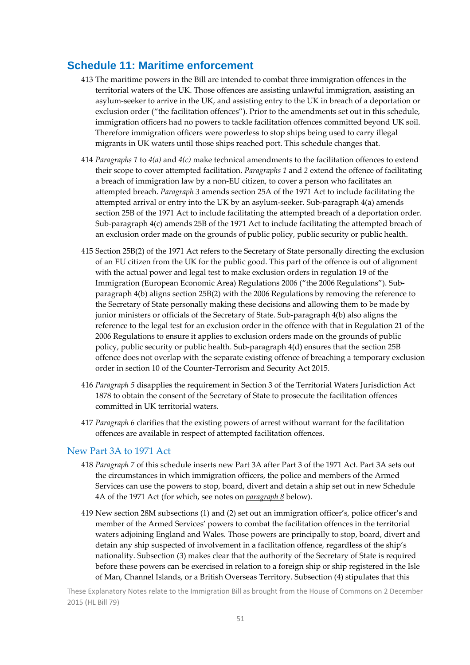### **Schedule 11: Maritime enforcement**

- 413 The maritime powers in the Bill are intended to combat three immigration offences in the territorial waters of the UK. Those offences are assisting unlawful immigration, assisting an asylum‐seeker to arrive in the UK, and assisting entry to the UK in breach of a deportation or exclusion order ("the facilitation offences"). Prior to the amendments set out in this schedule, immigration officers had no powers to tackle facilitation offences committed beyond UK soil. Therefore immigration officers were powerless to stop ships being used to carry illegal migrants in UK waters until those ships reached port. This schedule changes that.
- 414 *Paragraphs 1* to *4(a)* and *4(c)* make technical amendments to the facilitation offences to extend their scope to cover attempted facilitation. *Paragraphs 1* and *2* extend the offence of facilitating a breach of immigration law by a non‐EU citizen, to cover a person who facilitates an attempted breach. *Paragraph 3* amends section 25A of the 1971 Act to include facilitating the attempted arrival or entry into the UK by an asylum‐seeker. Sub‐paragraph 4(a) amends section 25B of the 1971 Act to include facilitating the attempted breach of a deportation order. Sub‐paragraph 4(c) amends 25B of the 1971 Act to include facilitating the attempted breach of an exclusion order made on the grounds of public policy, public security or public health.
- 415 Section 25B(2) of the 1971 Act refers to the Secretary of State personally directing the exclusion of an EU citizen from the UK for the public good. This part of the offence is out of alignment with the actual power and legal test to make exclusion orders in regulation 19 of the Immigration (European Economic Area) Regulations 2006 ("the 2006 Regulations"). Sub‐ paragraph 4(b) aligns section 25B(2) with the 2006 Regulations by removing the reference to the Secretary of State personally making these decisions and allowing them to be made by junior ministers or officials of the Secretary of State. Sub‐paragraph 4(b) also aligns the reference to the legal test for an exclusion order in the offence with that in Regulation 21 of the 2006 Regulations to ensure it applies to exclusion orders made on the grounds of public policy, public security or public health. Sub‐paragraph 4(d) ensures that the section 25B offence does not overlap with the separate existing offence of breaching a temporary exclusion order in section 10 of the Counter‐Terrorism and Security Act 2015.
- 416 *Paragraph 5* disapplies the requirement in Section 3 of the Territorial Waters Jurisdiction Act 1878 to obtain the consent of the Secretary of State to prosecute the facilitation offences committed in UK territorial waters.
- 417 *Paragraph 6* clarifies that the existing powers of arrest without warrant for the facilitation offences are available in respect of attempted facilitation offences.

#### New Part 3A to 1971 Act

- 418 *Paragraph 7* of this schedule inserts new Part 3A after Part 3 of the 1971 Act. Part 3A sets out the circumstances in which immigration officers, the police and members of the Armed Services can use the powers to stop, board, divert and detain a ship set out in new Schedule 4A of the 1971 Act (for which, see notes on *paragraph 8* below).
- 419 New section 28M subsections (1) and (2) set out an immigration officer's, police officer's and member of the Armed Services' powers to combat the facilitation offences in the territorial waters adjoining England and Wales. Those powers are principally to stop, board, divert and detain any ship suspected of involvement in a facilitation offence, regardless of the ship's nationality. Subsection (3) makes clear that the authority of the Secretary of State is required before these powers can be exercised in relation to a foreign ship or ship registered in the Isle of Man, Channel Islands, or a British Overseas Territory. Subsection (4) stipulates that this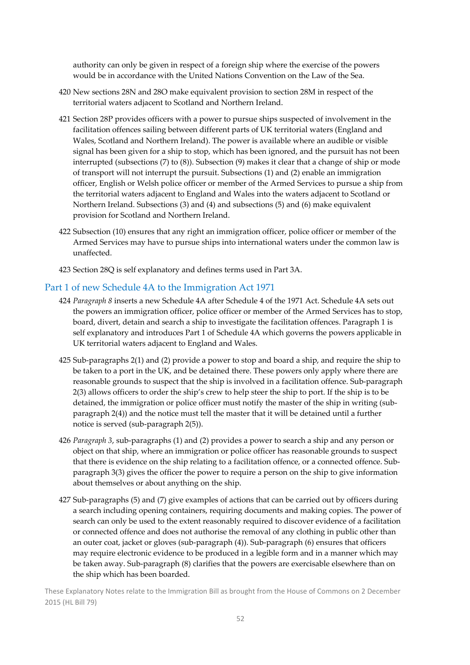authority can only be given in respect of a foreign ship where the exercise of the powers would be in accordance with the United Nations Convention on the Law of the Sea.

- 420 New sections 28N and 28O make equivalent provision to section 28M in respect of the territorial waters adjacent to Scotland and Northern Ireland.
- 421 Section 28P provides officers with a power to pursue ships suspected of involvement in the facilitation offences sailing between different parts of UK territorial waters (England and Wales, Scotland and Northern Ireland). The power is available where an audible or visible signal has been given for a ship to stop, which has been ignored, and the pursuit has not been interrupted (subsections (7) to (8)). Subsection (9) makes it clear that a change of ship or mode of transport will not interrupt the pursuit. Subsections (1) and (2) enable an immigration officer, English or Welsh police officer or member of the Armed Services to pursue a ship from the territorial waters adjacent to England and Wales into the waters adjacent to Scotland or Northern Ireland. Subsections (3) and (4) and subsections (5) and (6) make equivalent provision for Scotland and Northern Ireland.
- 422 Subsection (10) ensures that any right an immigration officer, police officer or member of the Armed Services may have to pursue ships into international waters under the common law is unaffected.
- 423 Section 28Q is self explanatory and defines terms used in Part 3A.

#### Part 1 of new Schedule 4A to the Immigration Act 1971

- 424 *Paragraph 8* inserts a new Schedule 4A after Schedule 4 of the 1971 Act. Schedule 4A sets out the powers an immigration officer, police officer or member of the Armed Services has to stop, board, divert, detain and search a ship to investigate the facilitation offences. Paragraph 1 is self explanatory and introduces Part 1 of Schedule 4A which governs the powers applicable in UK territorial waters adjacent to England and Wales.
- 425 Sub‐paragraphs 2(1) and (2) provide a power to stop and board a ship, and require the ship to be taken to a port in the UK, and be detained there. These powers only apply where there are reasonable grounds to suspect that the ship is involved in a facilitation offence. Sub‐paragraph 2(3) allows officers to order the ship's crew to help steer the ship to port. If the ship is to be detained, the immigration or police officer must notify the master of the ship in writing (subparagraph 2(4)) and the notice must tell the master that it will be detained until a further notice is served (sub‐paragraph 2(5)).
- 426 *Paragraph 3*, sub‐paragraphs (1) and (2) provides a power to search a ship and any person or object on that ship, where an immigration or police officer has reasonable grounds to suspect that there is evidence on the ship relating to a facilitation offence, or a connected offence. Subparagraph 3(3) gives the officer the power to require a person on the ship to give information about themselves or about anything on the ship.
- 427 Sub‐paragraphs (5) and (7) give examples of actions that can be carried out by officers during a search including opening containers, requiring documents and making copies. The power of search can only be used to the extent reasonably required to discover evidence of a facilitation or connected offence and does not authorise the removal of any clothing in public other than an outer coat, jacket or gloves (sub‐paragraph (4)). Sub‐paragraph (6) ensures that officers may require electronic evidence to be produced in a legible form and in a manner which may be taken away. Sub‐paragraph (8) clarifies that the powers are exercisable elsewhere than on the ship which has been boarded.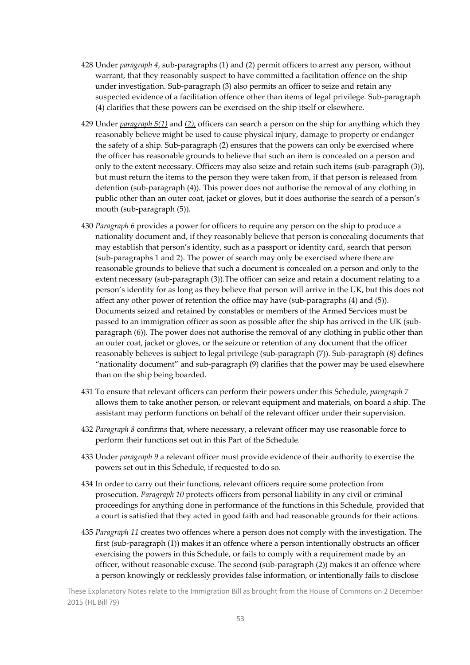- 428 Under *paragraph 4*, sub‐paragraphs (1) and (2) permit officers to arrest any person, without warrant, that they reasonably suspect to have committed a facilitation offence on the ship under investigation. Sub‐paragraph (3) also permits an officer to seize and retain any suspected evidence of a facilitation offence other than items of legal privilege. Sub-paragraph (4) clarifies that these powers can be exercised on the ship itself or elsewhere.
- 429 Under *paragraph 5(1)* and *(2),* officers can search a person on the ship for anything which they reasonably believe might be used to cause physical injury, damage to property or endanger the safety of a ship. Sub‐paragraph (2) ensures that the powers can only be exercised where the officer has reasonable grounds to believe that such an item is concealed on a person and only to the extent necessary. Officers may also seize and retain such items (sub‐paragraph (3)), but must return the items to the person they were taken from, if that person is released from detention (sub‐paragraph (4)). This power does not authorise the removal of any clothing in public other than an outer coat, jacket or gloves, but it does authorise the search of a person's mouth (sub‐paragraph (5)).
- 430 *Paragraph 6* provides a power for officers to require any person on the ship to produce a nationality document and, if they reasonably believe that person is concealing documents that may establish that person's identity, such as a passport or identity card, search that person (sub‐paragraphs 1 and 2). The power of search may only be exercised where there are reasonable grounds to believe that such a document is concealed on a person and only to the extent necessary (sub-paragraph (3)). The officer can seize and retain a document relating to a person's identity for as long as they believe that person will arrive in the UK, but this does not affect any other power of retention the office may have (sub‐paragraphs (4) and (5)). Documents seized and retained by constables or members of the Armed Services must be passed to an immigration officer as soon as possible after the ship has arrived in the UK (sub‐ paragraph (6)). The power does not authorise the removal of any clothing in public other than an outer coat, jacket or gloves, or the seizure or retention of any document that the officer reasonably believes is subject to legal privilege (sub‐paragraph (7)). Sub‐paragraph (8) defines "nationality document" and sub‐paragraph (9) clarifies that the power may be used elsewhere than on the ship being boarded.
- 431 To ensure that relevant officers can perform their powers under this Schedule, *paragraph 7* allows them to take another person, or relevant equipment and materials, on board a ship. The assistant may perform functions on behalf of the relevant officer under their supervision.
- 432 *Paragraph 8* confirms that, where necessary, a relevant officer may use reasonable force to perform their functions set out in this Part of the Schedule.
- 433 Under *paragraph 9* a relevant officer must provide evidence of their authority to exercise the powers set out in this Schedule, if requested to do so.
- 434 In order to carry out their functions, relevant officers require some protection from prosecution. *Paragraph 10* protects officers from personal liability in any civil or criminal proceedings for anything done in performance of the functions in this Schedule, provided that a court is satisfied that they acted in good faith and had reasonable grounds for their actions.
- 435 *Paragraph 11* creates two offences where a person does not comply with the investigation. The first (sub‐paragraph (1)) makes it an offence where a person intentionally obstructs an officer exercising the powers in this Schedule, or fails to comply with a requirement made by an officer, without reasonable excuse. The second (sub‐paragraph (2)) makes it an offence where a person knowingly or recklessly provides false information, or intentionally fails to disclose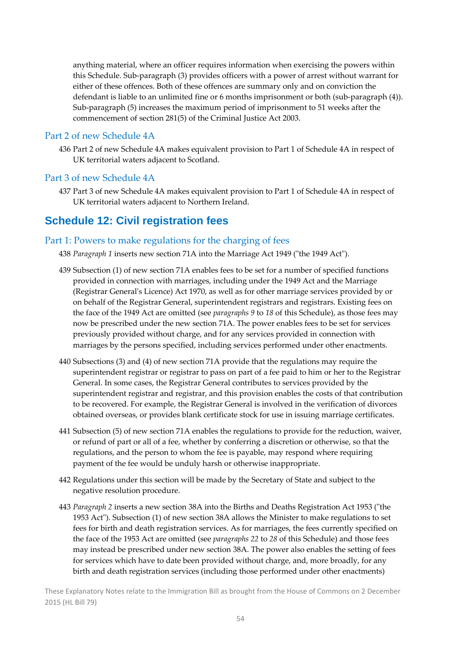anything material, where an officer requires information when exercising the powers within this Schedule. Sub‐paragraph (3) provides officers with a power of arrest without warrant for either of these offences. Both of these offences are summary only and on conviction the defendant is liable to an unlimited fine or 6 months imprisonment or both (sub-paragraph (4)). Sub‐paragraph (5) increases the maximum period of imprisonment to 51 weeks after the commencement of section 281(5) of the Criminal Justice Act 2003.

#### Part 2 of new Schedule 4A

436 Part 2 of new Schedule 4A makes equivalent provision to Part 1 of Schedule 4A in respect of UK territorial waters adjacent to Scotland.

#### Part 3 of new Schedule 4A

437 Part 3 of new Schedule 4A makes equivalent provision to Part 1 of Schedule 4A in respect of UK territorial waters adjacent to Northern Ireland.

### **Schedule 12: Civil registration fees**

#### Part 1: Powers to make regulations for the charging of fees

438 *Paragraph* 1 inserts new section 71A into the Marriage Act 1949 ("the 1949 Act").

- 439 Subsection (1) of new section 71A enables fees to be set for a number of specified functions provided in connection with marriages, including under the 1949 Act and the Marriage (Registrar Generalʹs Licence) Act 1970, as well as for other marriage services provided by or on behalf of the Registrar General, superintendent registrars and registrars. Existing fees on the face of the 1949 Act are omitted (see *paragraphs 9* to *18* of this Schedule), as those fees may now be prescribed under the new section 71A. The power enables fees to be set for services previously provided without charge, and for any services provided in connection with marriages by the persons specified, including services performed under other enactments.
- 440 Subsections (3) and (4) of new section 71A provide that the regulations may require the superintendent registrar or registrar to pass on part of a fee paid to him or her to the Registrar General. In some cases, the Registrar General contributes to services provided by the superintendent registrar and registrar, and this provision enables the costs of that contribution to be recovered. For example, the Registrar General is involved in the verification of divorces obtained overseas, or provides blank certificate stock for use in issuing marriage certificates.
- 441 Subsection (5) of new section 71A enables the regulations to provide for the reduction, waiver, or refund of part or all of a fee, whether by conferring a discretion or otherwise, so that the regulations, and the person to whom the fee is payable, may respond where requiring payment of the fee would be unduly harsh or otherwise inappropriate.
- 442 Regulations under this section will be made by the Secretary of State and subject to the negative resolution procedure.
- 443 *Paragraph* 2 inserts a new section 38A into the Births and Deaths Registration Act 1953 ("the 1953 Act"). Subsection (1) of new section 38A allows the Minister to make regulations to set fees for birth and death registration services. As for marriages, the fees currently specified on the face of the 1953 Act are omitted (see *paragraphs 22* to *28* of this Schedule) and those fees may instead be prescribed under new section 38A. The power also enables the setting of fees for services which have to date been provided without charge, and, more broadly, for any birth and death registration services (including those performed under other enactments)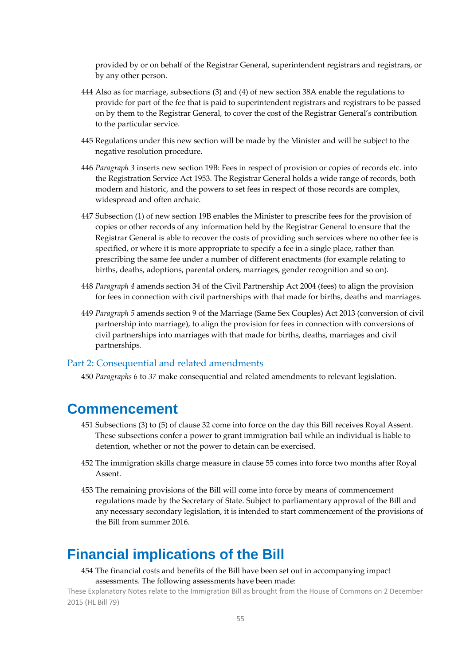provided by or on behalf of the Registrar General, superintendent registrars and registrars, or by any other person.

- 444 Also as for marriage, subsections (3) and (4) of new section 38A enable the regulations to provide for part of the fee that is paid to superintendent registrars and registrars to be passed on by them to the Registrar General, to cover the cost of the Registrar General's contribution to the particular service.
- 445 Regulations under this new section will be made by the Minister and will be subject to the negative resolution procedure.
- 446 *Paragraph 3* inserts new section 19B: Fees in respect of provision or copies of records etc. into the Registration Service Act 1953. The Registrar General holds a wide range of records, both modern and historic, and the powers to set fees in respect of those records are complex, widespread and often archaic.
- 447 Subsection (1) of new section 19B enables the Minister to prescribe fees for the provision of copies or other records of any information held by the Registrar General to ensure that the Registrar General is able to recover the costs of providing such services where no other fee is specified, or where it is more appropriate to specify a fee in a single place, rather than prescribing the same fee under a number of different enactments (for example relating to births, deaths, adoptions, parental orders, marriages, gender recognition and so on).
- 448 *Paragraph 4* amends section 34 of the Civil Partnership Act 2004 (fees) to align the provision for fees in connection with civil partnerships with that made for births, deaths and marriages.
- 449 *Paragraph 5* amends section 9 of the Marriage (Same Sex Couples) Act 2013 (conversion of civil partnership into marriage), to align the provision for fees in connection with conversions of civil partnerships into marriages with that made for births, deaths, marriages and civil partnerships.

#### Part 2: Consequential and related amendments

450 *Paragraphs 6* to *37* make consequential and related amendments to relevant legislation.

### **Commencement**

- 451 Subsections (3) to (5) of clause 32 come into force on the day this Bill receives Royal Assent. These subsections confer a power to grant immigration bail while an individual is liable to detention, whether or not the power to detain can be exercised.
- 452 The immigration skills charge measure in clause 55 comes into force two months after Royal Assent.
- 453 The remaining provisions of the Bill will come into force by means of commencement regulations made by the Secretary of State. Subject to parliamentary approval of the Bill and any necessary secondary legislation, it is intended to start commencement of the provisions of the Bill from summer 2016.

## **Financial implications of the Bill**

#### 454 The financial costs and benefits of the Bill have been set out in accompanying impact assessments. The following assessments have been made: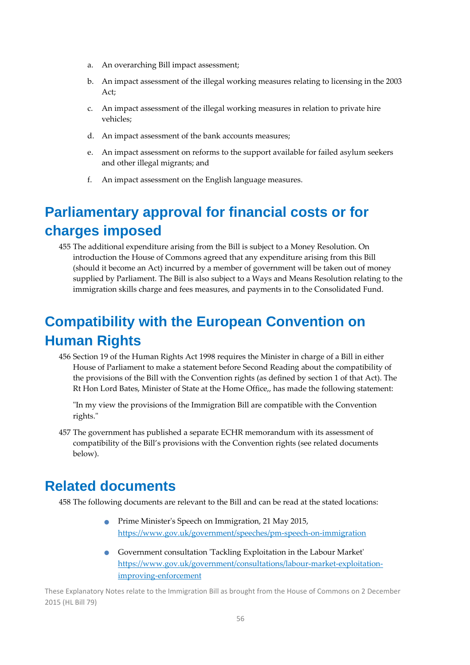- a. An overarching Bill impact assessment;
- b. An impact assessment of the illegal working measures relating to licensing in the 2003 Act;
- c. An impact assessment of the illegal working measures in relation to private hire vehicles;
- d. An impact assessment of the bank accounts measures;
- e. An impact assessment on reforms to the support available for failed asylum seekers and other illegal migrants; and
- f. An impact assessment on the English language measures.

## **Parliamentary approval for financial costs or for charges imposed**

455 The additional expenditure arising from the Bill is subject to a Money Resolution. On introduction the House of Commons agreed that any expenditure arising from this Bill (should it become an Act) incurred by a member of government will be taken out of money supplied by Parliament. The Bill is also subject to a Ways and Means Resolution relating to the immigration skills charge and fees measures, and payments in to the Consolidated Fund.

## **Compatibility with the European Convention on Human Rights**

456 Section 19 of the Human Rights Act 1998 requires the Minister in charge of a Bill in either House of Parliament to make a statement before Second Reading about the compatibility of the provisions of the Bill with the Convention rights (as defined by section 1 of that Act). The Rt Hon Lord Bates, Minister of State at the Home Office,, has made the following statement:

ʺIn my view the provisions of the Immigration Bill are compatible with the Convention rights."

457 The government has published a separate ECHR memorandum with its assessment of compatibility of the Bill's provisions with the Convention rights (see related documents below).

## **Related documents**

458 The following documents are relevant to the Bill and can be read at the stated locations:

- **•** Prime Minister's Speech on Immigration, 21 May 2015, https://www.gov.uk/government/speeches/pm‐speech‐on‐immigration
- Government consultation 'Tackling Exploitation in the Labour Market' https://www.gov.uk/government/consultations/labour-market-exploitationimproving‐enforcement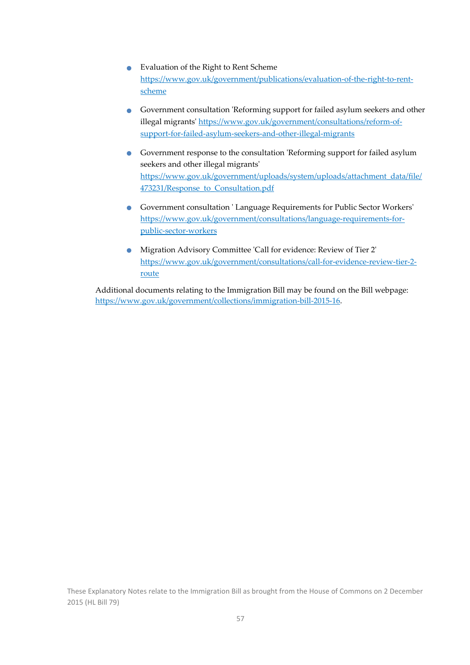- Evaluation of the Right to Rent Scheme https://www.gov.uk/government/publications/evaluation‐of‐the‐right‐to‐rent‐ scheme
- Government consultation 'Reforming support for failed asylum seekers and other illegal migrants' https://www.gov.uk/government/consultations/reform-ofsupport‐for‐failed‐asylum‐seekers‐and‐other‐illegal‐migrants
- Government response to the consultation 'Reforming support for failed asylum seekers and other illegal migrantsʹ https://www.gov.uk/government/uploads/system/uploads/attachment\_data/file/ 473231/Response\_to\_Consultation.pdf
- Government consultation 'Language Requirements for Public Sector Workers' https://www.gov.uk/government/consultations/language‐requirements‐for‐ public‐sector‐workers
- Migration Advisory Committee 'Call for evidence: Review of Tier 2' https://www.gov.uk/government/consultations/call‐for‐evidence‐review‐tier‐2‐ route

Additional documents relating to the Immigration Bill may be found on the Bill webpage: https://www.gov.uk/government/collections/immigration‐bill‐2015‐16.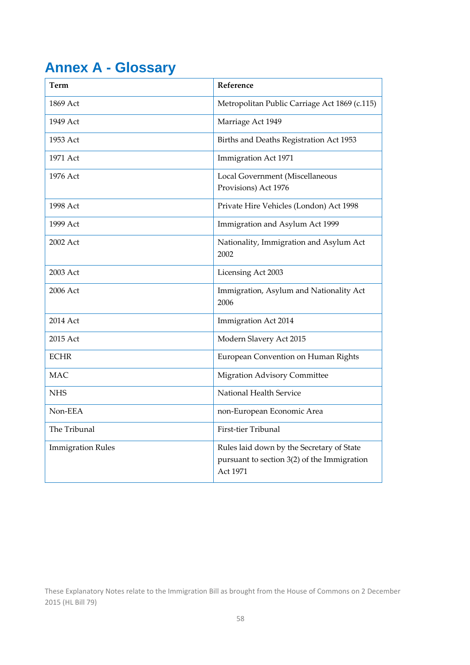## **Annex A - Glossary**

| <b>Term</b>              | Reference                                                                                            |
|--------------------------|------------------------------------------------------------------------------------------------------|
| 1869 Act                 | Metropolitan Public Carriage Act 1869 (c.115)                                                        |
| 1949 Act                 | Marriage Act 1949                                                                                    |
| 1953 Act                 | Births and Deaths Registration Act 1953                                                              |
| 1971 Act                 | Immigration Act 1971                                                                                 |
| 1976 Act                 | Local Government (Miscellaneous<br>Provisions) Act 1976                                              |
| 1998 Act                 | Private Hire Vehicles (London) Act 1998                                                              |
| 1999 Act                 | Immigration and Asylum Act 1999                                                                      |
| 2002 Act                 | Nationality, Immigration and Asylum Act<br>2002                                                      |
| 2003 Act                 | Licensing Act 2003                                                                                   |
| 2006 Act                 | Immigration, Asylum and Nationality Act<br>2006                                                      |
| 2014 Act                 | <b>Immigration Act 2014</b>                                                                          |
| 2015 Act                 | Modern Slavery Act 2015                                                                              |
| <b>ECHR</b>              | European Convention on Human Rights                                                                  |
| <b>MAC</b>               | <b>Migration Advisory Committee</b>                                                                  |
| <b>NHS</b>               | National Health Service                                                                              |
| Non-EEA                  | non-European Economic Area                                                                           |
| The Tribunal             | First-tier Tribunal                                                                                  |
| <b>Immigration Rules</b> | Rules laid down by the Secretary of State<br>pursuant to section 3(2) of the Immigration<br>Act 1971 |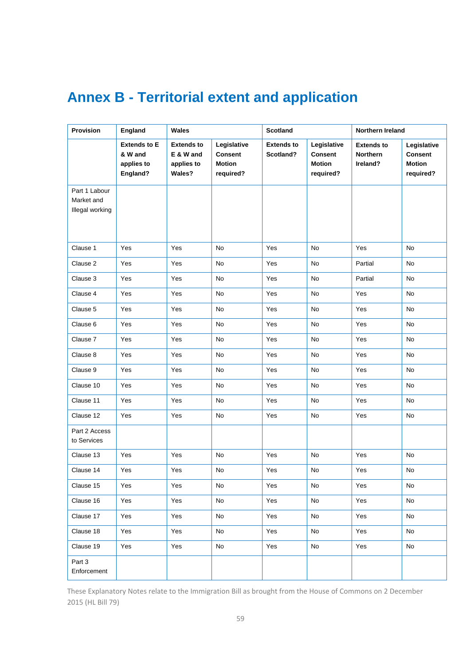## **Annex B - Territorial extent and application**

| Provision                                      | England                                                  | <b>Wales</b>                                           |                                                             | <b>Scotland</b>                |                                                             | Northern Ireland                                 |                                                             |
|------------------------------------------------|----------------------------------------------------------|--------------------------------------------------------|-------------------------------------------------------------|--------------------------------|-------------------------------------------------------------|--------------------------------------------------|-------------------------------------------------------------|
|                                                | <b>Extends to E</b><br>& W and<br>applies to<br>England? | <b>Extends to</b><br>E & W and<br>applies to<br>Wales? | Legislative<br><b>Consent</b><br><b>Motion</b><br>required? | <b>Extends to</b><br>Scotland? | Legislative<br><b>Consent</b><br><b>Motion</b><br>required? | <b>Extends to</b><br><b>Northern</b><br>Ireland? | Legislative<br><b>Consent</b><br><b>Motion</b><br>required? |
| Part 1 Labour<br>Market and<br>Illegal working |                                                          |                                                        |                                                             |                                |                                                             |                                                  |                                                             |
| Clause 1                                       | Yes                                                      | Yes                                                    | No                                                          | Yes                            | No                                                          | Yes                                              | No                                                          |
| Clause 2                                       | Yes                                                      | Yes                                                    | No                                                          | Yes                            | No                                                          | Partial                                          | No                                                          |
| Clause 3                                       | Yes                                                      | Yes                                                    | No                                                          | Yes                            | No                                                          | Partial                                          | No                                                          |
| Clause 4                                       | Yes                                                      | Yes                                                    | No                                                          | Yes                            | No                                                          | Yes                                              | No                                                          |
| Clause 5                                       | Yes                                                      | Yes                                                    | No                                                          | Yes                            | No                                                          | Yes                                              | No                                                          |
| Clause 6                                       | Yes                                                      | Yes                                                    | No                                                          | Yes                            | No                                                          | Yes                                              | No                                                          |
| Clause 7                                       | Yes                                                      | Yes                                                    | No                                                          | Yes                            | No                                                          | Yes                                              | No                                                          |
| Clause 8                                       | Yes                                                      | Yes                                                    | No                                                          | Yes                            | No                                                          | Yes                                              | No                                                          |
| Clause 9                                       | Yes                                                      | Yes                                                    | No                                                          | Yes                            | No                                                          | Yes                                              | No                                                          |
| Clause 10                                      | Yes                                                      | Yes                                                    | No                                                          | Yes                            | No                                                          | Yes                                              | No                                                          |
| Clause 11                                      | Yes                                                      | Yes                                                    | No                                                          | Yes                            | No                                                          | Yes                                              | No                                                          |
| Clause 12                                      | Yes                                                      | Yes                                                    | No                                                          | Yes                            | No                                                          | Yes                                              | No                                                          |
| Part 2 Access<br>to Services                   |                                                          |                                                        |                                                             |                                |                                                             |                                                  |                                                             |
| Clause 13                                      | Yes                                                      | Yes                                                    | No                                                          | Yes                            | No                                                          | Yes                                              | No                                                          |
| Clause 14                                      | Yes                                                      | Yes                                                    | No                                                          | Yes                            | No                                                          | Yes                                              | No                                                          |
| Clause 15                                      | Yes                                                      | Yes                                                    | No                                                          | Yes                            | No                                                          | Yes                                              | No                                                          |
| Clause 16                                      | Yes                                                      | Yes                                                    | No                                                          | Yes                            | No                                                          | Yes                                              | No                                                          |
| Clause 17                                      | Yes                                                      | Yes                                                    | No                                                          | Yes                            | No                                                          | Yes                                              | No                                                          |
| Clause 18                                      | Yes                                                      | Yes                                                    | No                                                          | Yes                            | No                                                          | Yes                                              | No                                                          |
| Clause 19                                      | Yes                                                      | Yes                                                    | No                                                          | Yes                            | No                                                          | Yes                                              | No                                                          |
| Part 3<br>Enforcement                          |                                                          |                                                        |                                                             |                                |                                                             |                                                  |                                                             |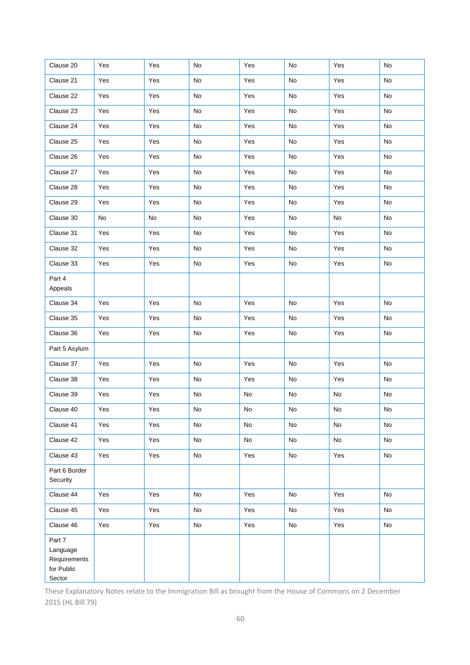| Clause 20                                                  | Yes | Yes | No                           | Yes | No | Yes                          | No                           |
|------------------------------------------------------------|-----|-----|------------------------------|-----|----|------------------------------|------------------------------|
| Clause 21                                                  | Yes | Yes | No                           | Yes | No | Yes                          | No                           |
| Clause 22                                                  | Yes | Yes | No                           | Yes | No | Yes                          | $\mathsf{No}$                |
| Clause 23                                                  | Yes | Yes | No                           | Yes | No | Yes                          | No                           |
| Clause 24                                                  | Yes | Yes | No                           | Yes | No | Yes                          | $\mathsf{No}$                |
| Clause 25                                                  | Yes | Yes | No                           | Yes | No | Yes                          | No                           |
| Clause 26                                                  | Yes | Yes | No                           | Yes | No | Yes                          | No                           |
| Clause 27                                                  | Yes | Yes | No                           | Yes | No | Yes                          | $\mathsf{No}$                |
| Clause 28                                                  | Yes | Yes | No                           | Yes | No | Yes                          | No                           |
| Clause 29                                                  | Yes | Yes | No                           | Yes | No | Yes                          | No                           |
| Clause 30                                                  | No  | No  | No                           | Yes | No | $\mathsf{No}$                | No                           |
| Clause 31                                                  | Yes | Yes | No                           | Yes | No | Yes                          | No                           |
| Clause 32                                                  | Yes | Yes | No                           | Yes | No | Yes                          | $\mathsf{No}$                |
| Clause 33                                                  | Yes | Yes | $\operatorname{\mathsf{No}}$ | Yes | No | Yes                          | $\mathsf{No}$                |
| Part 4<br>Appeals                                          |     |     |                              |     |    |                              |                              |
| Clause 34                                                  | Yes | Yes | No                           | Yes | No | Yes                          | No                           |
| Clause 35                                                  | Yes | Yes | No                           | Yes | No | Yes                          | $\mathsf{No}$                |
| Clause 36                                                  | Yes | Yes | No                           | Yes | No | Yes                          | $\mathsf{No}$                |
| Part 5 Asylum                                              |     |     |                              |     |    |                              |                              |
| Clause 37                                                  | Yes | Yes | No                           | Yes | No | Yes                          | No                           |
| Clause 38                                                  | Yes | Yes | No                           | Yes | No | Yes                          | No                           |
| Clause 39                                                  | Yes | Yes | No                           | No  | No | $\operatorname{\mathsf{No}}$ | No                           |
| Clause 40                                                  | Yes | Yes | $\mathsf{No}$                | No  | No | ${\sf No}$                   | $\mathsf{No}$                |
| Clause 41                                                  | Yes | Yes | No                           | No  | No | No                           | No                           |
| Clause 42                                                  | Yes | Yes | No                           | No  | No | No                           | $\mathsf{No}$                |
| Clause 43                                                  | Yes | Yes | No                           | Yes | No | Yes                          | $\operatorname{\mathsf{No}}$ |
| Part 6 Border<br>Security                                  |     |     |                              |     |    |                              |                              |
| Clause 44                                                  | Yes | Yes | No                           | Yes | No | Yes                          | No                           |
| Clause 45                                                  | Yes | Yes | No                           | Yes | No | Yes                          | No                           |
| Clause 46                                                  | Yes | Yes | No                           | Yes | No | Yes                          | No                           |
| Part 7<br>Language<br>Requirements<br>for Public<br>Sector |     |     |                              |     |    |                              |                              |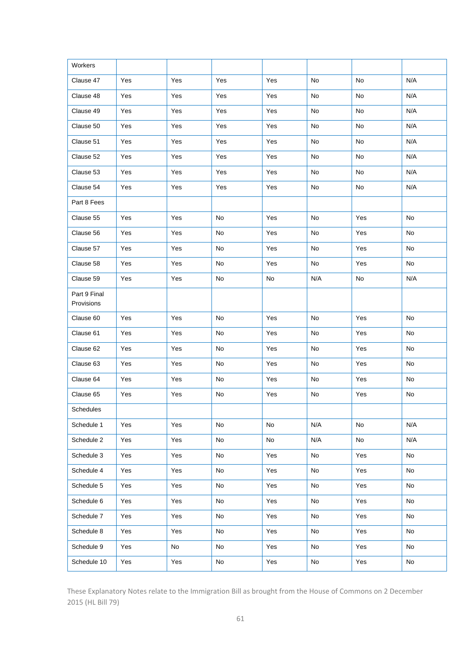| Workers                    |     |     |            |               |     |                              |     |
|----------------------------|-----|-----|------------|---------------|-----|------------------------------|-----|
| Clause 47                  | Yes | Yes | Yes        | Yes           | No  | No                           | N/A |
| Clause 48                  | Yes | Yes | Yes        | Yes           | No  | No                           | N/A |
| Clause 49                  | Yes | Yes | Yes        | Yes           | No  | No                           | N/A |
| Clause 50                  | Yes | Yes | Yes        | Yes           | No  | No                           | N/A |
| Clause 51                  | Yes | Yes | Yes        | Yes           | No  | No                           | N/A |
| Clause 52                  | Yes | Yes | Yes        | Yes           | No  | No                           | N/A |
| Clause 53                  | Yes | Yes | Yes        | Yes           | No  | No                           | N/A |
| Clause 54                  | Yes | Yes | Yes        | Yes           | No  | No                           | N/A |
| Part 8 Fees                |     |     |            |               |     |                              |     |
| Clause 55                  | Yes | Yes | No         | Yes           | No  | Yes                          | No  |
| Clause 56                  | Yes | Yes | No         | Yes           | No  | Yes                          | No  |
| Clause 57                  | Yes | Yes | No         | Yes           | No  | Yes                          | No  |
| Clause 58                  | Yes | Yes | No         | Yes           | No  | Yes                          | No  |
| Clause 59                  | Yes | Yes | No         | $\mathsf{No}$ | N/A | $\operatorname{\mathsf{No}}$ | N/A |
| Part 9 Final<br>Provisions |     |     |            |               |     |                              |     |
| Clause 60                  | Yes | Yes | No         | Yes           | No  | Yes                          | No  |
| Clause 61                  | Yes | Yes | No         | Yes           | No  | Yes                          | No  |
| Clause 62                  | Yes | Yes | No         | Yes           | No  | Yes                          | No  |
| Clause 63                  | Yes | Yes | No         | Yes           | No  | Yes                          | No  |
| Clause 64                  | Yes | Yes | No         | Yes           | No  | Yes                          | No  |
| Clause 65                  | Yes | Yes | No         | Yes           | No  | Yes                          | No  |
| Schedules                  |     |     |            |               |     |                              |     |
| Schedule 1                 | Yes | Yes | No         | No            | N/A | No                           | N/A |
| Schedule 2                 | Yes | Yes | No         | No            | N/A | No                           | N/A |
| Schedule 3                 | Yes | Yes | No         | Yes           | No  | Yes                          | No  |
| Schedule 4                 | Yes | Yes | No         | Yes           | No  | Yes                          | No  |
| Schedule 5                 | Yes | Yes | ${\sf No}$ | Yes           | No  | Yes                          | No  |
| Schedule 6                 | Yes | Yes | No         | Yes           | No  | Yes                          | No  |
| Schedule 7                 | Yes | Yes | No         | Yes           | No  | Yes                          | No  |
| Schedule 8                 | Yes | Yes | No         | Yes           | No  | Yes                          | No  |
| Schedule 9                 | Yes | No  | No         | Yes           | No  | Yes                          | No  |
| Schedule 10                | Yes | Yes | No         | Yes           | No  | Yes                          | No  |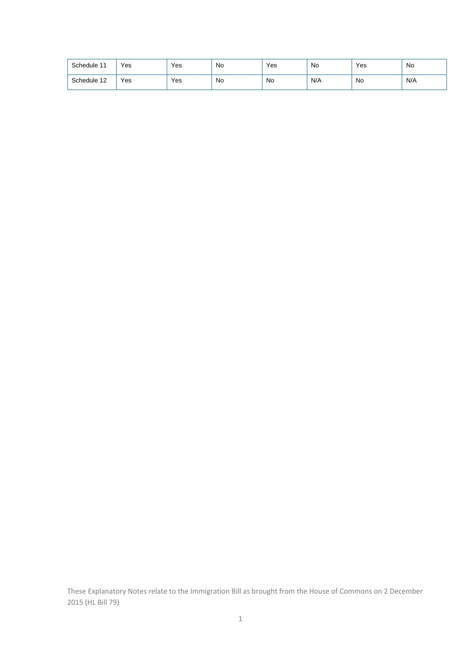| Schedule 11 | Yes | Yes | No | Yes | No  | Yes | No  |
|-------------|-----|-----|----|-----|-----|-----|-----|
| Schedule 12 | Yes | Yes | No | No  | N/A | No  | N/A |